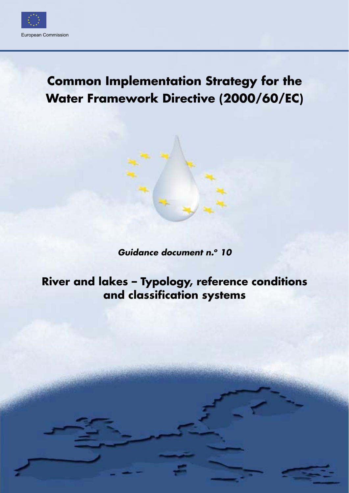

# **Common Implementation Strategy for the Water Framework Directive (2000/60/EC)**

*Guidance document n.o 10*

# **River and lakes – Typology, reference conditions and classification systems**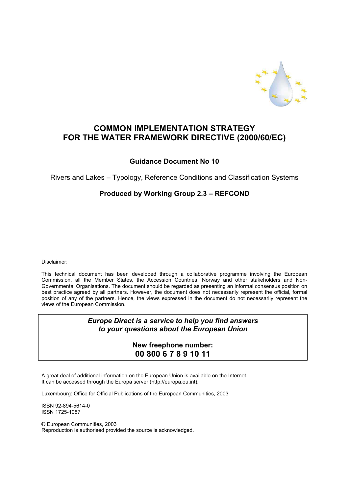

### **COMMON IMPLEMENTATION STRATEGY FOR THE WATER FRAMEWORK DIRECTIVE (2000/60/EC)**

#### **Guidance Document No 10**

Rivers and Lakes – Typology, Reference Conditions and Classification Systems

#### **Produced by Working Group 2.3 – REFCOND**

Disclaimer:

This technical document has been developed through a collaborative programme involving the European Commission, all the Member States, the Accession Countries, Norway and other stakeholders and Non-Governmental Organisations. The document should be regarded as presenting an informal consensus position on best practice agreed by all partners. However, the document does not necessarily represent the official, formal position of any of the partners. Hence, the views expressed in the document do not necessarily represent the views of the European Commission.

> *Europe Direct is a service to help you find answers to your questions about the European Union*

#### **New freephone number: 00 800 6 7 8 9 10 11**

A great deal of additional information on the European Union is available on the Internet. It can be accessed through the Europa server (http://europa.eu.int).

Luxembourg: Office for Official Publications of the European Communities, 2003

ISBN 92-894-5614-0 ISSN 1725-1087

© European Communities, 2003 Reproduction is authorised provided the source is acknowledged.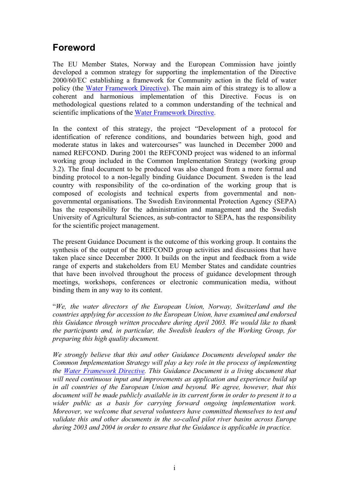### **Foreword**

The EU Member States, Norway and the European Commission have jointly developed a common strategy for supporting the implementation of the Directive 2000/60/EC establishing a framework for Community action in the field of water policy (the Water Framework Directive). The main aim of this strategy is to allow a coherent and harmonious implementation of this Directive. Focus is on methodological questions related to a common understanding of the technical and scientific implications of the Water Framework Directive.

In the context of this strategy, the project "Development of a protocol for identification of reference conditions, and boundaries between high, good and moderate status in lakes and watercourses" was launched in December 2000 and named REFCOND. During 2001 the REFCOND project was widened to an informal working group included in the Common Implementation Strategy (working group 3.2). The final document to be produced was also changed from a more formal and binding protocol to a non-legally binding Guidance Document. Sweden is the lead country with responsibility of the co-ordination of the working group that is composed of ecologists and technical experts from governmental and nongovernmental organisations. The Swedish Environmental Protection Agency (SEPA) has the responsibility for the administration and management and the Swedish University of Agricultural Sciences, as sub-contractor to SEPA, has the responsibility for the scientific project management.

The present Guidance Document is the outcome of this working group. It contains the synthesis of the output of the REFCOND group activities and discussions that have taken place since December 2000. It builds on the input and feedback from a wide range of experts and stakeholders from EU Member States and candidate countries that have been involved throughout the process of guidance development through meetings, workshops, conferences or electronic communication media, without binding them in any way to its content.

"*We, the water directors of the European Union, Norway, Switzerland and the countries applying for accession to the European Union, have examined and endorsed this Guidance through written procedure during April 2003. We would like to thank the participants and, in particular, the Swedish leaders of the Working Group, for preparing this high quality document.* 

*We strongly believe that this and other Guidance Documents developed under the Common Implementation Strategy will play a key role in the process of implementing the Water Framework Directive. This Guidance Document is a living document that will need continuous input and improvements as application and experience build up in all countries of the European Union and beyond. We agree, however, that this document will be made publicly available in its current form in order to present it to a wider public as a basis for carrying forward ongoing implementation work. Moreover, we welcome that several volunteers have committed themselves to test and validate this and other documents in the so-called pilot river basins across Europe during 2003 and 2004 in order to ensure that the Guidance is applicable in practice.*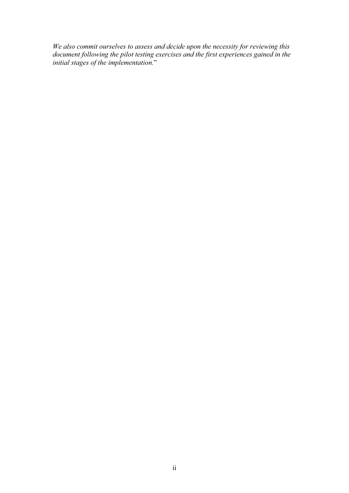*We also commit ourselves to assess and decide upon the necessity for reviewing this document following the pilot testing exercises and the first experiences gained in the initial stages of the implementation.*"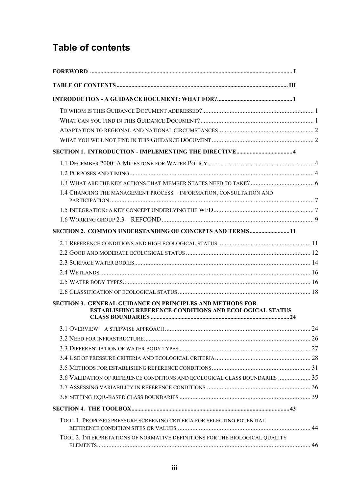# **Table of contents**

| 1.4 CHANGING THE MANAGEMENT PROCESS - INFORMATION, CONSULTATION AND                                                                |    |
|------------------------------------------------------------------------------------------------------------------------------------|----|
|                                                                                                                                    |    |
|                                                                                                                                    |    |
| SECTION 2. COMMON UNDERSTANDING OF CONCEPTS AND TERMS 11                                                                           |    |
|                                                                                                                                    |    |
|                                                                                                                                    |    |
|                                                                                                                                    |    |
|                                                                                                                                    |    |
|                                                                                                                                    |    |
|                                                                                                                                    |    |
| <b>SECTION 3. GENERAL GUIDANCE ON PRINCIPLES AND METHODS FOR</b><br><b>ESTABLISHING REFERENCE CONDITIONS AND ECOLOGICAL STATUS</b> |    |
| 3.1 OVERVIEW – A STEPWISE APPROACH                                                                                                 | 24 |
|                                                                                                                                    |    |
|                                                                                                                                    |    |
|                                                                                                                                    |    |
|                                                                                                                                    |    |
| 3.6 VALIDATION OF REFERENCE CONDITIONS AND ECOLOGICAL CLASS BOUNDARIES  35                                                         |    |
|                                                                                                                                    |    |
|                                                                                                                                    |    |
|                                                                                                                                    |    |
| TOOL 1. PROPOSED PRESSURE SCREENING CRITERIA FOR SELECTING POTENTIAL                                                               |    |
| TOOL 2. INTERPRETATIONS OF NORMATIVE DEFINITIONS FOR THE BIOLOGICAL QUALITY                                                        |    |
|                                                                                                                                    |    |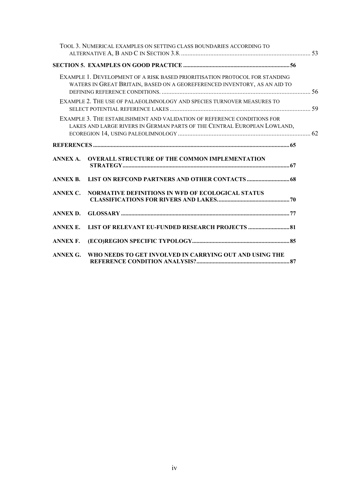|                 | TOOL 3. NUMERICAL EXAMPLES ON SETTING CLASS BOUNDARIES ACCORDING TO                                                                                      |  |
|-----------------|----------------------------------------------------------------------------------------------------------------------------------------------------------|--|
|                 |                                                                                                                                                          |  |
|                 | EXAMPLE 1. DEVELOPMENT OF A RISK BASED PRIORITISATION PROTOCOL FOR STANDING<br>WATERS IN GREAT BRITAIN, BASED ON A GEOREFERENCED INVENTORY, AS AN AID TO |  |
|                 | EXAMPLE 2. THE USE OF PALAEOLIMNOLOGY AND SPECIES TURNOVER MEASURES TO                                                                                   |  |
|                 | EXAMPLE 3. THE ESTABLISHMENT AND VALIDATION OF REFERENCE CONDITIONS FOR<br>LAKES AND LARGE RIVERS IN GERMAN PARTS OF THE CENTRAL EUROPEAN LOWLAND,       |  |
|                 |                                                                                                                                                          |  |
| ANNEX A.        | <b>OVERALL STRUCTURE OF THE COMMON IMPLEMENTATION</b>                                                                                                    |  |
| <b>ANNEX B.</b> |                                                                                                                                                          |  |
| <b>ANNEX C.</b> | NORMATIVE DEFINITIONS IN WFD OF ECOLOGICAL STATUS                                                                                                        |  |
| <b>ANNEX D.</b> |                                                                                                                                                          |  |
| <b>ANNEX E.</b> | LIST OF RELEVANT EU-FUNDED RESEARCH PROJECTS  81                                                                                                         |  |
| <b>ANNEX F.</b> |                                                                                                                                                          |  |
| <b>ANNEX G.</b> | WHO NEEDS TO GET INVOLVED IN CARRYING OUT AND USING THE                                                                                                  |  |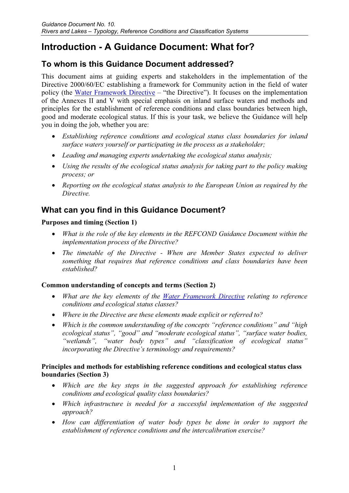# **Introduction - A Guidance Document: What for?**

### **To whom is this Guidance Document addressed?**

This document aims at guiding experts and stakeholders in the implementation of the Directive 2000/60/EC establishing a framework for Community action in the field of water policy (the Water Framework Directive – "the Directive"). It focuses on the implementation of the Annexes II and V with special emphasis on inland surface waters and methods and principles for the establishment of reference conditions and class boundaries between high, good and moderate ecological status. If this is your task, we believe the Guidance will help you in doing the job, whether you are:

- *Establishing reference conditions and ecological status class boundaries for inland surface waters yourself or participating in the process as a stakeholder;*
- *Leading and managing experts undertaking the ecological status analysis;*
- Using the results of the ecological status analysis for taking part to the policy making *process; or*
- Reporting on the ecological status analysis to the European Union as required by the *Directive.*

### **What can you find in this Guidance Document?**

#### **Purposes and timing (Section 1)**

- What is the role of the key elements in the REFCOND Guidance Document within the *implementation process of the Directive?*
- The timetable of the Directive When are Member States expected to deliver *something that requires that reference conditions and class boundaries have been established?*

#### **Common understanding of concepts and terms (Section 2)**

- What are the key elements of the Water Framework Directive relating to reference *conditions and ecological status classes?*
- Where in the Directive are these elements made explicit or referred to?
- *Which is the common understanding of the concepts "reference conditions" and "high ecological status", "good" and "moderate ecological status", "surface water bodies, "wetlands", "water body types" and "classification of ecological status" incorporating the Directive's terminology and requirements?*

#### **Principles and methods for establishing reference conditions and ecological status class boundaries (Section 3)**

- Which are the key steps in the suggested approach for establishing reference *conditions and ecological quality class boundaries?*
- Which infrastructure is needed for a successful implementation of the suggested *approach?*
- How can differentiation of water body types be done in order to support the *establishment of reference conditions and the intercalibration exercise?*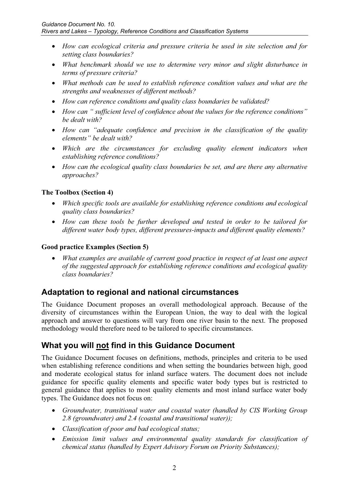- How can ecological criteria and pressure criteria be used in site selection and for *setting class boundaries?*
- What benchmark should we use to determine very minor and slight disturbance in *terms of pressure criteria?*
- What methods can be used to establish reference condition values and what are the *strengths and weaknesses of different methods?*
- How can reference conditions and quality class boundaries be validated?
- How can " sufficient level of confidence about the values for the reference conditions" *be dealt with?*
- How can "adequate confidence and precision in the classification of the quality *elements" be dealt with?*
- Which are the circumstances for excluding quality element indicators when *establishing reference conditions?*
- How can the ecological quality class boundaries be set, and are there any alternative *approaches?*

#### **The Toolbox (Section 4)**

- *Which specific tools are available for establishing reference conditions and ecological quality class boundaries?*
- How can these tools be further developed and tested in order to be tailored for *different water body types, different pressures-impacts and different quality elements?*

#### **Good practice Examples (Section 5)**

• What examples are available of current good practice in respect of at least one aspect *of the suggested approach for establishing reference conditions and ecological quality class boundaries?* 

### **Adaptation to regional and national circumstances**

The Guidance Document proposes an overall methodological approach. Because of the diversity of circumstances within the European Union, the way to deal with the logical approach and answer to questions will vary from one river basin to the next. The proposed methodology would therefore need to be tailored to specific circumstances.

### **What you will not find in this Guidance Document**

The Guidance Document focuses on definitions, methods, principles and criteria to be used when establishing reference conditions and when setting the boundaries between high, good and moderate ecological status for inland surface waters. The document does not include guidance for specific quality elements and specific water body types but is restricted to general guidance that applies to most quality elements and most inland surface water body types. The Guidance does not focus on:

- **•** Groundwater, transitional water and coastal water (handled by CIS Working Group *2.8 (groundwater) and 2.4 (coastal and transitional water));*
- *Classification of poor and bad ecological status;*
- Emission limit values and environmental quality standards for classification of *chemical status (handled by Expert Advisory Forum on Priority Substances);*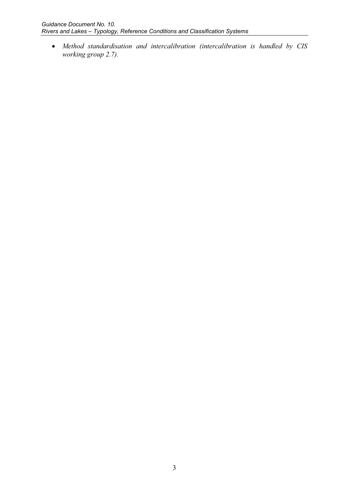• Method standardisation and intercalibration (intercalibration is handled by CIS *working group 2.7).*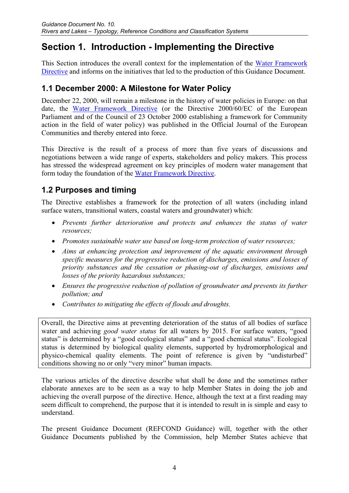## **Section 1. Introduction - Implementing the Directive**

This Section introduces the overall context for the implementation of the Water Framework Directive and informs on the initiatives that led to the production of this Guidance Document.

### **1.1 December 2000: A Milestone for Water Policy**

December 22, 2000, will remain a milestone in the history of water policies in Europe: on that date, the Water Framework Directive (or the Directive 2000/60/EC of the European Parliament and of the Council of 23 October 2000 establishing a framework for Community action in the field of water policy) was published in the Official Journal of the European Communities and thereby entered into force.

This Directive is the result of a process of more than five years of discussions and negotiations between a wide range of experts, stakeholders and policy makers. This process has stressed the widespread agreement on key principles of modern water management that form today the foundation of the Water Framework Directive.

### **1.2 Purposes and timing**

The Directive establishes a framework for the protection of all waters (including inland surface waters, transitional waters, coastal waters and groundwater) which:

- Prevents further deterioration and protects and enhances the status of water *resources;*
- Promotes sustainable water use based on long-term protection of water resources;
- Aims at enhancing protection and improvement of the aquatic environment through *specific measures for the progressive reduction of discharges, emissions and losses of priority substances and the cessation or phasing-out of discharges, emissions and losses of the priority hazardous substances;*
- Ensures the progressive reduction of pollution of groundwater and prevents its further *pollution; and*
- *Contributes to mitigating the effects of floods and droughts.*

Overall, the Directive aims at preventing deterioration of the status of all bodies of surface water and achieving *good water status* for all waters by 2015. For surface waters, "good status" is determined by a "good ecological status" and a "good chemical status". Ecological status is determined by biological quality elements, supported by hydromorphological and physico-chemical quality elements. The point of reference is given by "undisturbed" conditions showing no or only "very minor" human impacts.

The various articles of the directive describe what shall be done and the sometimes rather elaborate annexes are to be seen as a way to help Member States in doing the job and achieving the overall purpose of the directive. Hence, although the text at a first reading may seem difficult to comprehend, the purpose that it is intended to result in is simple and easy to understand.

The present Guidance Document (REFCOND Guidance) will, together with the other Guidance Documents published by the Commission, help Member States achieve that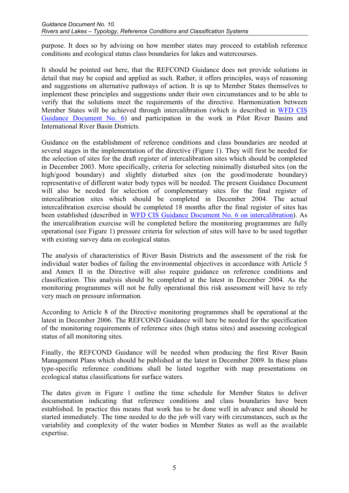purpose. It does so by advising on how member states may proceed to establish reference conditions and ecological status class boundaries for lakes and watercourses.

It should be pointed out here, that the REFCOND Guidance does not provide solutions in detail that may be copied and applied as such. Rather, it offers principles, ways of reasoning and suggestions on alternative pathways of action. It is up to Member States themselves to implement these principles and suggestions under their own circumstances and to be able to verify that the solutions meet the requirements of the directive. Harmonization between Member States will be achieved through intercalibration (which is described in WFD CIS Guidance Document No. 6) and participation in the work in Pilot River Basins and International River Basin Districts.

Guidance on the establishment of reference conditions and class boundaries are needed at several stages in the implementation of the directive (Figure 1). They will first be needed for the selection of sites for the draft register of intercalibration sites which should be completed in December 2003. More specifically, criteria for selecting minimally disturbed sites (on the high/good boundary) and slightly disturbed sites (on the good/moderate boundary) representative of different water body types will be needed. The present Guidance Document will also be needed for selection of complementary sites for the final register of intercalibration sites which should be completed in December 2004. The actual intercalibration exercise should be completed 18 months after the final register of sites has been established (described in WFD CIS Guidance Document No. 6 on intercalibration). As the intercalibration exercise will be completed before the monitoring programmes are fully operational (see Figure 1) pressure criteria for selection of sites will have to be used together with existing survey data on ecological status.

The analysis of characteristics of River Basin Districts and the assessment of the risk for individual water bodies of failing the environmental objectives in accordance with Article 5 and Annex II in the Directive will also require guidance on reference conditions and classification. This analysis should be completed at the latest in December 2004. As the monitoring programmes will not be fully operational this risk assessment will have to rely very much on pressure information.

According to Article 8 of the Directive monitoring programmes shall be operational at the latest in December 2006. The REFCOND Guidance will here be needed for the specification of the monitoring requirements of reference sites (high status sites) and assessing ecological status of all monitoring sites.

Finally, the REFCOND Guidance will be needed when producing the first River Basin Management Plans which should be published at the latest in December 2009. In these plans type-specific reference conditions shall be listed together with map presentations on ecological status classifications for surface waters.

The dates given in Figure 1 outline the time schedule for Member States to deliver documentation indicating that reference conditions and class boundaries have been established. In practice this means that work has to be done well in advance and should be started immediately. The time needed to do the job will vary with circumstances, such as the variability and complexity of the water bodies in Member States as well as the available expertise.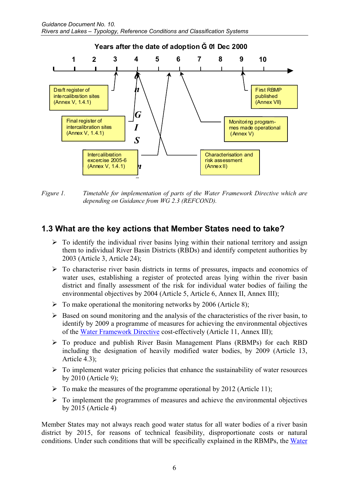

*Figure 1. Timetable for implementation of parts of the Water Framework Directive which are depending on Guidance from WG 2.3 (REFCOND).* 

### **1.3 What are the key actions that Member States need to take?**

- > To identify the individual river basins lying within their national territory and assign them to individual River Basin Districts (RBDs) and identify competent authorities by 2003 (Article 3, Article 24);
- > To characterise river basin districts in terms of pressures, impacts and economics of water uses, establishing a register of protected areas lying within the river basin district and finally assessment of the risk for individual water bodies of failing the environmental objectives by 2004 (Article 5, Article 6, Annex II, Annex III);
- > To make operational the monitoring networks by 2006 (Article 8);
- > Based on sound monitoring and the analysis of the characteristics of the river basin, to identify by 2009 a programme of measures for achieving the environmental objectives of the Water Framework Directive cost-effectively (Article 11, Annex III);
- > To produce and publish River Basin Management Plans (RBMPs) for each RBD including the designation of heavily modified water bodies, by 2009 (Article 13, Article 4.3);
- > To implement water pricing policies that enhance the sustainability of water resources by 2010 (Article 9);
- > To make the measures of the programme operational by 2012 (Article 11);
- > To implement the programmes of measures and achieve the environmental objectives by 2015 (Article 4)

Member States may not always reach good water status for all water bodies of a river basin district by 2015, for reasons of technical feasibility, disproportionate costs or natural conditions. Under such conditions that will be specifically explained in the RBMPs, the Water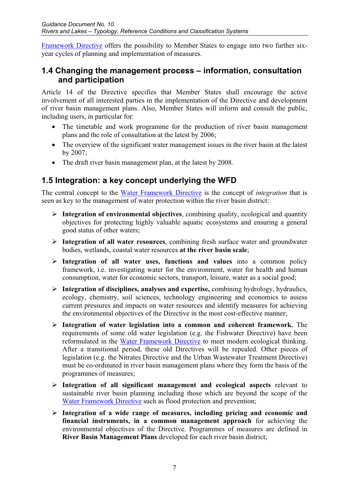Framework Directive offers the possibility to Member States to engage into two further sixyear cycles of planning and implementation of measures.

### **1.4 Changing the management process – information, consultation and participation**

Article 14 of the Directive specifies that Member States shall encourage the active involvement of all interested parties in the implementation of the Directive and development of river basin management plans. Also, Member States will inform and consult the public, including users, in particular for:

- The timetable and work programme for the production of river basin management plans and the role of consultation at the latest by 2006;
- The overview of the significant water management issues in the river basin at the latest by 2007;
- The draft river basin management plan, at the latest by 2008.

### **1.5 Integration: a key concept underlying the WFD**

The central concept to the Water Framework Directive is the concept of *integration* that is seen as key to the management of water protection within the river basin district:

- > Integration of environmental objectives, combining quality, ecological and quantity objectives for protecting highly valuable aquatic ecosystems and ensuring a general good status of other waters;
- > Integration of all water resources, combining fresh surface water and groundwater bodies, wetlands, coastal water resources **at the river basin scale**;
- -**Integration of all water uses, functions and values** into a common policy framework, i.e. investigating water for the environment, water for health and human consumption, water for economic sectors, transport, leisure, water as a social good;
- -**Integration of disciplines, analyses and expertise,** combining hydrology, hydraulics, ecology, chemistry, soil sciences, technology engineering and economics to assess current pressures and impacts on water resources and identify measures for achieving the environmental objectives of the Directive in the most cost-effective manner;
- -**Integration of water legislation into a common and coherent framework.** The requirements of some old water legislation (e.g. the Fishwater Directive) have been reformulated in the Water Framework Directive to meet modern ecological thinking. After a transitional period, these old Directives will be repealed. Other pieces of legislation (e.g. the Nitrates Directive and the Urban Wastewater Treatment Directive) must be co-ordinated in river basin management plans where they form the basis of the programmes of measures;
- -**Integration of all significant management and ecological aspects** relevant to sustainable river basin planning including those which are beyond the scope of the Water Framework Directive such as flood protection and prevention;
- > Integration of a wide range of measures, including pricing and economic and **financial instruments, in a common management approach** for achieving the environmental objectives of the Directive. Programmes of measures are defined in **River Basin Management Plans** developed for each river basin district;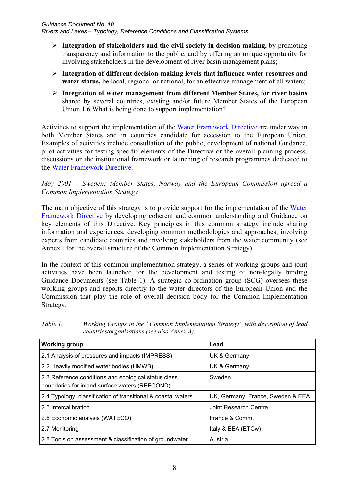- -**Integration of stakeholders and the civil society in decision making,** by promoting transparency and information to the public, and by offering an unique opportunity for involving stakeholders in the development of river basin management plans;
- -**Integration of different decision-making levels that influence water resources and water status,** be local, regional or national, for an effective management of all waters;
- -**Integration of water management from different Member States, for river basins** shared by several countries, existing and/or future Member States of the European Union.1.6 What is being done to support implementation?

Activities to support the implementation of the Water Framework Directive are under way in both Member States and in countries candidate for accession to the European Union. Examples of activities include consultation of the public, development of national Guidance, pilot activities for testing specific elements of the Directive or the overall planning process, discussions on the institutional framework or launching of research programmes dedicated to the Water Framework Directive.

#### *May 2001 – Sweden: Member States, Norway and the European Commission agreed a Common Implementation Strategy*

The main objective of this strategy is to provide support for the implementation of the Water Framework Directive by developing coherent and common understanding and Guidance on key elements of this Directive. Key principles in this common strategy include sharing information and experiences, developing common methodologies and approaches, involving experts from candidate countries and involving stakeholders from the water community (see Annex I for the overall structure of the Common Implementation Strategy).

In the context of this common implementation strategy, a series of working groups and joint activities have been launched for the development and testing of non-legally binding Guidance Documents (see Table 1). A strategic co-ordination group (SCG) oversees these working groups and reports directly to the water directors of the European Union and the Commission that play the role of overall decision body for the Common Implementation Strategy.

*Table 1. Working Groups in the "Common Implementation Strategy" with description of lead countries/organisations (see also Annex A).*

| <b>Working group</b>                                                                                   | Lead                              |
|--------------------------------------------------------------------------------------------------------|-----------------------------------|
| 2.1 Analysis of pressures and impacts (IMPRESS)                                                        | UK & Germany                      |
| 2.2 Heavily modified water bodies (HMWB)                                                               | UK & Germany                      |
| 2.3 Reference conditions and ecological status class<br>boundaries for inland surface waters (REFCOND) | Sweden                            |
| 2.4 Typology, classification of transitional & coastal waters                                          | UK, Germany, France, Sweden & EEA |
| 2.5 Intercalibration                                                                                   | Joint Research Centre             |
| 2.6 Economic analysis (WATECO)                                                                         | France & Comm.                    |
| 2.7 Monitoring                                                                                         | Italy & EEA (ETCw)                |
| 2.8 Tools on assessment & classification of groundwater                                                | Austria                           |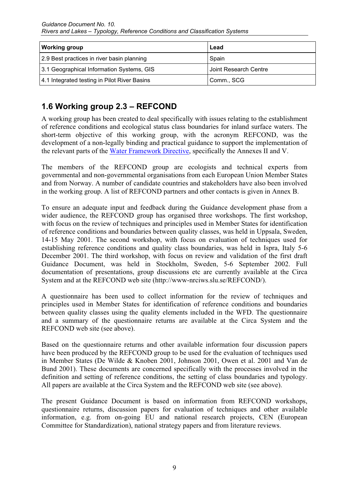| <b>Working group</b>                         | Lead                  |
|----------------------------------------------|-----------------------|
| 2.9 Best practices in river basin planning   | Spain                 |
| 3.1 Geographical Information Systems, GIS    | Joint Research Centre |
| 4.1 Integrated testing in Pilot River Basins | Comm., SCG            |

### **1.6 Working group 2.3 – REFCOND**

A working group has been created to deal specifically with issues relating to the establishment of reference conditions and ecological status class boundaries for inland surface waters. The short-term objective of this working group, with the acronym REFCOND, was the development of a non-legally binding and practical guidance to support the implementation of the relevant parts of the Water Framework Directive, specifically the Annexes II and V.

The members of the REFCOND group are ecologists and technical experts from governmental and non-governmental organisations from each European Union Member States and from Norway. A number of candidate countries and stakeholders have also been involved in the working group. A list of REFCOND partners and other contacts is given in Annex B.

To ensure an adequate input and feedback during the Guidance development phase from a wider audience, the REFCOND group has organised three workshops. The first workshop, with focus on the review of techniques and principles used in Member States for identification of reference conditions and boundaries between quality classes, was held in Uppsala, Sweden, 14-15 May 2001. The second workshop, with focus on evaluation of techniques used for establishing reference conditions and quality class boundaries, was held in Ispra, Italy 5-6 December 2001. The third workshop, with focus on review and validation of the first draft Guidance Document, was held in Stockholm, Sweden, 5-6 September 2002. Full documentation of presentations, group discussions etc are currently available at the Circa System and at the REFCOND web site (http://www-nrciws.slu.se/REFCOND/).

A questionnaire has been used to collect information for the review of techniques and principles used in Member States for identification of reference conditions and boundaries between quality classes using the quality elements included in the WFD. The questionnaire and a summary of the questionnaire returns are available at the Circa System and the REFCOND web site (see above).

Based on the questionnaire returns and other available information four discussion papers have been produced by the REFCOND group to be used for the evaluation of techniques used in Member States (De Wilde & Knoben 2001, Johnson 2001, Owen et al. 2001 and Van de Bund 2001). These documents are concerned specifically with the processes involved in the definition and setting of reference conditions, the setting of class boundaries and typology. All papers are available at the Circa System and the REFCOND web site (see above).

The present Guidance Document is based on information from REFCOND workshops, questionnaire returns, discussion papers for evaluation of techniques and other available information, e.g. from on-going EU and national research projects, CEN (European Committee for Standardization), national strategy papers and from literature reviews.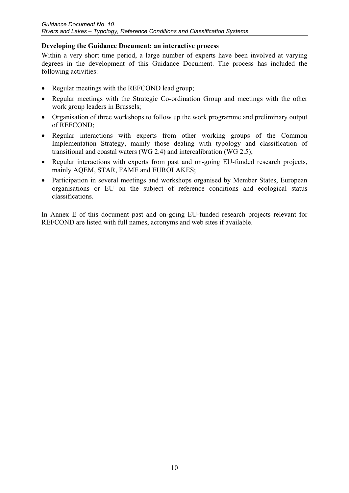#### **Developing the Guidance Document: an interactive process**

Within a very short time period, a large number of experts have been involved at varying degrees in the development of this Guidance Document. The process has included the following activities:

- Regular meetings with the REFCOND lead group;
- Regular meetings with the Strategic Co-ordination Group and meetings with the other work group leaders in Brussels;
- Organisation of three workshops to follow up the work programme and preliminary output of REFCOND;
- Regular interactions with experts from other working groups of the Common Implementation Strategy, mainly those dealing with typology and classification of transitional and coastal waters (WG 2.4) and intercalibration (WG 2.5);
- Regular interactions with experts from past and on-going EU-funded research projects, mainly AQEM, STAR, FAME and EUROLAKES;
- $\bullet$  Participation in several meetings and workshops organised by Member States, European organisations or EU on the subject of reference conditions and ecological status classifications.

In Annex E of this document past and on-going EU-funded research projects relevant for REFCOND are listed with full names, acronyms and web sites if available.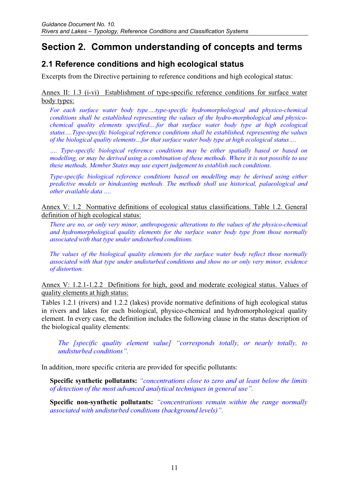# **Section 2. Common understanding of concepts and terms**

### **2.1 Reference conditions and high ecological status**

Excerpts from the Directive pertaining to reference conditions and high ecological status:

#### Annex II: 1.3 (i-vi) Establishment of type-specific reference conditions for surface water body types:

*For each surface water body type….type-specific hydromorphological and physico-chemical conditions shall be established representing the values of the hydro-morphological and physicochemical quality elements specified….for that surface water body type at high ecological status….Type-specific biological reference conditions shall be established, representing the values of the biological quality elements…for that surface water body type at high ecological status….* 

*…. Type-specific biological reference conditions may be either spatially based or based on modelling, or may be derived using a combination of these methods. Where it is not possible to use these methods, Member States may use expert judgement to establish such conditions.* 

*Type-specific biological reference conditions based on modelling may be derived using either predictive models or hindcasting methods. The methods shall use historical, palaeological and other available data ….* 

Annex V: 1.2 Normative definitions of ecological status classifications. Table 1.2. General definition of high ecological status:

*There are no, or only very minor, anthropogenic alterations to the values of the physico-chemical and hydromorphological quality elements for the surface water body type from those normally associated with that type under undisturbed conditions.* 

*The values of the biological quality elements for the surface water body reflect those normally associated with that type under undisturbed conditions and show no or only very minor, evidence of distortion.* 

Annex V: 1.2.1-1.2.2 Definitions for high, good and moderate ecological status. Values of quality elements at high status:

Tables 1.2.1 (rivers) and 1.2.2 (lakes) provide normative definitions of high ecological status in rivers and lakes for each biological, physico-chemical and hydromorphological quality element. In every case, the definition includes the following clause in the status description of the biological quality elements:

*The [specific quality element value] "corresponds totally, or nearly totally, to undisturbed conditions".* 

In addition, more specific criteria are provided for specific pollutants:

**Specific synthetic pollutants:** *"concentrations close to zero and at least below the limits of detection of the most advanced analytical techniques in general use".*

**Specific non-synthetic pollutants:** *"concentrations remain within the range normally associated with undisturbed conditions (background levels)".*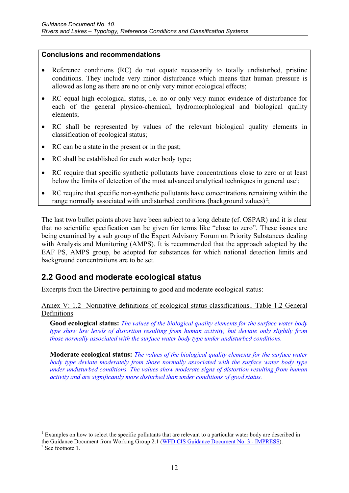#### **Conclusions and recommendations**

- $\bullet$  Reference conditions (RC) do not equate necessarily to totally undisturbed, pristine conditions. They include very minor disturbance which means that human pressure is allowed as long as there are no or only very minor ecological effects;
- $\bullet$  RC equal high ecological status, i.e. no or only very minor evidence of disturbance for each of the general physico-chemical, hydromorphological and biological quality elements;
- $\bullet$  RC shall be represented by values of the relevant biological quality elements in classification of ecological status;
- $\bullet$ RC can be a state in the present or in the past;
- $\bullet$ RC shall be established for each water body type;
- - RC require that specific synthetic pollutants have concentrations close to zero or at least below the limits of detection of the most advanced analytical techniques in general use<sup>1</sup>;
- $\bullet$  RC require that specific non-synthetic pollutants have concentrations remaining within the range normally associated with undisturbed conditions (background values)<sup>2</sup>;

The last two bullet points above have been subject to a long debate (cf. OSPAR) and it is clear that no scientific specification can be given for terms like "close to zero". These issues are being examined by a sub group of the Expert Advisory Forum on Priority Substances dealing with Analysis and Monitoring (AMPS). It is recommended that the approach adopted by the EAF PS, AMPS group, be adopted for substances for which national detection limits and background concentrations are to be set.

### **2.2 Good and moderate ecological status**

<u>.</u>

Excerpts from the Directive pertaining to good and moderate ecological status:

Annex V: 1.2 Normative definitions of ecological status classifications.. Table 1.2 General Definitions

**Good ecological status:** *The values of the biological quality elements for the surface water body type show low levels of distortion resulting from human activity, but deviate only slightly from those normally associated with the surface water body type under undisturbed conditions.* 

**Moderate ecological status:** *The values of the biological quality elements for the surface water*  body type deviate moderately from those normally associated with the surface water body type *under undisturbed conditions. The values show moderate signs of distortion resulting from human activity and are significantly more disturbed than under conditions of good status.* 

<sup>&</sup>lt;sup>1</sup> Examples on how to select the specific pollutants that are relevant to a particular water body are described in the Guidance Document from Working Group 2.1 (WFD CIS Guidance Document No. 3 - IMPRESS).  $2$  See footnote 1.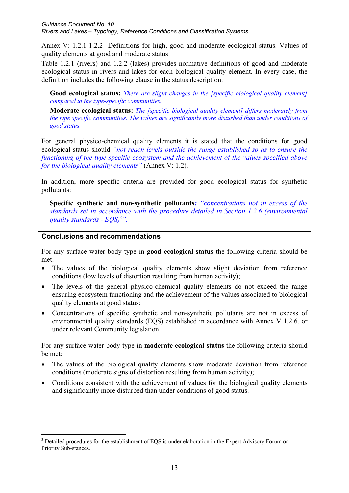Annex V: 1.2.1-1.2.2 Definitions for high, good and moderate ecological status. Values of quality elements at good and moderate status:

Table 1.2.1 (rivers) and 1.2.2 (lakes) provides normative definitions of good and moderate ecological status in rivers and lakes for each biological quality element. In every case, the definition includes the following clause in the status description:

**Good ecological status:** *There are slight changes in the [specific biological quality element] compared to the type-specific communities.*

**Moderate ecological status:** *The [specific biological quality element] differs moderately from the type specific communities. The values are significantly more disturbed than under conditions of good status.* 

For general physico-chemical quality elements it is stated that the conditions for good ecological status should *"not reach levels outside the range established so as to ensure the functioning of the type specific ecosystem and the achievement of the values specified above for the biological quality elements"* (Annex V: 1.2).

In addition, more specific criteria are provided for good ecological status for synthetic pollutants:

**Specific synthetic and non-synthetic pollutants***: "concentrations not in excess of the standards set in accordance with the procedure detailed in Section 1.2.6 (environmental quality standards - EQS)3 ".* 

#### **Conclusions and recommendations**

For any surface water body type in **good ecological status** the following criteria should be met:

- $\bullet$  The values of the biological quality elements show slight deviation from reference conditions (low levels of distortion resulting from human activity);
- $\bullet$  The levels of the general physico-chemical quality elements do not exceed the range ensuring ecosystem functioning and the achievement of the values associated to biological quality elements at good status;
- $\bullet$  Concentrations of specific synthetic and non-synthetic pollutants are not in excess of environmental quality standards (EQS) established in accordance with Annex V 1.2.6. or under relevant Community legislation.

For any surface water body type in **moderate ecological status** the following criteria should be met:

- $\bullet$  The values of the biological quality elements show moderate deviation from reference conditions (moderate signs of distortion resulting from human activity);
- $\bullet$  Conditions consistent with the achievement of values for the biological quality elements and significantly more disturbed than under conditions of good status.

<sup>&</sup>lt;u>.</u> <sup>3</sup> Detailed procedures for the establishment of EQS is under elaboration in the Expert Advisory Forum on Priority Sub-stances.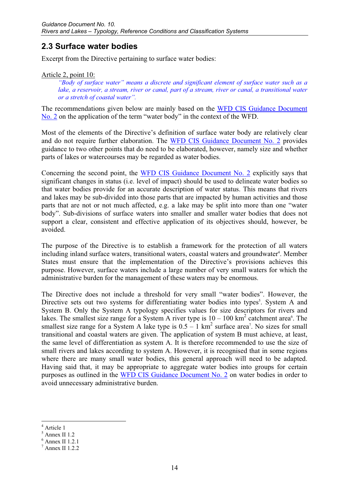### **2.3 Surface water bodies**

Excerpt from the Directive pertaining to surface water bodies:

#### Article 2, point 10:

*"Body of surface water" means a discrete and significant element of surface water such as a lake, a reservoir, a stream, river or canal, part of a stream, river or canal, a transitional water or a stretch of coastal water".* 

The recommendations given below are mainly based on the WFD CIS Guidance Document No. 2 on the application of the term "water body" in the context of the WFD.

Most of the elements of the Directive's definition of surface water body are relatively clear and do not require further elaboration. The WFD CIS Guidance Document No. 2 provides guidance to two other points that do need to be elaborated, however, namely size and whether parts of lakes or watercourses may be regarded as water bodies.

Concerning the second point, the WFD CIS Guidance Document No. 2 explicitly says that significant changes in status (i.e. level of impact) should be used to delineate water bodies so that water bodies provide for an accurate description of water status. This means that rivers and lakes may be sub-divided into those parts that are impacted by human activities and those parts that are not or not much affected, e.g. a lake may be split into more than one "water body". Sub-divisions of surface waters into smaller and smaller water bodies that does not support a clear, consistent and effective application of its objectives should, however, be avoided.

The purpose of the Directive is to establish a framework for the protection of all waters including inland surface waters, transitional waters, coastal waters and groundwater<sup>4</sup>. Member States must ensure that the implementation of the Directive's provisions achieves this purpose. However, surface waters include a large number of very small waters for which the administrative burden for the management of these waters may be enormous.

The Directive does not include a threshold for very small "water bodies". However, the Directive sets out two systems for differentiating water bodies into types<sup>5</sup>. System A and System B. Only the System A typology specifies values for size descriptors for rivers and lakes. The smallest size range for a System A river type is  $10 - 100 \text{ km}^2$  catchment area<sup>6</sup>. The smallest size range for a System A lake type is  $0.5 - 1$  km<sup>2</sup> surface area<sup>7</sup>. No sizes for small transitional and coastal waters are given. The application of system B must achieve, at least, the same level of differentiation as system A. It is therefore recommended to use the size of small rivers and lakes according to system A. However, it is recognised that in some regions where there are many small water bodies, this general approach will need to be adapted. Having said that, it may be appropriate to aggregate water bodies into groups for certain purposes as outlined in the WFD CIS Guidance Document No. 2 on water bodies in order to avoid unnecessary administrative burden.

-

<sup>4</sup> Article 1

<sup>5</sup> Annex II 1.2

<sup>6</sup> Annex II 1.2.1

<sup>7</sup> Annex II 1.2.2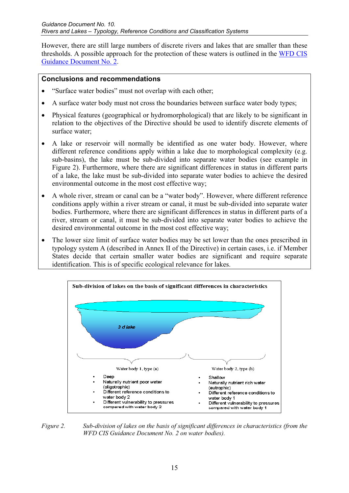However, there are still large numbers of discrete rivers and lakes that are smaller than these thresholds. A possible approach for the protection of these waters is outlined in the WFD CIS Guidance Document No. 2.

#### **Conclusions and recommendations**

- -"Surface water bodies" must not overlap with each other;
- -A surface water body must not cross the boundaries between surface water body types;
- $\bullet$  Physical features (geographical or hydromorphological) that are likely to be significant in relation to the objectives of the Directive should be used to identify discrete elements of surface water;
- $\bullet$  A lake or reservoir will normally be identified as one water body. However, where different reference conditions apply within a lake due to morphological complexity (e.g. sub-basins), the lake must be sub-divided into separate water bodies (see example in Figure 2). Furthermore, where there are significant differences in status in different parts of a lake, the lake must be sub-divided into separate water bodies to achieve the desired environmental outcome in the most cost effective way;
- $\bullet$  A whole river, stream or canal can be a "water body". However, where different reference conditions apply within a river stream or canal, it must be sub-divided into separate water bodies. Furthermore, where there are significant differences in status in different parts of a river, stream or canal, it must be sub-divided into separate water bodies to achieve the desired environmental outcome in the most cost effective way;
- $\bullet$  The lower size limit of surface water bodies may be set lower than the ones prescribed in typology system A (described in Annex II of the Directive) in certain cases, i.e. if Member States decide that certain smaller water bodies are significant and require separate identification. This is of specific ecological relevance for lakes.



*Figure 2. Sub-division of lakes on the basis of significant differences in characteristics (from the WFD CIS Guidance Document No. 2 on water bodies).*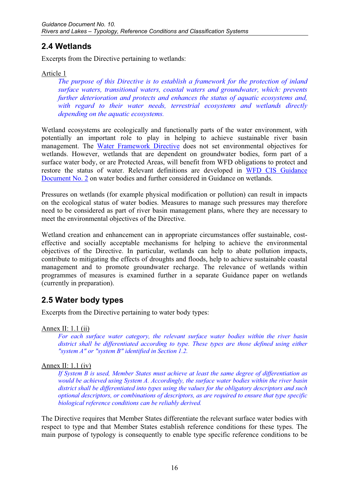### **2.4 Wetlands**

Excerpts from the Directive pertaining to wetlands:

#### Article 1

*The purpose of this Directive is to establish a framework for the protection of inland surface waters, transitional waters, coastal waters and groundwater, which: prevents further deterioration and protects and enhances the status of aquatic ecosystems and,*  with regard to their water needs, terrestrial ecosystems and wetlands directly *depending on the aquatic ecosystems.* 

Wetland ecosystems are ecologically and functionally parts of the water environment, with potentially an important role to play in helping to achieve sustainable river basin management. The Water Framework Directive does not set environmental objectives for wetlands. However, wetlands that are dependent on groundwater bodies, form part of a surface water body, or are Protected Areas, will benefit from WFD obligations to protect and restore the status of water. Relevant definitions are developed in WFD CIS Guidance Document No. 2 on water bodies and further considered in Guidance on wetlands.

Pressures on wetlands (for example physical modification or pollution) can result in impacts on the ecological status of water bodies. Measures to manage such pressures may therefore need to be considered as part of river basin management plans, where they are necessary to meet the environmental objectives of the Directive.

Wetland creation and enhancement can in appropriate circumstances offer sustainable, costeffective and socially acceptable mechanisms for helping to achieve the environmental objectives of the Directive. In particular, wetlands can help to abate pollution impacts, contribute to mitigating the effects of droughts and floods, help to achieve sustainable coastal management and to promote groundwater recharge. The relevance of wetlands within programmes of measures is examined further in a separate Guidance paper on wetlands (currently in preparation).

### **2.5 Water body types**

Excerpts from the Directive pertaining to water body types:

#### Annex II: 1.1 (ii)

*For each surface water category, the relevant surface water bodies within the river basin*  district shall be differentiated according to type. These types are those defined using either *"system A" or "system B" identified in Section 1.2.* 

#### Annex II: 1.1 (iv)

*If System B is used, Member States must achieve at least the same degree of differentiation as would be achieved using System A. Accordingly, the surface water bodies within the river basin district shall be differentiated into types using the values for the obligatory descriptors and such optional descriptors, or combinations of descriptors, as are required to ensure that type specific biological reference conditions can be reliably derived.* 

The Directive requires that Member States differentiate the relevant surface water bodies with respect to type and that Member States establish reference conditions for these types. The main purpose of typology is consequently to enable type specific reference conditions to be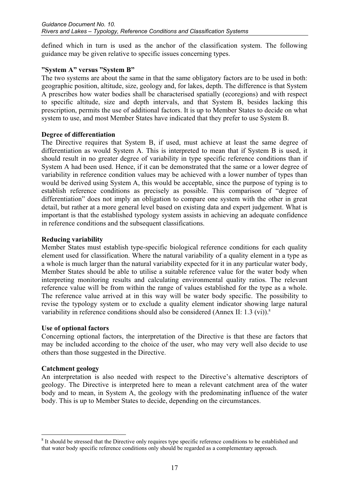defined which in turn is used as the anchor of the classification system. The following guidance may be given relative to specific issues concerning types.

#### **"System A" versus "System B"**

The two systems are about the same in that the same obligatory factors are to be used in both: geographic position, altitude, size, geology and, for lakes, depth. The difference is that System A prescribes how water bodies shall be characterised spatially (ecoregions) and with respect to specific altitude, size and depth intervals, and that System B, besides lacking this prescription, permits the use of additional factors. It is up to Member States to decide on what system to use, and most Member States have indicated that they prefer to use System B.

#### **Degree of differentiation**

The Directive requires that System B, if used, must achieve at least the same degree of differentiation as would System A. This is interpreted to mean that if System B is used, it should result in no greater degree of variability in type specific reference conditions than if System A had been used. Hence, if it can be demonstrated that the same or a lower degree of variability in reference condition values may be achieved with a lower number of types than would be derived using System A, this would be acceptable, since the purpose of typing is to establish reference conditions as precisely as possible. This comparison of "degree of differentiation" does not imply an obligation to compare one system with the other in great detail, but rather at a more general level based on existing data and expert judgement. What is important is that the established typology system assists in achieving an adequate confidence in reference conditions and the subsequent classifications.

#### **Reducing variability**

Member States must establish type-specific biological reference conditions for each quality element used for classification. Where the natural variability of a quality element in a type as a whole is much larger than the natural variability expected for it in any particular water body, Member States should be able to utilise a suitable reference value for the water body when interpreting monitoring results and calculating environmental quality ratios. The relevant reference value will be from within the range of values established for the type as a whole. The reference value arrived at in this way will be water body specific. The possibility to revise the typology system or to exclude a quality element indicator showing large natural variability in reference conditions should also be considered (Annex II: 1.3 (vi)).<sup>8</sup>

#### **Use of optional factors**

Concerning optional factors, the interpretation of the Directive is that these are factors that may be included according to the choice of the user, who may very well also decide to use others than those suggested in the Directive.

#### **Catchment geology**

An interpretation is also needed with respect to the Directive's alternative descriptors of geology. The Directive is interpreted here to mean a relevant catchment area of the water body and to mean, in System A, the geology with the predominating influence of the water body. This is up to Member States to decide, depending on the circumstances.

<sup>&</sup>lt;sup>8</sup> It should be stressed that the Directive only requires type specific reference conditions to be established and that water body specific reference conditions only should be regarded as a complementary approach.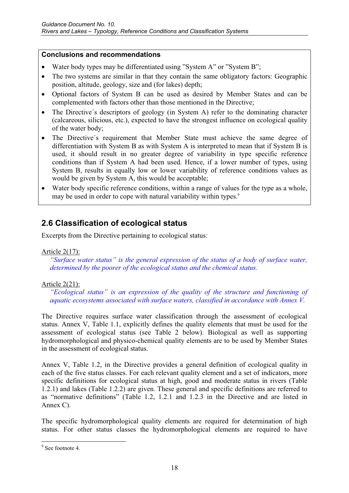#### **Conclusions and recommendations**

- $\bullet$ Water body types may be differentiated using "System A" or "System B";
- - The two systems are similar in that they contain the same obligatory factors: Geographic position, altitude, geology, size and (for lakes) depth;
- $\bullet$  Optional factors of System B can be used as desired by Member States and can be complemented with factors other than those mentioned in the Directive;
- $\bullet$  The Directive´s descriptors of geology (in System A) refer to the dominating character (calcareous, silicious, etc.), expected to have the strongest influence on ecological quality of the water body;
- $\bullet$  The Directive´s requirement that Member State must achieve the same degree of differentiation with System B as with System A is interpreted to mean that if System B is used, it should result in no greater degree of variability in type specific reference conditions than if System A had been used. Hence, if a lower number of types, using System B, results in equally low or lower variability of reference conditions values as would be given by System A, this would be acceptable;
- $\bullet$  Water body specific reference conditions, within a range of values for the type as a whole, may be used in order to cope with natural variability within types.<sup>9</sup>

### **2.6 Classification of ecological status**

Excerpts from the Directive pertaining to ecological status:

#### Article 2(17):

*"Surface water status" is the general expression of the status of a body of surface water, determined by the poorer of the ecological status and the chemical status.* 

#### Article 2(21):

*"Ecological status" is an expression of the quality of the structure and functioning of aquatic ecosystems associated with surface waters, classified in accordance with Annex V.* 

The Directive requires surface water classification through the assessment of ecological status. Annex V, Table 1.1, explicitly defines the quality elements that must be used for the assessment of ecological status (see Table 2 below). Biological as well as supporting hydromorphological and physico-chemical quality elements are to be used by Member States in the assessment of ecological status.

Annex V, Table 1.2, in the Directive provides a general definition of ecological quality in each of the five status classes. For each relevant quality element and a set of indicators, more specific definitions for ecological status at high, good and moderate status in rivers (Table 1.2.1) and lakes (Table 1.2.2) are given. These general and specific definitions are referred to as "normative definitions" (Table 1.2, 1.2.1 and 1.2.3 in the Directive and are listed in Annex C).

The specific hydromorphological quality elements are required for determination of high status. For other status classes the hydromorphological elements are required to have

 $\frac{9}{9}$  See footnote 4.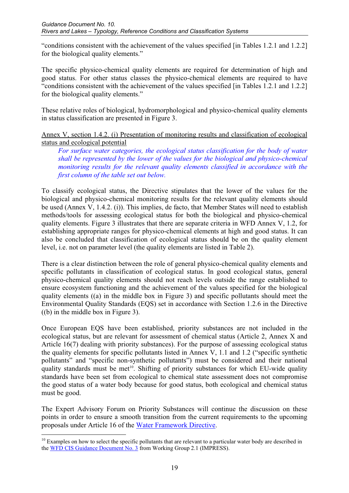"conditions consistent with the achievement of the values specified [in Tables 1.2.1 and 1.2.2] for the biological quality elements."

The specific physico-chemical quality elements are required for determination of high and good status. For other status classes the physico-chemical elements are required to have "conditions consistent with the achievement of the values specified [in Tables 1.2.1 and 1.2.2] for the biological quality elements."

These relative roles of biological, hydromorphological and physico-chemical quality elements in status classification are presented in Figure 3.

Annex V, section 1.4.2. (i) Presentation of monitoring results and classification of ecological status and ecological potential

*For surface water categories, the ecological status classification for the body of water shall be represented by the lower of the values for the biological and physico-chemical monitoring results for the relevant quality elements classified in accordance with the first column of the table set out below.* 

To classify ecological status, the Directive stipulates that the lower of the values for the biological and physico-chemical monitoring results for the relevant quality elements should be used (Annex V, 1.4.2. (i)). This implies, de facto, that Member States will need to establish methods/tools for assessing ecological status for both the biological and physico-chemical quality elements. Figure 3 illustrates that there are separate criteria in WFD Annex V, 1.2, for establishing appropriate ranges for physico-chemical elements at high and good status. It can also be concluded that classification of ecological status should be on the quality element level, i.e. not on parameter level (the quality elements are listed in Table 2).

There is a clear distinction between the role of general physico-chemical quality elements and specific pollutants in classification of ecological status. In good ecological status, general physico-chemical quality elements should not reach levels outside the range established to ensure ecosystem functioning and the achievement of the values specified for the biological quality elements ((a) in the middle box in Figure 3) and specific pollutants should meet the Environmental Quality Standards (EQS) set in accordance with Section 1.2.6 in the Directive ((b) in the middle box in Figure 3).

Once European EQS have been established, priority substances are not included in the ecological status, but are relevant for assessment of chemical status (Article 2, Annex X and Article 16(7) dealing with priority substances). For the purpose of assessing ecological status the quality elements for specific pollutants listed in Annex V, 1.1 and 1.2 ("specific synthetic pollutants" and "specific non-synthetic pollutants") must be considered and their national quality standards must be met<sup>10</sup>. Shifting of priority substances for which EU-wide quality standards have been set from ecological to chemical state assessment does not compromise the good status of a water body because for good status, both ecological and chemical status must be good.

The Expert Advisory Forum on Priority Substances will continue the discussion on these points in order to ensure a smooth transition from the current requirements to the upcoming proposals under Article 16 of the Water Framework Directive.

<u>.</u>

<sup>&</sup>lt;sup>10</sup> Examples on how to select the specific pollutants that are relevant to a particular water body are described in the WFD CIS Guidance Document No. 3 from Working Group 2.1 (IMPRESS).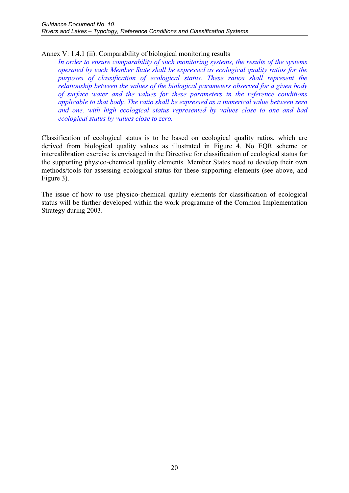#### Annex V: 1.4.1 (ii). Comparability of biological monitoring results

*In order to ensure comparability of such monitoring systems, the results of the systems operated by each Member State shall be expressed as ecological quality ratios for the purposes of classification of ecological status. These ratios shall represent the relationship between the values of the biological parameters observed for a given body of surface water and the values for these parameters in the reference conditions applicable to that body. The ratio shall be expressed as a numerical value between zero and one, with high ecological status represented by values close to one and bad ecological status by values close to zero.* 

Classification of ecological status is to be based on ecological quality ratios, which are derived from biological quality values as illustrated in Figure 4. No EQR scheme or intercalibration exercise is envisaged in the Directive for classification of ecological status for the supporting physico-chemical quality elements. Member States need to develop their own methods/tools for assessing ecological status for these supporting elements (see above, and Figure 3).

The issue of how to use physico-chemical quality elements for classification of ecological status will be further developed within the work programme of the Common Implementation Strategy during 2003.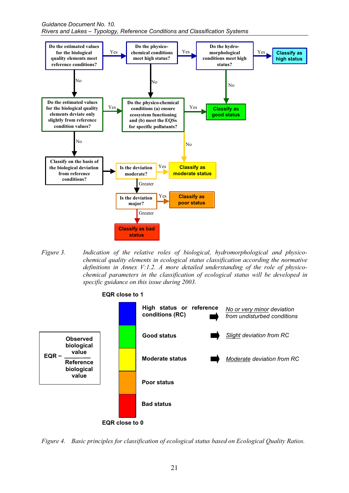

*Figure 3. Indication of the relative roles of biological, hydromorphological and physicochemical quality elements in ecological status classification according the normative definitions in Annex V:1.2. A more detailed understanding of the role of physicochemical parameters in the classification of ecological status will be developed in specific guidance on this issue during 2003.* 



*Figure 4. Basic principles for classification of ecological status based on Ecological Quality Ratios.*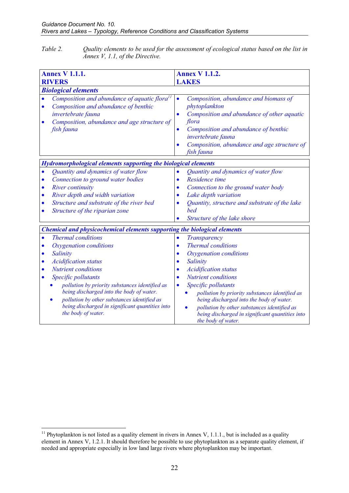*Table 2. Quality elements to be used for the assessment of ecological status based on the list in Annex V, 1.1, of the Directive.* 

| <b>RIVERS</b>                       | <b>Annex V 1.1.1.</b><br><b>Biological elements</b>                                                                                                                                                                                                                                                                                                                       | <b>Annex V 1.1.2.</b><br><b>LAKES</b>                                                                                                                                                                                                                                                                                                                                                                                                         |
|-------------------------------------|---------------------------------------------------------------------------------------------------------------------------------------------------------------------------------------------------------------------------------------------------------------------------------------------------------------------------------------------------------------------------|-----------------------------------------------------------------------------------------------------------------------------------------------------------------------------------------------------------------------------------------------------------------------------------------------------------------------------------------------------------------------------------------------------------------------------------------------|
| $\bullet$                           | Composition and abundance of aquatic flora <sup>11</sup><br>Composition and abundance of benthic<br>invertebrate fauna<br>Composition, abundance and age structure of<br>fish fauna                                                                                                                                                                                       | Composition, abundance and biomass of<br>$\bullet$<br>phytoplankton<br>Composition and abundance of other aquatic<br>$\bullet$<br>flora<br>Composition and abundance of benthic<br>$\bullet$<br>invertebrate fauna<br>Composition, abundance and age structure of<br>$\bullet$<br>fish fauna                                                                                                                                                  |
| $\bullet$<br>$\bullet$<br>$\bullet$ | <b>Hydromorphological elements supporting the biological elements</b><br>Quantity and dynamics of water flow<br>Connection to ground water bodies<br><b>River continuity</b><br>River depth and width variation<br>Structure and substrate of the river bed<br>Structure of the riparian zone                                                                             | Quantity and dynamics of water flow<br>$\bullet$<br>Residence time<br>$\bullet$<br>Connection to the ground water body<br>$\bullet$<br>Lake depth variation<br>$\bullet$<br>Quantity, structure and substrate of the lake<br>$\bullet$<br>bed<br>Structure of the lake shore                                                                                                                                                                  |
|                                     | <b>Chemical and physicochemical elements supporting the biological elements</b>                                                                                                                                                                                                                                                                                           |                                                                                                                                                                                                                                                                                                                                                                                                                                               |
| $\bullet$<br>$\bullet$<br>$\bullet$ | <b>Thermal</b> conditions<br>Oxygenation conditions<br>Salinity<br><b>Acidification status</b><br><b>Nutrient conditions</b><br>Specific pollutants<br>pollution by priority substances identified as<br>being discharged into the body of water.<br>pollution by other substances identified as<br>being discharged in significant quantities into<br>the body of water. | Transparency<br>$\bullet$<br><b>Thermal</b> conditions<br>Oxygenation conditions<br>Salinity<br><b>Acidification status</b><br><b>Nutrient conditions</b><br>Specific pollutants<br>$\bullet$<br>pollution by priority substances identified as<br>$\bullet$<br>being discharged into the body of water.<br>pollution by other substances identified as<br>$\bullet$<br>being discharged in significant quantities into<br>the body of water. |

<sup>&</sup>lt;u>.</u> <sup>11</sup> Phytoplankton is not listed as a quality element in rivers in Annex V, 1.1.1., but is included as a quality element in Annex V, 1.2.1. It should therefore be possible to use phytoplankton as a separate quality element, if needed and appropriate especially in low land large rivers where phytoplankton may be important.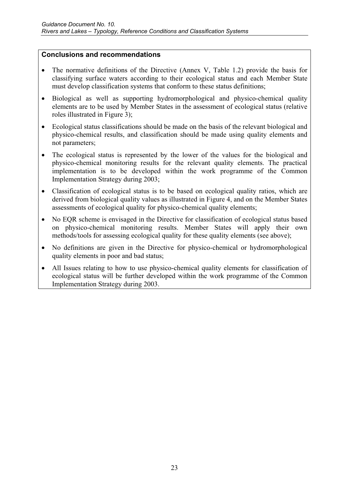#### **Conclusions and recommendations**

- - The normative definitions of the Directive (Annex V, Table 1.2) provide the basis for classifying surface waters according to their ecological status and each Member State must develop classification systems that conform to these status definitions;
- $\bullet$  Biological as well as supporting hydromorphological and physico-chemical quality elements are to be used by Member States in the assessment of ecological status (relative roles illustrated in Figure 3);
- $\bullet$  Ecological status classifications should be made on the basis of the relevant biological and physico-chemical results, and classification should be made using quality elements and not parameters;
- $\bullet$  The ecological status is represented by the lower of the values for the biological and physico-chemical monitoring results for the relevant quality elements. The practical implementation is to be developed within the work programme of the Common Implementation Strategy during 2003;
- $\bullet$  Classification of ecological status is to be based on ecological quality ratios, which are derived from biological quality values as illustrated in Figure 4, and on the Member States assessments of ecological quality for physico-chemical quality elements;
- $\bullet$  No EQR scheme is envisaged in the Directive for classification of ecological status based on physico-chemical monitoring results. Member States will apply their own methods/tools for assessing ecological quality for these quality elements (see above);
- $\bullet$  No definitions are given in the Directive for physico-chemical or hydromorphological quality elements in poor and bad status;
- $\bullet$  All Issues relating to how to use physico-chemical quality elements for classification of ecological status will be further developed within the work programme of the Common Implementation Strategy during 2003.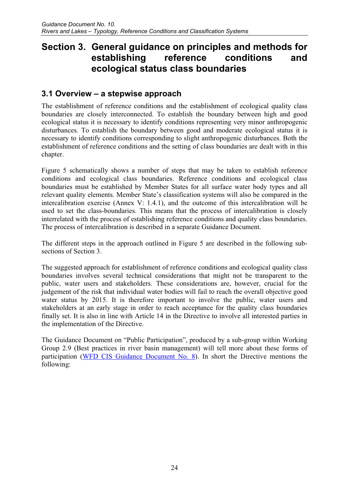## **Section 3. General guidance on principles and methods for establishing reference conditions and ecological status class boundaries**

### **3.1 Overview – a stepwise approach**

The establishment of reference conditions and the establishment of ecological quality class boundaries are closely interconnected. To establish the boundary between high and good ecological status it is necessary to identify conditions representing very minor anthropogenic disturbances. To establish the boundary between good and moderate ecological status it is necessary to identify conditions corresponding to slight anthropogenic disturbances. Both the establishment of reference conditions and the setting of class boundaries are dealt with in this chapter.

Figure 5 schematically shows a number of steps that may be taken to establish reference conditions and ecological class boundaries. Reference conditions and ecological class boundaries must be established by Member States for all surface water body types and all relevant quality elements. Member State's classification systems will also be compared in the intercalibration exercise (Annex V: 1.4.1), and the outcome of this intercalibration will be used to set the class-boundaries. This means that the process of intercalibration is closely interrelated with the process of establishing reference conditions and quality class boundaries. The process of intercalibration is described in a separate Guidance Document.

The different steps in the approach outlined in Figure 5 are described in the following subsections of Section 3.

The suggested approach for establishment of reference conditions and ecological quality class boundaries involves several technical considerations that might not be transparent to the public, water users and stakeholders. These considerations are, however, crucial for the judgement of the risk that individual water bodies will fail to reach the overall objective good water status by 2015. It is therefore important to involve the public, water users and stakeholders at an early stage in order to reach acceptance for the quality class boundaries finally set. It is also in line with Article 14 in the Directive to involve all interested parties in the implementation of the Directive.

The Guidance Document on "Public Participation", produced by a sub-group within Working Group 2.9 (Best practices in river basin management) will tell more about these forms of participation (WFD CIS Guidance Document No. 8). In short the Directive mentions the following: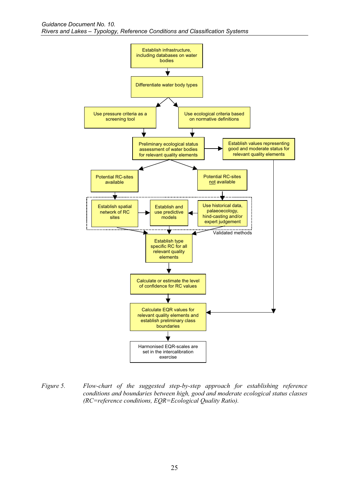

*Figure 5. Flow-chart of the suggested step-by-step approach for establishing reference conditions and boundaries between high, good and moderate ecological status classes (RC=reference conditions, EQR=Ecological Quality Ratio).*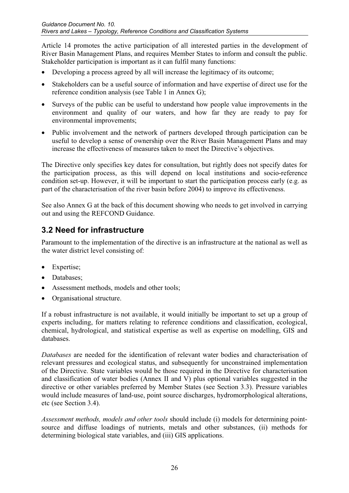Article 14 promotes the active participation of all interested parties in the development of River Basin Management Plans, and requires Member States to inform and consult the public. Stakeholder participation is important as it can fulfil many functions:

- Developing a process agreed by all will increase the legitimacy of its outcome;
- Stakeholders can be a useful source of information and have expertise of direct use for the reference condition analysis (see Table 1 in Annex G);
- Surveys of the public can be useful to understand how people value improvements in the environment and quality of our waters, and how far they are ready to pay for environmental improvements;
- Public involvement and the network of partners developed through participation can be useful to develop a sense of ownership over the River Basin Management Plans and may increase the effectiveness of measures taken to meet the Directive's objectives.

The Directive only specifies key dates for consultation, but rightly does not specify dates for the participation process, as this will depend on local institutions and socio-reference condition set-up. However, it will be important to start the participation process early (e.g. as part of the characterisation of the river basin before 2004) to improve its effectiveness.

See also Annex G at the back of this document showing who needs to get involved in carrying out and using the REFCOND Guidance.

### **3.2 Need for infrastructure**

Paramount to the implementation of the directive is an infrastructure at the national as well as the water district level consisting of:

- Expertise;
- Databases;
- Assessment methods, models and other tools;
- Organisational structure.

If a robust infrastructure is not available, it would initially be important to set up a group of experts including, for matters relating to reference conditions and classification, ecological, chemical, hydrological, and statistical expertise as well as expertise on modelling, GIS and databases.

*Databases* are needed for the identification of relevant water bodies and characterisation of relevant pressures and ecological status, and subsequently for unconstrained implementation of the Directive. State variables would be those required in the Directive for characterisation and classification of water bodies (Annex II and V) plus optional variables suggested in the directive or other variables preferred by Member States (see Section 3.3). Pressure variables would include measures of land-use, point source discharges, hydromorphological alterations, etc (see Section 3.4).

*Assessment methods, models and other tools* should include (i) models for determining pointsource and diffuse loadings of nutrients, metals and other substances, (ii) methods for determining biological state variables, and (iii) GIS applications.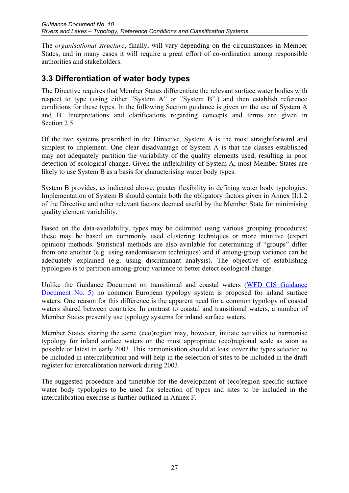The *organisational structure*, finally, will vary depending on the circumstances in Member States, and in many cases it will require a great effort of co-ordination among responsible authorities and stakeholders.

### **3.3 Differentiation of water body types**

The Directive requires that Member States differentiate the relevant surface water bodies with respect to type (using either "System A" or "System B".) and then establish reference conditions for these types. In the following Section guidance is given on the use of System A and B. Interpretations and clarifications regarding concepts and terms are given in Section 2.5.

Of the two systems prescribed in the Directive, System A is the most straightforward and simplest to implement. One clear disadvantage of System A is that the classes established may not adequately partition the variability of the quality elements used, resulting in poor detection of ecological change. Given the inflexibility of System A, most Member States are likely to use System B as a basis for characterising water body types.

System B provides, as indicated above, greater flexibility in defining water body typologies. Implementation of System B should contain both the obligatory factors given in Annex II:1.2 of the Directive and other relevant factors deemed useful by the Member State for minimising quality element variability.

Based on the data-availability, types may be delimited using various grouping procedures; these may be based on commonly used clustering techniques or more intuitive (expert opinion) methods. Statistical methods are also available for determining if "groups" differ from one another (e.g. using randomisation techniques) and if among-group variance can be adequately explained (e.g. using discriminant analysis). The objective of establishing typologies is to partition among-group variance to better detect ecological change.

Unlike the Guidance Document on transitional and coastal waters (WFD CIS Guidance Document No. 5) no common European typology system is proposed for inland surface waters. One reason for this difference is the apparent need for a common typology of coastal waters shared between countries. In contrast to coastal and transitional waters, a number of Member States presently use typology systems for inland surface waters.

Member States sharing the same (eco)region may, however, initiate activities to harmonise typology for inland surface waters on the most appropriate (eco)regional scale as soon as possible or latest in early 2003. This harmonisation should at least cover the types selected to be included in intercalibration and will help in the selection of sites to be included in the draft register for intercalibration network during 2003.

The suggested procedure and timetable for the development of (eco)region specific surface water body typologies to be used for selection of types and sites to be included in the intercalibration exercise is further outlined in Annex F.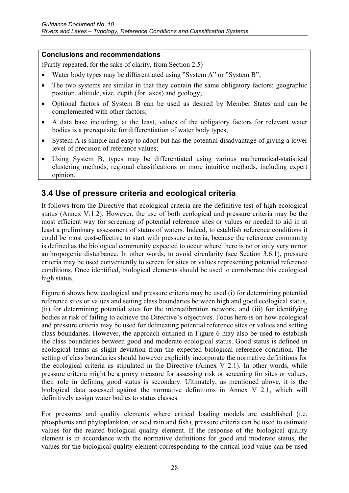#### **Conclusions and recommendations**

(Partly repeated, for the sake of clarity, from Section 2.5)

- $\bullet$ Water body types may be differentiated using "System A" or "System B";
- $\bullet$  The two systems are similar in that they contain the same obligatory factors: geographic position, altitude, size, depth (for lakes) and geology;
- $\bullet$  Optional factors of System B can be used as desired by Member States and can be complemented with other factors;
- $\bullet$  A data base including, at the least, values of the obligatory factors for relevant water bodies is a prerequisite for differentiation of water body types;
- $\bullet$  System A is simple and easy to adopt but has the potential disadvantage of giving a lower level of precision of reference values;
- $\bullet$  Using System B, types may be differentiated using various mathematical-statistical clustering methods, regional classifications or more intuitive methods, including expert opinion.

### **3.4 Use of pressure criteria and ecological criteria**

It follows from the Directive that ecological criteria are the definitive test of high ecological status (Annex V:1.2). However, the use of both ecological and pressure criteria may be the most efficient way for screening of potential reference sites or values or needed to aid in at least a preliminary assessment of status of waters. Indeed, to establish reference conditions it could be most cost-effective to start with pressure criteria, because the reference community is defined as the biological community expected to occur where there is no or only very minor anthropogenic disturbance. In other words, to avoid circularity (see Section 3.6.1), pressure criteria may be used conveniently to screen for sites or values representing potential reference conditions. Once identified, biological elements should be used to corroborate this ecological high status.

Figure 6 shows how ecological and pressure criteria may be used (i) for determining potential reference sites or values and setting class boundaries between high and good ecological status, (ii) for determining potential sites for the intercalibration network, and (iii) for identifying bodies at risk of failing to achieve the Directive's objectives. Focus here is on how ecological and pressure criteria may be used for delineating potential reference sites or values and setting class boundaries. However, the approach outlined in Figure 6 may also be used to establish the class boundaries between good and moderate ecological status. Good status is defined in ecological terms as slight deviation from the expected biological reference condition. The setting of class boundaries should however explicitly incorporate the normative definitions for the ecological criteria as stipulated in the Directive (Annex V 2.1). In other words, while pressure criteria might be a proxy measure for assessing risk or screening for sites or values, their role in defining good status is secondary. Ultimately, as mentioned above, it is the biological data assessed against the normative definitions in Annex V 2.1, which will definitively assign water bodies to status classes.

For pressures and quality elements where critical loading models are established (i.e. phosphorus and phytoplankton, or acid rain and fish), pressure criteria can be used to estimate values for the related biological quality element. If the response of the biological quality element is in accordance with the normative definitions for good and moderate status, the values for the biological quality element corresponding to the critical load value can be used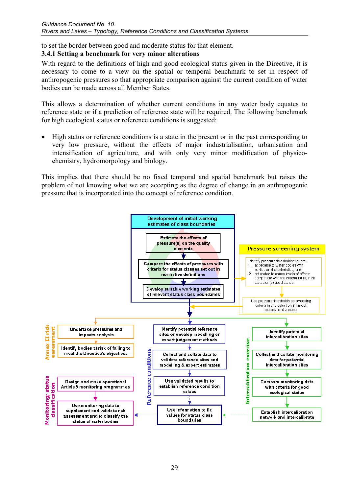to set the border between good and moderate status for that element.

#### **3.4.1 Setting a benchmark for very minor alterations**

With regard to the definitions of high and good ecological status given in the Directive, it is necessary to come to a view on the spatial or temporal benchmark to set in respect of anthropogenic pressures so that appropriate comparison against the current condition of water bodies can be made across all Member States.

This allows a determination of whether current conditions in any water body equates to reference state or if a prediction of reference state will be required. The following benchmark for high ecological status or reference conditions is suggested:

 $\bullet$ High status or reference conditions is a state in the present or in the past corresponding to very low pressure, without the effects of major industrialisation, urbanisation and intensification of agriculture, and with only very minor modification of physicochemistry, hydromorpology and biology.

This implies that there should be no fixed temporal and spatial benchmark but raises the problem of not knowing what we are accepting as the degree of change in an anthropogenic pressure that is incorporated into the concept of reference condition.

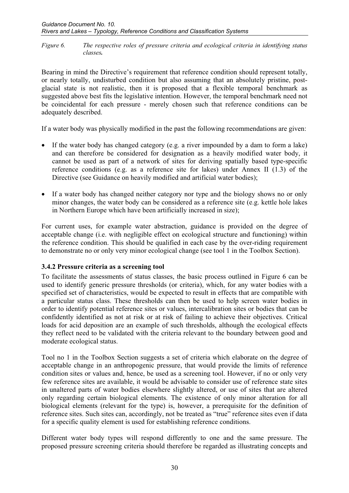*Figure 6. The respective roles of pressure criteria and ecological criteria in identifying status classes.* 

Bearing in mind the Directive's requirement that reference condition should represent totally, or nearly totally, undisturbed condition but also assuming that an absolutely pristine, postglacial state is not realistic, then it is proposed that a flexible temporal benchmark as suggested above best fits the legislative intention. However, the temporal benchmark need not be coincidental for each pressure - merely chosen such that reference conditions can be adequately described.

If a water body was physically modified in the past the following recommendations are given:

- $\bullet$  If the water body has changed category (e.g. a river impounded by a dam to form a lake) and can therefore be considered for designation as a heavily modified water body, it cannot be used as part of a network of sites for deriving spatially based type-specific reference conditions (e.g. as a reference site for lakes) under Annex II (1.3) of the Directive (see Guidance on heavily modified and artificial water bodies);
- If a water body has changed neither category nor type and the biology shows no or only minor changes, the water body can be considered as a reference site (e.g. kettle hole lakes in Northern Europe which have been artificially increased in size);

For current uses, for example water abstraction, guidance is provided on the degree of acceptable change (i.e. with negligible effect on ecological structure and functioning) within the reference condition. This should be qualified in each case by the over-riding requirement to demonstrate no or only very minor ecological change (see tool 1 in the Toolbox Section).

#### **3.4.2 Pressure criteria as a screening tool**

To facilitate the assessments of status classes, the basic process outlined in Figure 6 can be used to identify generic pressure thresholds (or criteria), which, for any water bodies with a specified set of characteristics, would be expected to result in effects that are compatible with a particular status class. These thresholds can then be used to help screen water bodies in order to identify potential reference sites or values, intercalibration sites or bodies that can be confidently identified as not at risk or at risk of failing to achieve their objectives. Critical loads for acid deposition are an example of such thresholds, although the ecological effects they reflect need to be validated with the criteria relevant to the boundary between good and moderate ecological status.

Tool no 1 in the Toolbox Section suggests a set of criteria which elaborate on the degree of acceptable change in an anthropogenic pressure, that would provide the limits of reference condition sites or values and, hence, be used as a screening tool. However, if no or only very few reference sites are available, it would be advisable to consider use of reference state sites in unaltered parts of water bodies elsewhere slightly altered, or use of sites that are altered only regarding certain biological elements. The existence of only minor alteration for all biological elements (relevant for the type) is, however, a prerequisite for the definition of reference sites. Such sites can, accordingly, not be treated as "true" reference sites even if data for a specific quality element is used for establishing reference conditions.

Different water body types will respond differently to one and the same pressure. The proposed pressure screening criteria should therefore be regarded as illustrating concepts and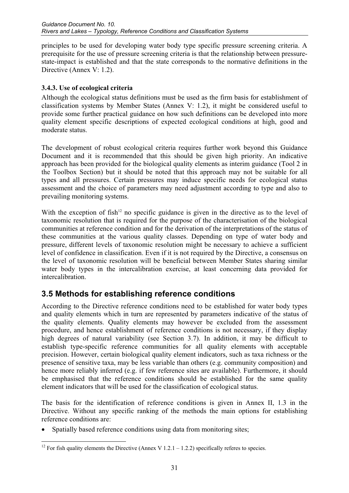principles to be used for developing water body type specific pressure screening criteria. A prerequisite for the use of pressure screening criteria is that the relationship between pressurestate-impact is established and that the state corresponds to the normative definitions in the Directive (Annex V: 1.2).

#### **3.4.3. Use of ecological criteria**

Although the ecological status definitions must be used as the firm basis for establishment of classification systems by Member States (Annex V: 1.2), it might be considered useful to provide some further practical guidance on how such definitions can be developed into more quality element specific descriptions of expected ecological conditions at high, good and moderate status.

The development of robust ecological criteria requires further work beyond this Guidance Document and it is recommended that this should be given high priority. An indicative approach has been provided for the biological quality elements as interim guidance (Tool 2 in the Toolbox Section) but it should be noted that this approach may not be suitable for all types and all pressures. Certain pressures may induce specific needs for ecological status assessment and the choice of parameters may need adjustment according to type and also to prevailing monitoring systems.

With the exception of fish<sup>12</sup> no specific guidance is given in the directive as to the level of taxonomic resolution that is required for the purpose of the characterisation of the biological communities at reference condition and for the derivation of the interpretations of the status of these communities at the various quality classes. Depending on type of water body and pressure, different levels of taxonomic resolution might be necessary to achieve a sufficient level of confidence in classification. Even if it is not required by the Directive, a consensus on the level of taxonomic resolution will be beneficial between Member States sharing similar water body types in the intercalibration exercise, at least concerning data provided for intercalibration.

## **3.5 Methods for establishing reference conditions**

According to the Directive reference conditions need to be established for water body types and quality elements which in turn are represented by parameters indicative of the status of the quality elements. Quality elements may however be excluded from the assessment procedure, and hence establishment of reference conditions is not necessary, if they display high degrees of natural variability (see Section 3.7). In addition, it may be difficult to establish type-specific reference communities for all quality elements with acceptable precision. However, certain biological quality element indicators, such as taxa richness or the presence of sensitive taxa, may be less variable than others (e.g. community composition) and hence more reliably inferred (e.g. if few reference sites are available). Furthermore, it should be emphasised that the reference conditions should be established for the same quality element indicators that will be used for the classification of ecological status.

The basis for the identification of reference conditions is given in Annex II, 1.3 in the Directive. Without any specific ranking of the methods the main options for establishing reference conditions are:

 $\bullet$ Spatially based reference conditions using data from monitoring sites;

<sup>-</sup><sup>12</sup> For fish quality elements the Directive (Annex V 1.2.1 – 1.2.2) specifically referes to species.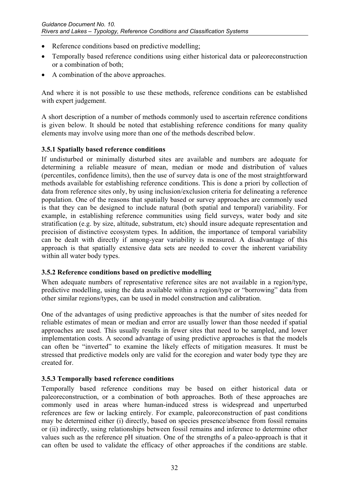- Reference conditions based on predictive modelling;
- Temporally based reference conditions using either historical data or paleoreconstruction or a combination of both;
- A combination of the above approaches.

And where it is not possible to use these methods, reference conditions can be established with expert judgement.

A short description of a number of methods commonly used to ascertain reference conditions is given below. It should be noted that establishing reference conditions for many quality elements may involve using more than one of the methods described below.

#### **3.5.1 Spatially based reference conditions**

If undisturbed or minimally disturbed sites are available and numbers are adequate for determining a reliable measure of mean, median or mode and distribution of values (percentiles, confidence limits), then the use of survey data is one of the most straightforward methods available for establishing reference conditions. This is done a priori by collection of data from reference sites only, by using inclusion/exclusion criteria for delineating a reference population. One of the reasons that spatially based or survey approaches are commonly used is that they can be designed to include natural (both spatial and temporal) variability. For example, in establishing reference communities using field surveys, water body and site stratification (e.g. by size, altitude, substratum, etc) should insure adequate representation and precision of distinctive ecosystem types. In addition, the importance of temporal variability can be dealt with directly if among-year variability is measured. A disadvantage of this approach is that spatially extensive data sets are needed to cover the inherent variability within all water body types.

#### **3.5.2 Reference conditions based on predictive modelling**

When adequate numbers of representative reference sites are not available in a region/type, predictive modelling, using the data available within a region/type or "borrowing" data from other similar regions/types, can be used in model construction and calibration.

One of the advantages of using predictive approaches is that the number of sites needed for reliable estimates of mean or median and error are usually lower than those needed if spatial approaches are used. This usually results in fewer sites that need to be sampled, and lower implementation costs. A second advantage of using predictive approaches is that the models can often be "inverted" to examine the likely effects of mitigation measures. It must be stressed that predictive models only are valid for the ecoregion and water body type they are created for.

### **3.5.3 Temporally based reference conditions**

Temporally based reference conditions may be based on either historical data or paleoreconstruction, or a combination of both approaches. Both of these approaches are commonly used in areas where human-induced stress is widespread and unperturbed references are few or lacking entirely. For example, paleoreconstruction of past conditions may be determined either (i) directly, based on species presence/absence from fossil remains or (ii) indirectly, using relationships between fossil remains and inference to determine other values such as the reference pH situation. One of the strengths of a paleo-approach is that it can often be used to validate the efficacy of other approaches if the conditions are stable.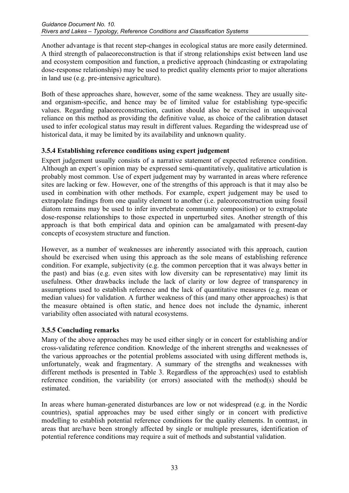Another advantage is that recent step-changes in ecological status are more easily determined. A third strength of palaeoreconstruction is that if strong relationships exist between land use and ecosystem composition and function, a predictive approach (hindcasting or extrapolating dose-response relationships) may be used to predict quality elements prior to major alterations in land use (e.g. pre-intensive agriculture).

Both of these approaches share, however, some of the same weakness. They are usually siteand organism-specific, and hence may be of limited value for establishing type-specific values. Regarding palaeoreconstruction, caution should also be exercised in unequivocal reliance on this method as providing the definitive value, as choice of the calibration dataset used to infer ecological status may result in different values. Regarding the widespread use of historical data, it may be limited by its availability and unknown quality.

#### **3.5.4 Establishing reference conditions using expert judgement**

Expert judgement usually consists of a narrative statement of expected reference condition. Although an expert´s opinion may be expressed semi-quantitatively, qualitative articulation is probably most common. Use of expert judgement may by warranted in areas where reference sites are lacking or few. However, one of the strengths of this approach is that it may also be used in combination with other methods. For example, expert judgement may be used to extrapolate findings from one quality element to another (i.e. paleoreconstruction using fossil diatom remains may be used to infer invertebrate community composition) or to extrapolate dose-response relationships to those expected in unperturbed sites. Another strength of this approach is that both empirical data and opinion can be amalgamated with present-day concepts of ecosystem structure and function.

However, as a number of weaknesses are inherently associated with this approach, caution should be exercised when using this approach as the sole means of establishing reference condition. For example, subjectivity (e.g. the common perception that it was always better in the past) and bias (e.g. even sites with low diversity can be representative) may limit its usefulness. Other drawbacks include the lack of clarity or low degree of transparency in assumptions used to establish reference and the lack of quantitative measures (e.g. mean or median values) for validation. A further weakness of this (and many other approaches) is that the measure obtained is often static, and hence does not include the dynamic, inherent variability often associated with natural ecosystems.

### **3.5.5 Concluding remarks**

Many of the above approaches may be used either singly or in concert for establishing and/or cross-validating reference condition. Knowledge of the inherent strengths and weaknesses of the various approaches or the potential problems associated with using different methods is, unfortunately, weak and fragmentary. A summary of the strengths and weaknesses with different methods is presented in Table 3. Regardless of the approach(es) used to establish reference condition, the variability (or errors) associated with the method(s) should be estimated.

In areas where human-generated disturbances are low or not widespread (e.g. in the Nordic countries), spatial approaches may be used either singly or in concert with predictive modelling to establish potential reference conditions for the quality elements. In contrast, in areas that are/have been strongly affected by single or multiple pressures, identification of potential reference conditions may require a suit of methods and substantial validation.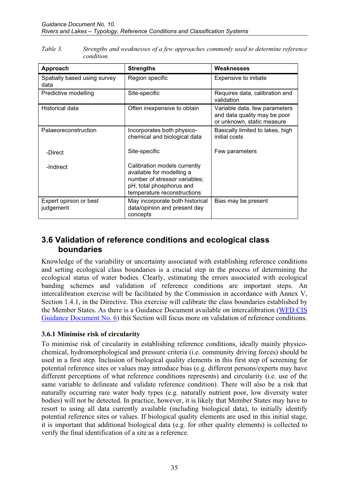| Table 3. | Strengths and weaknesses of a few approaches commonly used to determine reference |
|----------|-----------------------------------------------------------------------------------|
|          | <i>condition.</i>                                                                 |

| Approach                             | <b>Strengths</b>                                                                                                                                      | Weaknesses                                                                                  |
|--------------------------------------|-------------------------------------------------------------------------------------------------------------------------------------------------------|---------------------------------------------------------------------------------------------|
| Spatially based using survey<br>data | Region specific                                                                                                                                       | Expensive to initiate                                                                       |
| Predictive modelling                 | Site-specific                                                                                                                                         | Requires data, calibration and<br>validation                                                |
| Historical data                      | Often inexpensive to obtain                                                                                                                           | Variable data, few parameters<br>and data quality may be poor<br>or unknown, static measure |
| Palaeoreconstruction                 | Incorporates both physico-<br>chemical and biological data                                                                                            | Basically limited to lakes, high<br>initial costs                                           |
| -Direct                              | Site-specific                                                                                                                                         | Few parameters                                                                              |
| -Indirect                            | Calibration models currently<br>available for modelling a<br>number of stressor variables;<br>pH, total phosphorus and<br>temperature reconstructions |                                                                                             |
| Expert opinion or best<br>judgement  | May incorporate both historical<br>data/opinion and present day<br>concepts                                                                           | Bias may be present                                                                         |

## **3.6 Validation of reference conditions and ecological class boundaries**

Knowledge of the variability or uncertainty associated with establishing reference conditions and setting ecological class boundaries is a crucial step in the process of determining the ecological status of water bodies. Clearly, estimating the errors associated with ecological banding schemes and validation of reference conditions are important steps. An intercalibration exercise will be facilitated by the Commission in accordance with Annex V, Section 1.4.1, in the Directive. This exercise will calibrate the class boundaries established by the Member States. As there is a Guidance Document available on intercalibration (WFD CIS Guidance Document No. 6) this Section will focus more on validation of reference conditions.

### **3.6.1 Minimise risk of circularity**

To minimise risk of circularity in establishing reference conditions, ideally mainly physicochemical, hydromorphological and pressure criteria (i.e. community driving forces) should be used in a first step. Inclusion of biological quality elements in this first step of screening for potential reference sites or values may introduce bias (e.g. different persons/experts may have different perceptions of what reference conditions represents) and circularity (i.e. use of the same variable to delineate and validate reference condition). There will also be a risk that naturally occurring rare water body types (e.g. naturally nutrient poor, low diversity water bodies) will not be detected. In practice, however, it is likely that Member States may have to resort to using all data currently available (including biological data), to initially identify potential reference sites or values. If biological quality elements are used in this initial stage, it is important that additional biological data (e.g. for other quality elements) is collected to verify the final identification of a site as a reference.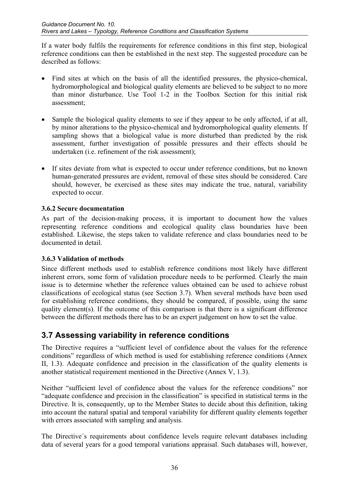If a water body fulfils the requirements for reference conditions in this first step, biological reference conditions can then be established in the next step. The suggested procedure can be described as follows:

- $\bullet$  Find sites at which on the basis of all the identified pressures, the physico-chemical, hydromorphological and biological quality elements are believed to be subject to no more than minor disturbance. Use Tool 1-2 in the Toolbox Section for this initial risk assessment;
- $\bullet$  Sample the biological quality elements to see if they appear to be only affected, if at all, by minor alterations to the physico-chemical and hydromorphological quality elements. If sampling shows that a biological value is more disturbed than predicted by the risk assessment, further investigation of possible pressures and their effects should be undertaken (i.e. refinement of the risk assessment);
- If sites deviate from what is expected to occur under reference conditions, but no known human-generated pressures are evident, removal of these sites should be considered. Care should, however, be exercised as these sites may indicate the true, natural, variability expected to occur.

### **3.6.2 Secure documentation**

As part of the decision-making process, it is important to document how the values representing reference conditions and ecological quality class boundaries have been established. Likewise, the steps taken to validate reference and class boundaries need to be documented in detail.

#### **3.6.3 Validation of methods**

Since different methods used to establish reference conditions most likely have different inherent errors, some form of validation procedure needs to be performed. Clearly the main issue is to determine whether the reference values obtained can be used to achieve robust classifications of ecological status (see Section 3.7). When several methods have been used for establishing reference conditions, they should be compared, if possible, using the same quality element(s). If the outcome of this comparison is that there is a significant difference between the different methods there has to be an expert judgement on how to set the value.

## **3.7 Assessing variability in reference conditions**

The Directive requires a "sufficient level of confidence about the values for the reference conditions" regardless of which method is used for establishing reference conditions (Annex II, 1.3). Adequate confidence and precision in the classification of the quality elements is another statistical requirement mentioned in the Directive (Annex V, 1.3).

Neither "sufficient level of confidence about the values for the reference conditions" nor "adequate confidence and precision in the classification" is specified in statistical terms in the Directive. It is, consequently, up to the Member States to decide about this definition, taking into account the natural spatial and temporal variability for different quality elements together with errors associated with sampling and analysis.

The Directive´s requirements about confidence levels require relevant databases including data of several years for a good temporal variations appraisal. Such databases will, however,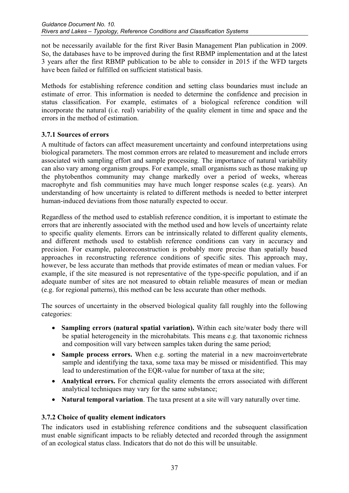not be necessarily available for the first River Basin Management Plan publication in 2009. So, the databases have to be improved during the first RBMP implementation and at the latest 3 years after the first RBMP publication to be able to consider in 2015 if the WFD targets have been failed or fulfilled on sufficient statistical basis.

Methods for establishing reference condition and setting class boundaries must include an estimate of error. This information is needed to determine the confidence and precision in status classification. For example, estimates of a biological reference condition will incorporate the natural (i.e. real) variability of the quality element in time and space and the errors in the method of estimation.

#### **3.7.1 Sources of errors**

A multitude of factors can affect measurement uncertainty and confound interpretations using biological parameters. The most common errors are related to measurement and include errors associated with sampling effort and sample processing. The importance of natural variability can also vary among organism groups. For example, small organisms such as those making up the phytobenthos community may change markedly over a period of weeks, whereas macrophyte and fish communities may have much longer response scales (e.g. years). An understanding of how uncertainty is related to different methods is needed to better interpret human-induced deviations from those naturally expected to occur.

Regardless of the method used to establish reference condition, it is important to estimate the errors that are inherently associated with the method used and how levels of uncertainty relate to specific quality elements. Errors can be intrinsically related to different quality elements, and different methods used to establish reference conditions can vary in accuracy and precision. For example, paleoreconstruction is probably more precise than spatially based approaches in reconstructing reference conditions of specific sites. This approach may, however, be less accurate than methods that provide estimates of mean or median values. For example, if the site measured is not representative of the type-specific population, and if an adequate number of sites are not measured to obtain reliable measures of mean or median (e.g. for regional patterns), this method can be less accurate than other methods.

The sources of uncertainty in the observed biological quality fall roughly into the following categories:

- **Sampling errors (natural spatial variation).** Within each site/water body there will be spatial heterogeneity in the microhabitats. This means e.g. that taxonomic richness and composition will vary between samples taken during the same period;
- **Sample process errors.** When e.g. sorting the material in a new macroinvertebrate sample and identifying the taxa, some taxa may be missed or misidentified. This may lead to underestimation of the EQR-value for number of taxa at the site;
- **Analytical errors.** For chemical quality elements the errors associated with different analytical techniques may vary for the same substance;
- **Natural temporal variation**. The taxa present at a site will vary naturally over time.

### **3.7.2 Choice of quality element indicators**

The indicators used in establishing reference conditions and the subsequent classification must enable significant impacts to be reliably detected and recorded through the assignment of an ecological status class. Indicators that do not do this will be unsuitable.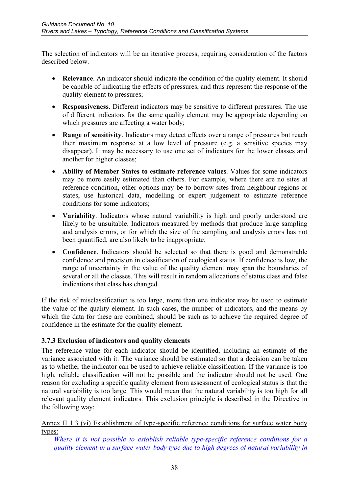The selection of indicators will be an iterative process, requiring consideration of the factors described below.

- **Relevance**. An indicator should indicate the condition of the quality element. It should be capable of indicating the effects of pressures, and thus represent the response of the quality element to pressures;
- **Responsiveness**. Different indicators may be sensitive to different pressures. The use of different indicators for the same quality element may be appropriate depending on which pressures are affecting a water body;
- **Range of sensitivity**. Indicators may detect effects over a range of pressures but reach their maximum response at a low level of pressure (e.g. a sensitive species may disappear). It may be necessary to use one set of indicators for the lower classes and another for higher classes;
- **Ability of Member States to estimate reference values**. Values for some indicators may be more easily estimated than others. For example, where there are no sites at reference condition, other options may be to borrow sites from neighbour regions or states, use historical data, modelling or expert judgement to estimate reference conditions for some indicators;
- $\bullet$  **Variability**. Indicators whose natural variability is high and poorly understood are likely to be unsuitable. Indicators measured by methods that produce large sampling and analysis errors, or for which the size of the sampling and analysis errors has not been quantified, are also likely to be inappropriate;
- **Confidence**. Indicators should be selected so that there is good and demonstrable confidence and precision in classification of ecological status. If confidence is low, the range of uncertainty in the value of the quality element may span the boundaries of several or all the classes. This will result in random allocations of status class and false indications that class has changed.

If the risk of misclassification is too large, more than one indicator may be used to estimate the value of the quality element. In such cases, the number of indicators, and the means by which the data for these are combined, should be such as to achieve the required degree of confidence in the estimate for the quality element.

### **3.7.3 Exclusion of indicators and quality elements**

The reference value for each indicator should be identified, including an estimate of the variance associated with it. The variance should be estimated so that a decision can be taken as to whether the indicator can be used to achieve reliable classification. If the variance is too high, reliable classification will not be possible and the indicator should not be used. One reason for excluding a specific quality element from assessment of ecological status is that the natural variability is too large. This would mean that the natural variability is too high for all relevant quality element indicators. This exclusion principle is described in the Directive in the following way:

Annex II 1.3 (vi) Establishment of type-specific reference conditions for surface water body types:

*Where it is not possible to establish reliable type-specific reference conditions for a quality element in a surface water body type due to high degrees of natural variability in*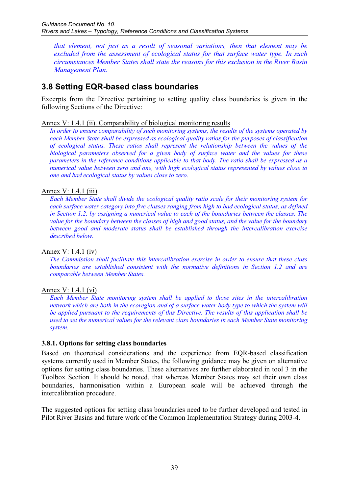*that element, not just as a result of seasonal variations, then that element may be excluded from the assessment of ecological status for that surface water type. In such circumstances Member States shall state the reasons for this exclusion in the River Basin Management Plan.* 

## **3.8 Setting EQR-based class boundaries**

Excerpts from the Directive pertaining to setting quality class boundaries is given in the following Sections of the Directive:

#### Annex V: 1.4.1 (ii). Comparability of biological monitoring results

*In order to ensure comparability of such monitoring systems, the results of the systems operated by each Member State shall be expressed as ecological quality ratios for the purposes of classification of ecological status. These ratios shall represent the relationship between the values of the biological parameters observed for a given body of surface water and the values for these parameters in the reference conditions applicable to that body. The ratio shall be expressed as a numerical value between zero and one, with high ecological status represented by values close to one and bad ecological status by values close to zero.* 

#### Annex V: 1.4.1 (iii)

*Each Member State shall divide the ecological quality ratio scale for their monitoring system for each surface water category into five classes ranging from high to bad ecological status, as defined in Section 1.2, by assigning a numerical value to each of the boundaries between the classes. The value for the boundary between the classes of high and good status, and the value for the boundary between good and moderate status shall be established through the intercalibration exercise described below.* 

#### Annex V: 1.4.1 (iv)

*The Commission shall facilitate this intercalibration exercise in order to ensure that these class boundaries are established consistent with the normative definitions in Section 1.2 and are comparable between Member States.* 

#### Annex V: 1.4.1 (vi)

*Each Member State monitoring system shall be applied to those sites in the intercalibration network which are both in the ecoregion and of a surface water body type to which the system will be applied pursuant to the requirements of this Directive. The results of this application shall be used to set the numerical values for the relevant class boundaries in each Member State monitoring system.* 

#### **3.8.1. Options for setting class boundaries**

Based on theoretical considerations and the experience from EQR-based classification systems currently used in Member States, the following guidance may be given on alternative options for setting class boundaries. These alternatives are further elaborated in tool 3 in the Toolbox Section. It should be noted, that whereas Member States may set their own class boundaries, harmonisation within a European scale will be achieved through the intercalibration procedure.

The suggested options for setting class boundaries need to be further developed and tested in Pilot River Basins and future work of the Common Implementation Strategy during 2003-4.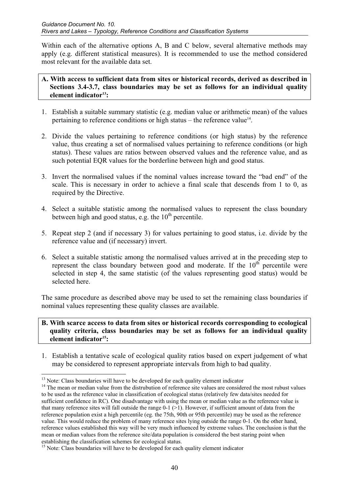Within each of the alternative options A, B and C below, several alternative methods may apply (e.g. different statistical measures). It is recommended to use the method considered most relevant for the available data set.

**A. With access to sufficient data from sites or historical records, derived as described in Sections 3.4-3.7, class boundaries may be set as follows for an individual quality element indicator**<sup>13</sup>:

- 1. Establish a suitable summary statistic (e.g. median value or arithmetic mean) of the values pertaining to reference conditions or high status – the reference value<sup>14</sup>.
- 2. Divide the values pertaining to reference conditions (or high status) by the reference value, thus creating a set of normalised values pertaining to reference conditions (or high status). These values are ratios between observed values and the reference value, and as such potential EQR values for the borderline between high and good status.
- 3. Invert the normalised values if the nominal values increase toward the "bad end" of the scale. This is necessary in order to achieve a final scale that descends from 1 to 0, as required by the Directive.
- 4. Select a suitable statistic among the normalised values to represent the class boundary between high and good status, e.g. the  $10<sup>th</sup>$  percentile.
- 5. Repeat step 2 (and if necessary 3) for values pertaining to good status, i.e. divide by the reference value and (if necessary) invert.
- 6. Select a suitable statistic among the normalised values arrived at in the preceding step to represent the class boundary between good and moderate. If the 10<sup>th</sup> percentile were selected in step 4, the same statistic (of the values representing good status) would be selected here.

The same procedure as described above may be used to set the remaining class boundaries if nominal values representing these quality classes are available.

#### **B. With scarce access to data from sites or historical records corresponding to ecological quality criteria, class boundaries may be set as follows for an individual quality element indicator15:**

1. Establish a tentative scale of ecological quality ratios based on expert judgement of what may be considered to represent appropriate intervals from high to bad quality.

<sup>&</sup>lt;sup>13</sup> Note: Class boundaries will have to be developed for each quality element indicator

<sup>&</sup>lt;sup>14</sup> The mean or median value from the distrubution of reference site values are considered the most rubust values to be used as the reference value in classification of ecological status (relatively few data/sites needed for sufficient confidence in RC). One disadvantage with using the mean or median value as the reference value is that many reference sites will fall outside the range  $0-1$  ( $>1$ ). However, if sufficient amount of data from the reference population exist a high percentile (eg. the 75th, 90th or 95th percentile) may be used as the reference value. This would reduce the problem of many reference sites lying outside the range 0-1. On the other hand, reference values established this way will be very much influenced by extreme values. The conclusion is that the mean or median values from the reference site/data population is considered the best staring point when establishing the classification schemes for ecological status.

 $15$  Note: Class boundaries will have to be developed for each quality element indicator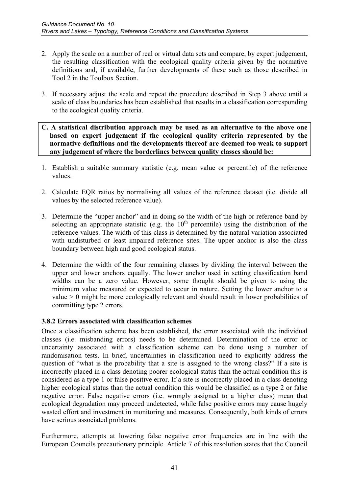- 2. Apply the scale on a number of real or virtual data sets and compare, by expert judgement, the resulting classification with the ecological quality criteria given by the normative definitions and, if available, further developments of these such as those described in Tool 2 in the Toolbox Section.
- 3. If necessary adjust the scale and repeat the procedure described in Step 3 above until a scale of class boundaries has been established that results in a classification corresponding to the ecological quality criteria.

#### **C. A statistical distribution approach may be used as an alternative to the above one based on expert judgement if the ecological quality criteria represented by the normative definitions and the developments thereof are deemed too weak to support any judgement of where the borderlines between quality classes should be:**

- 1. Establish a suitable summary statistic (e.g. mean value or percentile) of the reference values.
- 2. Calculate EQR ratios by normalising all values of the reference dataset (i.e. divide all values by the selected reference value).
- 3. Determine the "upper anchor" and in doing so the width of the high or reference band by selecting an appropriate statistic (e.g. the  $10<sup>th</sup>$  percentile) using the distribution of the reference values. The width of this class is determined by the natural variation associated with undisturbed or least impaired reference sites. The upper anchor is also the class boundary between high and good ecological status.
- 4. Determine the width of the four remaining classes by dividing the interval between the upper and lower anchors equally. The lower anchor used in setting classification band widths can be a zero value. However, some thought should be given to using the minimum value measured or expected to occur in nature. Setting the lower anchor to a value > 0 might be more ecologically relevant and should result in lower probabilities of committing type 2 errors.

#### **3.8.2 Errors associated with classification schemes**

Once a classification scheme has been established, the error associated with the individual classes (i.e. misbanding errors) needs to be determined. Determination of the error or uncertainty associated with a classification scheme can be done using a number of randomisation tests. In brief, uncertainties in classification need to explicitly address the question of "what is the probability that a site is assigned to the wrong class?" If a site is incorrectly placed in a class denoting poorer ecological status than the actual condition this is considered as a type 1 or false positive error. If a site is incorrectly placed in a class denoting higher ecological status than the actual condition this would be classified as a type 2 or false negative error. False negative errors (i.e. wrongly assigned to a higher class) mean that ecological degradation may proceed undetected, while false positive errors may cause hugely wasted effort and investment in monitoring and measures. Consequently, both kinds of errors have serious associated problems.

Furthermore, attempts at lowering false negative error frequencies are in line with the European Councils precautionary principle. Article 7 of this resolution states that the Council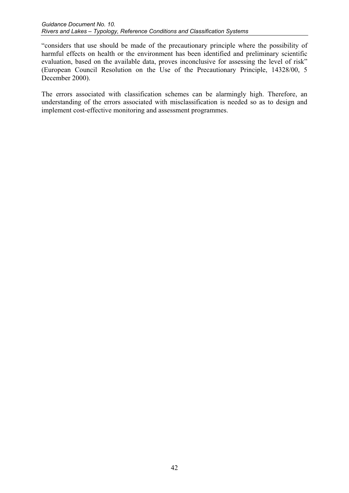"considers that use should be made of the precautionary principle where the possibility of harmful effects on health or the environment has been identified and preliminary scientific evaluation, based on the available data, proves inconclusive for assessing the level of risk" (European Council Resolution on the Use of the Precautionary Principle, 14328/00, 5 December 2000).

The errors associated with classification schemes can be alarmingly high. Therefore, an understanding of the errors associated with misclassification is needed so as to design and implement cost-effective monitoring and assessment programmes.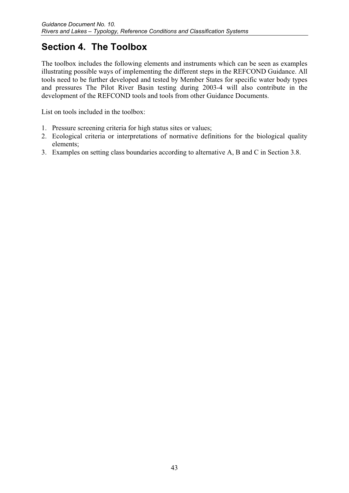# **Section 4. The Toolbox**

The toolbox includes the following elements and instruments which can be seen as examples illustrating possible ways of implementing the different steps in the REFCOND Guidance. All tools need to be further developed and tested by Member States for specific water body types and pressures The Pilot River Basin testing during 2003-4 will also contribute in the development of the REFCOND tools and tools from other Guidance Documents.

List on tools included in the toolbox:

- 1. Pressure screening criteria for high status sites or values;
- 2. Ecological criteria or interpretations of normative definitions for the biological quality elements;
- 3. Examples on setting class boundaries according to alternative A, B and C in Section 3.8.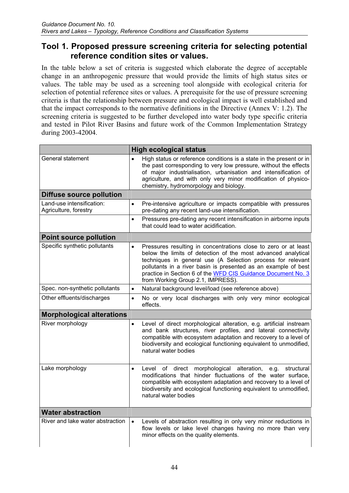## **Tool 1. Proposed pressure screening criteria for selecting potential reference condition sites or values.**

In the table below a set of criteria is suggested which elaborate the degree of acceptable change in an anthropogenic pressure that would provide the limits of high status sites or values. The table may be used as a screening tool alongside with ecological criteria for selection of potential reference sites or values. A prerequisite for the use of pressure screening criteria is that the relationship between pressure and ecological impact is well established and that the impact corresponds to the normative definitions in the Directive (Annex V: 1.2). The screening criteria is suggested to be further developed into water body type specific criteria and tested in Pilot River Basins and future work of the Common Implementation Strategy during 2003-42004.

|                                                    | <b>High ecological status</b>                                                                                                                                                                                                                                                                                                                                                       |  |  |  |
|----------------------------------------------------|-------------------------------------------------------------------------------------------------------------------------------------------------------------------------------------------------------------------------------------------------------------------------------------------------------------------------------------------------------------------------------------|--|--|--|
| General statement                                  | High status or reference conditions is a state in the present or in<br>the past corresponding to very low pressure, without the effects<br>of major industrialisation, urbanisation and intensification of<br>agriculture, and with only very minor modification of physico-<br>chemistry, hydromorpology and biology.                                                              |  |  |  |
| <b>Diffuse source pollution</b>                    |                                                                                                                                                                                                                                                                                                                                                                                     |  |  |  |
| Land-use intensification:<br>Agriculture, forestry | Pre-intensive agriculture or impacts compatible with pressures<br>$\bullet$<br>pre-dating any recent land-use intensification.                                                                                                                                                                                                                                                      |  |  |  |
|                                                    | Pressures pre-dating any recent intensification in airborne inputs<br>$\bullet$<br>that could lead to water acidification.                                                                                                                                                                                                                                                          |  |  |  |
| <b>Point source pollution</b>                      |                                                                                                                                                                                                                                                                                                                                                                                     |  |  |  |
| Specific synthetic pollutants                      | Pressures resulting in concentrations close to zero or at least<br>$\bullet$<br>below the limits of detection of the most advanced analytical<br>techniques in general use (A Selection process for relevant<br>pollutants in a river basin is presented as an example of best<br>practice in Section 6 of the WFD CIS Guidance Document No. 3<br>from Working Group 2.1, IMPRESS). |  |  |  |
| Spec. non-synthetic pollutants                     | Natural background level/load (see reference above)<br>$\bullet$                                                                                                                                                                                                                                                                                                                    |  |  |  |
| Other effluents/discharges                         | No or very local discharges with only very minor ecological<br>$\bullet$<br>effects.                                                                                                                                                                                                                                                                                                |  |  |  |
| <b>Morphological alterations</b>                   |                                                                                                                                                                                                                                                                                                                                                                                     |  |  |  |
| River morphology                                   | Level of direct morphological alteration, e.g. artificial instream<br>$\bullet$<br>and bank structures, river profiles, and lateral connectivity<br>compatible with ecosystem adaptation and recovery to a level of<br>biodiversity and ecological functioning equivalent to unmodified,<br>natural water bodies                                                                    |  |  |  |
| Lake morphology                                    | Level of direct morphological alteration, e.g.<br>structural<br>$\bullet$<br>modifications that hinder fluctuations of the water surface,<br>compatible with ecosystem adaptation and recovery to a level of<br>biodiversity and ecological functioning equivalent to unmodified,<br>natural water bodies                                                                           |  |  |  |
| <b>Water abstraction</b>                           |                                                                                                                                                                                                                                                                                                                                                                                     |  |  |  |
| River and lake water abstraction                   | Levels of abstraction resulting in only very minor reductions in<br>$\bullet$<br>flow levels or lake level changes having no more than very<br>minor effects on the quality elements.                                                                                                                                                                                               |  |  |  |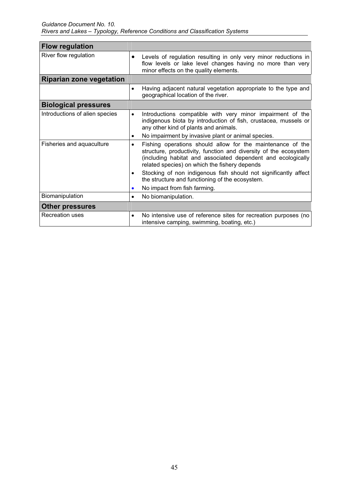| <b>Flow regulation</b>          |                                                                                                                                                                                                                                                              |
|---------------------------------|--------------------------------------------------------------------------------------------------------------------------------------------------------------------------------------------------------------------------------------------------------------|
| River flow regulation           | Levels of regulation resulting in only very minor reductions in<br>flow levels or lake level changes having no more than very<br>minor effects on the quality elements.                                                                                      |
| <b>Riparian zone vegetation</b> |                                                                                                                                                                                                                                                              |
|                                 | Having adjacent natural vegetation appropriate to the type and<br>$\bullet$<br>geographical location of the river.                                                                                                                                           |
| <b>Biological pressures</b>     |                                                                                                                                                                                                                                                              |
| Introductions of alien species  | Introductions compatible with very minor impairment of the<br>$\bullet$<br>indigenous biota by introduction of fish, crustacea, mussels or<br>any other kind of plants and animals.                                                                          |
|                                 | No impairment by invasive plant or animal species.<br>٠                                                                                                                                                                                                      |
| Fisheries and aquaculture       | Fishing operations should allow for the maintenance of the<br>$\bullet$<br>structure, productivity, function and diversity of the ecosystem<br>(including habitat and associated dependent and ecologically<br>related species) on which the fishery depends |
|                                 | Stocking of non indigenous fish should not significantly affect<br>٠<br>the structure and functioning of the ecosystem.                                                                                                                                      |
|                                 | No impact from fish farming.<br>$\bullet$                                                                                                                                                                                                                    |
| Biomanipulation                 | No biomanipulation.<br>$\bullet$                                                                                                                                                                                                                             |
| <b>Other pressures</b>          |                                                                                                                                                                                                                                                              |
| <b>Recreation uses</b>          | No intensive use of reference sites for recreation purposes (no<br>$\bullet$<br>intensive camping, swimming, boating, etc.)                                                                                                                                  |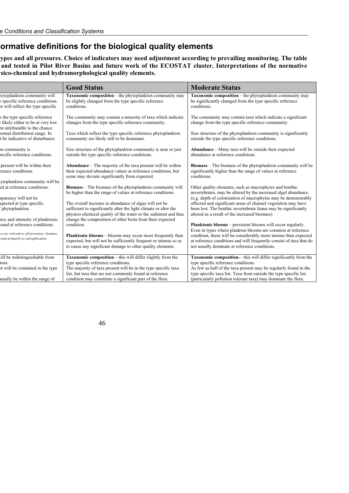# **ormative definitions for the biological quality elements**

**types and all pressures. Choice of indicators may need adjustment according to prevailing monitoring. The table and tested in Pilot River Basins and future work of the ECOSTAT cluster. Interpretations of the normative ysico-chemical and hydromorphological quality elements.** 

|                                                                                                      | <b>Good Status</b>                                                                                                                                                                           | <b>Moderate Status</b>                                                                                                                                                                       |
|------------------------------------------------------------------------------------------------------|----------------------------------------------------------------------------------------------------------------------------------------------------------------------------------------------|----------------------------------------------------------------------------------------------------------------------------------------------------------------------------------------------|
| hytoplankton community will<br>e specific reference conditions.<br>at will reflect the type specific | <b>Taxonomic composition</b> – the phytoplankton community may<br>be slightly changed from the type specific reference<br>conditions.                                                        | <b>Taxonomic composition</b> – the phytoplankton community may<br>be significantly changed from the type specific reference<br>conditions.                                                   |
| n the type specific reference<br>e likely either to be at very low<br>be attributable to the chance  | The community may contain a minority of taxa which indicate<br>changes from the type specific reference community.                                                                           | The community may contain taxa which indicate a significant<br>change from the type specific reference community.                                                                            |
| ormal distribution range. In<br>t be indicative of disturbance.                                      | Taxa which reflect the type specific reference phytoplankton<br>community are likely still to be dominant.                                                                                   | Size structure of the phytoplankton community is significantly<br>outside the type specific reference conditions.                                                                            |
| n community is<br>pecific reference conditions.                                                      | Size structure of the phytoplankton community is near or just<br>outside the type specific reference conditions.                                                                             | <b>Abundance</b> – Many taxa will be outside their expected<br>abundance at reference conditions.                                                                                            |
| present will be within their<br>erence conditions.                                                   | <b>Abundance</b> – The majority of the taxa present will be within<br>their expected abundance values at reference conditions, but<br>some may deviate significantly from expected.          | <b>Biomass</b> – The biomass of the phytoplankton community will be<br>significantly higher than the range of values at reference<br>conditions.                                             |
| ytoplankton community will be<br>ed at reference conditions.<br>sparency will not be                 | <b>Biomass</b> – The biomass of the phytoplankton community will<br>be higher than the range of values at reference conditions.                                                              | Other quality elements, such as macrophytes and benthic<br>invertebrates, may be altered by the increased algal abundance.<br>(e.g. depth of colonisation of macrophytes may be demonstrably |
| spected at type specific<br>f phytoplankton.                                                         | The overall increase in abundance of algae will not be<br>sufficient to significantly alter the light climate or alter the<br>physico-chemical quality of the water or the sediment and thus | affected and significant areas of channel vegetation may have<br>been lost. The benthic invertebrate fauna may be significantly<br>altered as a result of the increased biomass)             |
| ncy and intensity of planktonic<br>ound at reference conditions.                                     | change the composition of other biota from their expected<br>condition.                                                                                                                      | <b>Planktonic blooms</b> – persistent blooms will occur regularly.<br>Even in types where plankton blooms are common at reference                                                            |
| ce are relevant to all pressures; biomass,<br>evant primarily to eutrophication.                     | Planktonic blooms - blooms may occur more frequently than<br>expected, but will not be sufficiently frequent or intense so as<br>to cause any significant damage to other quality elements.  | condition, these will be considerably more intense than expected<br>at reference conditions and will frequently consist of taxa that do<br>not usually dominate at reference conditions.     |
| vill be indistinguishable from                                                                       | Taxonomic composition - this will differ slightly from the                                                                                                                                   | Taxonomic composition-- this will differ significantly from the                                                                                                                              |
| ions.                                                                                                | type specific reference conditions.                                                                                                                                                          | type specific reference conditions.                                                                                                                                                          |
| nt will be contained in the type                                                                     | The majority of taxa present will be in the type specific taxa<br>list, but taxa that are not commonly found at reference                                                                    | As few as half of the taxa present may be regularly found in the<br>type specific taxa list. Taxa from outside the type specific list                                                        |
| isually be within the range of                                                                       | condition may constitute a significant part of the flora.                                                                                                                                    | (particularly pollution tolerant taxa) may dominate the flora.                                                                                                                               |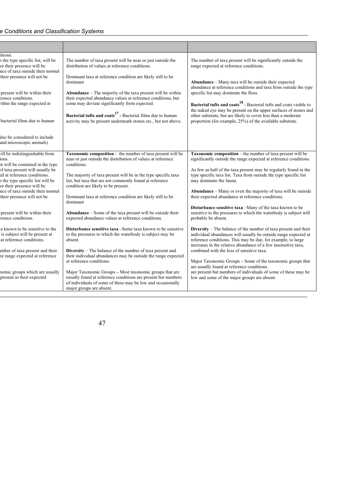| litions.<br>n the type specific list, will be<br>or their presence will be<br>nce of taxa outside their normal<br>their presence will not be<br>present will be within their<br>erence conditions.<br>ithin the range expected at<br>bacterial films due to human<br>also be considered to include<br>and microscopic animals)         | The number of taxa present will be near or just outside the<br>distribution of values at reference conditions.<br>Dominant taxa at reference condition are likely still to be<br>dominant<br><b>Abundance</b> – The majority of the taxa present will be within<br>their expected abundance values at reference conditions, but<br>some may deviate significantly from expected.<br><b>Bacterial tufts and coats</b> $17$ - Bacterial films due to human<br>activity may be present underneath stones etc., but not above.        | The number of taxa present will be significantly outside the<br>range expected at reference conditions.<br><b>Abundance</b> – Many taxa will be outside their expected<br>abundance at reference conditions and taxa from outside the type<br>specific list may dominate the flora.<br>Bacterial tufts and coats <sup>18</sup> - Bacterial tufts and coats visible to<br>the naked eye may be present on the upper surfaces of stones and<br>other substrate, but are likely to cover less than a moderate<br>proportion (for example, 25%) of the available substrate.                  |
|----------------------------------------------------------------------------------------------------------------------------------------------------------------------------------------------------------------------------------------------------------------------------------------------------------------------------------------|-----------------------------------------------------------------------------------------------------------------------------------------------------------------------------------------------------------------------------------------------------------------------------------------------------------------------------------------------------------------------------------------------------------------------------------------------------------------------------------------------------------------------------------|------------------------------------------------------------------------------------------------------------------------------------------------------------------------------------------------------------------------------------------------------------------------------------------------------------------------------------------------------------------------------------------------------------------------------------------------------------------------------------------------------------------------------------------------------------------------------------------|
| vill be indistinguishable from<br>ions.<br>nt will be contained in the type<br>of taxa present will usually be<br>ed at reference conditions.<br>n the type specific list will be<br>or their presence will be<br>nce of taxa outside their normal<br>their presence will not be<br>present will be within their<br>erence conditions. | Taxonomic composition - the number of taxa present will be<br>near or just outside the distribution of values at reference<br>conditions.<br>The majority of taxa present will be in the type specific taxa<br>list, but taxa that are not commonly found at reference<br>condition are likely to be present.<br>Dominant taxa at reference condition are likely still to be<br>dominant<br><b>Abundance</b> – Some of the taxa present will be outside their<br>expected abundance values at reference conditions.               | Taxonomic composition - the number of taxa present will be<br>significantly outside the range expected at reference conditions.<br>As few as half of the taxa present may be regularly found in the<br>type specific taxa list. Taxa from outside the type specific list<br>may dominate the fauna.<br><b>Abundance</b> – Many or even the majority of taxa will be outside<br>their expected abundance at reference conditions.<br>Disturbance sensitive taxa -Many of the taxa known to be<br>sensitive to the pressures to which the waterbody is subject will<br>probably be absent. |
| a known to be sensitive to the<br>is subject will be present at<br>at reference conditions.<br>imber of taxa present and their<br>he range expected at reference<br>nomic groups which are usually<br>present in their expected                                                                                                        | <b>Disturbance sensitive taxa</b> –Some taxa known to be sensitive<br>to the pressures to which the waterbody is subject may be<br>absent.<br><b>Diversity</b> – The balance of the number of taxa present and<br>their individual abundances may be outside the range expected<br>at reference conditions<br>Major Taxonomic Groups – Most taxonomic groups that are<br>usually found at reference conditions are present but numbers<br>of individuals of some of these may be low and occasionally<br>major groups are absent. | Diversity $-$ The balance of the number of taxa present and their<br>individual abundances will usually be outside range expected at<br>reference conditions. This may be due, for example, to large<br>increases in the relative abundance of a few insensitive taxa,<br>combined with the loss of sensitive taxa.<br>Major Taxonomic Groups – Some of the taxonomic groups that<br>are usually found at reference conditions<br>are present but numbers of individuals of some of these may be<br>low and some of the major groups are absent.                                         |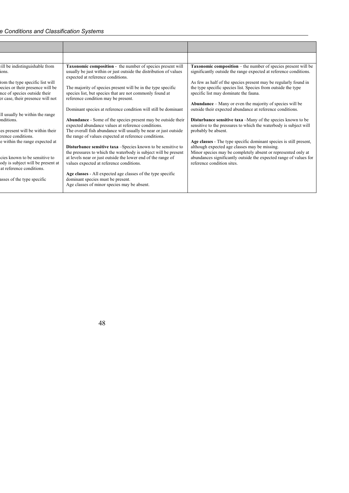| vill be indistinguishable from<br>ions.                                                                                                | Taxonomic composition - the number of species present will<br>usually be just within or just outside the distribution of values<br>expected at reference conditions.                         | <b>Taxonomic composition</b> – the number of species present will be<br>significantly outside the range expected at reference conditions.                                            |
|----------------------------------------------------------------------------------------------------------------------------------------|----------------------------------------------------------------------------------------------------------------------------------------------------------------------------------------------|--------------------------------------------------------------------------------------------------------------------------------------------------------------------------------------|
| rom the type specific list will<br>ecies or their presence will be<br>nce of species outside their<br>er case, their presence will not | The majority of species present will be in the type specific<br>species list, but species that are not commonly found at<br>reference condition may be present.                              | As few as half of the species present may be regularly found in<br>the type specific species list. Species from outside the type<br>specific list may dominate the fauna.            |
| Ill usually be within the range                                                                                                        | Dominant species at reference condition will still be dominant                                                                                                                               | <b>Abundance</b> – Many or even the majority of species will be<br>outside their expected abundance at reference conditions.                                                         |
| onditions.<br>les present will be within their                                                                                         | <b>Abundance</b> - Some of the species present may be outside their<br>expected abundance values at reference conditions.<br>The overall fish abundance will usually be near or just outside | Disturbance sensitive taxa -Many of the species known to be<br>sensitive to the pressures to which the waterbody is subject will<br>probably be absent.                              |
| erence conditions.<br>e within the range expected at                                                                                   | the range of values expected at reference conditions.<br>Disturbance sensitive taxa -Species known to be sensitive to<br>the pressures to which the waterbody is subject will be present     | Age classes - The type specific dominant species is still present,<br>although expected age classes may be missing.<br>Minor species may be completely absent or represented only at |
| cies known to be sensitive to<br>ody is subject will be present at<br>at reference conditions.                                         | at levels near or just outside the lower end of the range of<br>values expected at reference conditions.                                                                                     | abundances significantly outside the expected range of values for<br>reference condition sites.                                                                                      |
| asses of the type specific                                                                                                             | Age classes - All expected age classes of the type specific<br>dominant species must be present.<br>Age classes of minor species may be absent.                                              |                                                                                                                                                                                      |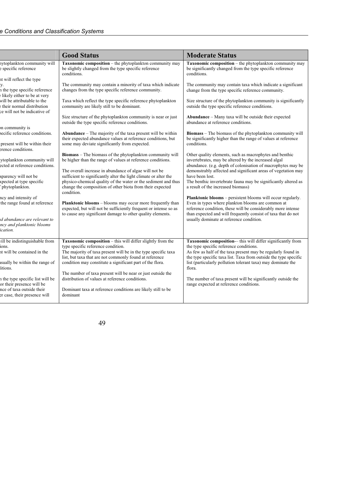|                                                                                                                                        | <b>Good Status</b>                                                                                                                                                                                                                                                                                                              | <b>Moderate Status</b>                                                                                                                                                                                                                                                                                                                |
|----------------------------------------------------------------------------------------------------------------------------------------|---------------------------------------------------------------------------------------------------------------------------------------------------------------------------------------------------------------------------------------------------------------------------------------------------------------------------------|---------------------------------------------------------------------------------------------------------------------------------------------------------------------------------------------------------------------------------------------------------------------------------------------------------------------------------------|
| hytoplankton community will<br>e specific reference                                                                                    | Taxonomic composition - the phytoplankton community may<br>be slightly changed from the type specific reference<br>conditions.                                                                                                                                                                                                  | <b>Taxonomic composition</b> – the phytoplankton community may<br>be significantly changed from the type specific reference<br>conditions.                                                                                                                                                                                            |
| at will reflect the type<br>y.<br>n the type specific reference<br>likely either to be at very                                         | The community may contain a minority of taxa which indicate<br>changes from the type specific reference community.                                                                                                                                                                                                              | The community may contain taxa which indicate a significant<br>change from the type specific reference community.                                                                                                                                                                                                                     |
| will be attributable to the<br>their normal distribution<br>ce will not be indicative of                                               | Taxa which reflect the type specific reference phytoplankton<br>community are likely still to be dominant.                                                                                                                                                                                                                      | Size structure of the phytoplankton community is significantly<br>outside the type specific reference conditions.                                                                                                                                                                                                                     |
| n community is                                                                                                                         | Size structure of the phytoplankton community is near or just<br>outside the type specific reference conditions.                                                                                                                                                                                                                | Abundance - Many taxa will be outside their expected<br>abundance at reference conditions.                                                                                                                                                                                                                                            |
| pecific reference conditions.<br>present will be within their                                                                          | Abundance - The majority of the taxa present will be within<br>their expected abundance values at reference conditions, but<br>some may deviate significantly from expected.                                                                                                                                                    | Biomass - The biomass of the phytoplankton community will<br>be significantly higher than the range of values at reference<br>conditions.                                                                                                                                                                                             |
| erence conditions.<br>ytoplankton community will<br>ected at reference conditions.<br>sparency will not be<br>spected at type specific | <b>Biomass</b> – The biomass of the phytoplankton community will<br>be higher than the range of values at reference conditions.<br>The overall increase in abundance of algae will not be<br>sufficient to significantly alter the light climate or alter the<br>physico-chemical quality of the water or the sediment and thus | Other quality elements, such as macrophytes and benthic<br>invertebrates, may be altered by the increased algal<br>abundance. (e.g. depth of colonisation of macrophytes may be<br>demonstrably affected and significant areas of vegetation may<br>have been lost.<br>The benthic invertebrate fauna may be significantly altered as |
| f phytoplankton.<br>ncy and intensity of                                                                                               | change the composition of other biota from their expected<br>condition.                                                                                                                                                                                                                                                         | a result of the increased biomass)<br><b>Planktonic blooms</b> – persistent blooms will occur regularly.                                                                                                                                                                                                                              |
| the range found at reference                                                                                                           | <b>Planktonic blooms</b> – blooms may occur more frequently than<br>expected, but will not be sufficiently frequent or intense so as<br>to cause any significant damage to other quality elements.                                                                                                                              | Even in types where plankton blooms are common at<br>reference condition, these will be considerably more intense<br>than expected and will frequently consist of taxa that do not                                                                                                                                                    |
| d abundance are relevant to<br>ncy and planktonic blooms<br><i>ication.</i>                                                            |                                                                                                                                                                                                                                                                                                                                 | usually dominate at reference condition.                                                                                                                                                                                                                                                                                              |
| vill be indistinguishable from<br>ions.<br>nt will be contained in the<br>isually be within the range of<br>litions.                   | Taxonomic composition - this will differ slightly from the<br>type specific reference condition.<br>The majority of taxa present will be in the type specific taxa<br>list, but taxa that are not commonly found at reference<br>condition may constitute a significant part of the flora.                                      | Taxonomic composition-- this will differ significantly from<br>the type specific reference conditions.<br>As few as half of the taxa present may be regularly found in<br>the type specific taxa list. Taxa from outside the type specific<br>list (particularly pollution tolerant taxa) may dominate the<br>flora.                  |
| n the type specific list will be<br>or their presence will be<br>nce of taxa outside their<br>er case, their presence will             | The number of taxa present will be near or just outside the<br>distribution of values at reference conditions.<br>Dominant taxa at reference conditions are likely still to be<br>dominant                                                                                                                                      | The number of taxa present will be significantly outside the<br>range expected at reference conditions.                                                                                                                                                                                                                               |
|                                                                                                                                        |                                                                                                                                                                                                                                                                                                                                 |                                                                                                                                                                                                                                                                                                                                       |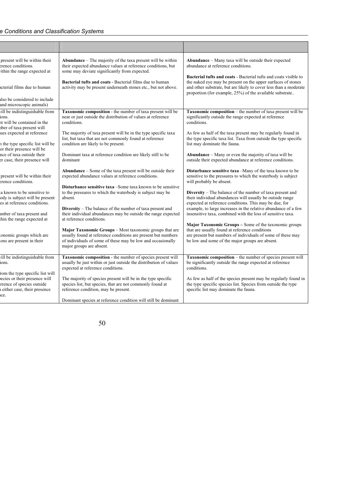| present will be within their<br>erence conditions.<br>ithin the range expected at<br>acterial films due to human                       | <b>Abundance</b> – The majority of the taxa present will be within<br>their expected abundance values at reference conditions, but<br>some may deviate significantly from expected.<br><b>Bacterial tufts and coats - Bacterial films due to human</b><br>activity may be present underneath stones etc., but not above. | <b>Abundance</b> – Many taxa will be outside their expected<br>abundance at reference conditions.<br><b>Bacterial tufts and coats - Bacterial tufts and coats visible to</b><br>the naked eye may be present on the upper surfaces of stones<br>and other substrate, but are likely to cover less than a moderate<br>proportion (for example, 25%) of the available substrate |
|----------------------------------------------------------------------------------------------------------------------------------------|--------------------------------------------------------------------------------------------------------------------------------------------------------------------------------------------------------------------------------------------------------------------------------------------------------------------------|-------------------------------------------------------------------------------------------------------------------------------------------------------------------------------------------------------------------------------------------------------------------------------------------------------------------------------------------------------------------------------|
| also be considered to include<br>and microscopic animals)                                                                              |                                                                                                                                                                                                                                                                                                                          |                                                                                                                                                                                                                                                                                                                                                                               |
| vill be indistinguishable from<br>ions.<br>nt will be contained in the<br>aber of taxa present will                                    | Taxonomic composition - the number of taxa present will be<br>near or just outside the distribution of values at reference<br>conditions.                                                                                                                                                                                | Taxonomic composition - the number of taxa present will be<br>significantly outside the range expected at reference<br>conditions.                                                                                                                                                                                                                                            |
| ues expected at reference<br>n the type specific list will be                                                                          | The majority of taxa present will be in the type specific taxa<br>list, but taxa that are not commonly found at reference<br>condition are likely to be present.                                                                                                                                                         | As few as half of the taxa present may be regularly found in<br>the type specific taxa list. Taxa from outside the type specific<br>list may dominate the fauna.                                                                                                                                                                                                              |
| or their presence will be<br>nce of taxa outside their<br>er case, their presence will                                                 | Dominant taxa at reference condition are likely still to be<br>dominant                                                                                                                                                                                                                                                  | <b>Abundance</b> – Many or even the majority of taxa will be<br>outside their expected abundance at reference conditions.                                                                                                                                                                                                                                                     |
| present will be within their<br>erence conditions.                                                                                     | <b>Abundance</b> – Some of the taxa present will be outside their<br>expected abundance values at reference conditions.                                                                                                                                                                                                  | Disturbance sensitive taxa -Many of the taxa known to be<br>sensitive to the pressures to which the waterbody is subject<br>will probably be absent.                                                                                                                                                                                                                          |
| a known to be sensitive to<br>ody is subject will be present<br>es at reference conditions.                                            | <b>Disturbance sensitive taxa</b> –Some taxa known to be sensitive<br>to the pressures to which the waterbody is subject may be<br>absent.                                                                                                                                                                               | <b>Diversity</b> – The balance of the number of taxa present and<br>their individual abundances will usually be outside range<br>expected at reference conditions. This may be due, for                                                                                                                                                                                       |
| imber of taxa present and<br>thin the range expected at                                                                                | <b>Diversity</b> – The balance of the number of taxa present and<br>their individual abundances may be outside the range expected<br>at reference conditions.                                                                                                                                                            | example, to large increases in the relative abundance of a few<br>insensitive taxa, combined with the loss of sensitive taxa.                                                                                                                                                                                                                                                 |
| conomic groups which are<br>ons are present in their                                                                                   | Major Taxonomic Groups - Most taxonomic groups that are<br>usually found at reference conditions are present but numbers<br>of individuals of some of these may be low and occasionally<br>major groups are absent.                                                                                                      | Major Taxonomic Groups - Some of the taxonomic groups<br>that are usually found at reference conditions<br>are present but numbers of individuals of some of these may<br>be low and some of the major groups are absent.                                                                                                                                                     |
| vill be indistinguishable from<br>ions.                                                                                                | Taxonomic composition - the number of species present will<br>usually be just within or just outside the distribution of values<br>expected at reference conditions.                                                                                                                                                     | Taxonomic composition - the number of species present will<br>be significantly outside the range expected at reference<br>conditions.                                                                                                                                                                                                                                         |
| rom the type specific list will<br>pecies or their presence will<br>rrence of species outside<br>i either case, their presence<br>ice. | The majority of species present will be in the type specific<br>species list, but species, that are not commonly found at<br>reference condition, may be present.                                                                                                                                                        | As few as half of the species present may be regularly found in<br>the type specific species list. Species from outside the type<br>specific list may dominate the fauna.                                                                                                                                                                                                     |
|                                                                                                                                        | Dominant species at reference condition will still be dominant                                                                                                                                                                                                                                                           |                                                                                                                                                                                                                                                                                                                                                                               |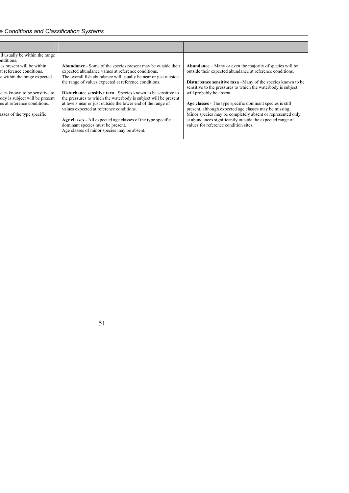| Ill usually be within the range |                                                                      |                                                                     |
|---------------------------------|----------------------------------------------------------------------|---------------------------------------------------------------------|
| onditions.                      |                                                                      |                                                                     |
|                                 |                                                                      |                                                                     |
| les present will be within      | <b>Abundance</b> - Some of the species present may be outside their  | <b>Abundance</b> – Many or even the majority of species will be     |
| at reference conditions.        | expected abundance values at reference conditions.                   | outside their expected abundance at reference conditions.           |
| e within the range expected     | The overall fish abundance will usually be near or just outside      |                                                                     |
|                                 | the range of values expected at reference conditions.                | <b>Disturbance sensitive taxa</b> – Many of the species known to be |
|                                 |                                                                      | sensitive to the pressures to which the waterbody is subject        |
| cies known to be sensitive to   | <b>Disturbance sensitive taxa</b> – Species known to be sensitive to | will probably be absent.                                            |
|                                 |                                                                      |                                                                     |
| ody is subject will be present  | the pressures to which the waterbody is subject will be present      |                                                                     |
| es at reference conditions.     | at levels near or just outside the lower end of the range of         | Age classes - The type specific dominant species is still           |
|                                 | values expected at reference conditions.                             | present, although expected age classes may be missing.              |
| asses of the type specific      |                                                                      | Minor species may be completely absent or represented only          |
|                                 |                                                                      | at abundances significantly outside the expected range of           |
|                                 | Age classes - All expected age classes of the type specific          |                                                                     |
|                                 | dominant species must be present.                                    | values for reference condition sites.                               |
|                                 | Age classes of minor species may be absent.                          |                                                                     |
|                                 |                                                                      |                                                                     |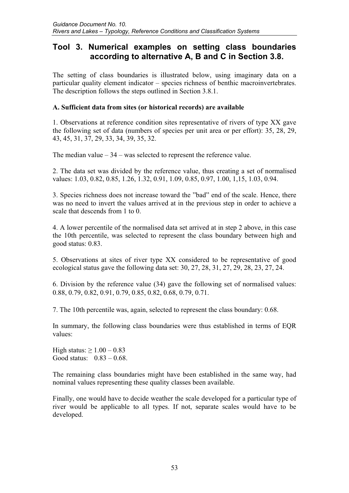## **Tool 3. Numerical examples on setting class boundaries according to alternative A, B and C in Section 3.8.**

The setting of class boundaries is illustrated below, using imaginary data on a particular quality element indicator – species richness of benthic macroinvertebrates. The description follows the steps outlined in Section 3.8.1.

#### **A. Sufficient data from sites (or historical records) are available**

1. Observations at reference condition sites representative of rivers of type XX gave the following set of data (numbers of species per unit area or per effort): 35, 28, 29, 43, 45, 31, 37, 29, 33, 34, 39, 35, 32.

The median value  $-34$  – was selected to represent the reference value.

2. The data set was divided by the reference value, thus creating a set of normalised values: 1.03, 0.82, 0.85, 1.26, 1.32, 0.91, 1.09, 0.85, 0.97, 1.00, 1,15, 1.03, 0.94.

3. Species richness does not increase toward the "bad" end of the scale. Hence, there was no need to invert the values arrived at in the previous step in order to achieve a scale that descends from 1 to 0.

4. A lower percentile of the normalised data set arrived at in step 2 above, in this case the 10th percentile, was selected to represent the class boundary between high and good status: 0.83.

5. Observations at sites of river type XX considered to be representative of good ecological status gave the following data set: 30, 27, 28, 31, 27, 29, 28, 23, 27, 24.

6. Division by the reference value (34) gave the following set of normalised values: 0.88, 0.79, 0.82, 0.91, 0.79, 0.85, 0.82, 0.68, 0.79, 0.71.

7. The 10th percentile was, again, selected to represent the class boundary: 0.68.

In summary, the following class boundaries were thus established in terms of EQR values:

High status:  $\geq 1.00 - 0.83$ Good status: 0.83 – 0.68.

The remaining class boundaries might have been established in the same way, had nominal values representing these quality classes been available.

Finally, one would have to decide weather the scale developed for a particular type of river would be applicable to all types. If not, separate scales would have to be developed.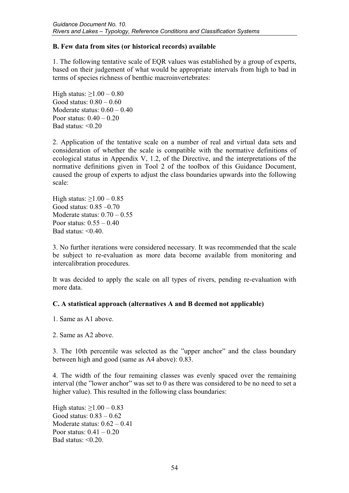#### **B. Few data from sites (or historical records) available**

1. The following tentative scale of EQR values was established by a group of experts, based on their judgement of what would be appropriate intervals from high to bad in terms of species richness of benthic macroinvertebrates:

High status:  $\geq 1.00 - 0.80$ Good status: 0.80 – 0.60 Moderate status:  $0.60 - 0.40$ Poor status: 0.40 – 0.20 Bad status:  $\leq 0.20$ 

2. Application of the tentative scale on a number of real and virtual data sets and consideration of whether the scale is compatible with the normative definitions of ecological status in Appendix V, 1.2, of the Directive, and the interpretations of the normative definitions given in Tool 2 of the toolbox of this Guidance Document, caused the group of experts to adjust the class boundaries upwards into the following scale:

High status:  $\geq 1.00 - 0.85$ Good status: 0.85 –0.70 Moderate status:  $0.70 - 0.55$ Poor status: 0.55 – 0.40 Bad status:  $< 0.40$ .

3. No further iterations were considered necessary. It was recommended that the scale be subject to re-evaluation as more data become available from monitoring and intercalibration procedures.

It was decided to apply the scale on all types of rivers, pending re-evaluation with more data.

#### **C. A statistical approach (alternatives A and B deemed not applicable)**

1. Same as A1 above.

2. Same as A2 above.

3. The 10th percentile was selected as the "upper anchor" and the class boundary between high and good (same as A4 above): 0.83.

4. The width of the four remaining classes was evenly spaced over the remaining interval (the "lower anchor" was set to 0 as there was considered to be no need to set a higher value). This resulted in the following class boundaries:

High status:  $\geq 1.00 - 0.83$ Good status: 0.83 – 0.62 Moderate status:  $0.62 - 0.41$ Poor status: 0.41 – 0.20 Bad status:  $\leq 0.20$ .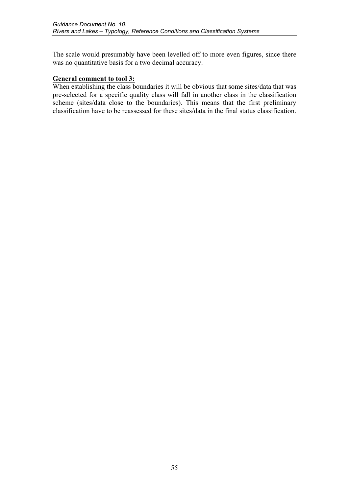The scale would presumably have been levelled off to more even figures, since there was no quantitative basis for a two decimal accuracy.

#### **General comment to tool 3:**

When establishing the class boundaries it will be obvious that some sites/data that was pre-selected for a specific quality class will fall in another class in the classification scheme (sites/data close to the boundaries). This means that the first preliminary classification have to be reassessed for these sites/data in the final status classification.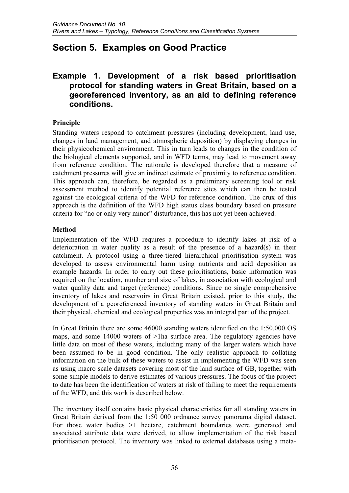# **Section 5. Examples on Good Practice**

## **Example 1. Development of a risk based prioritisation protocol for standing waters in Great Britain, based on a georeferenced inventory, as an aid to defining reference conditions.**

#### **Principle**

Standing waters respond to catchment pressures (including development, land use, changes in land management, and atmospheric deposition) by displaying changes in their physicochemical environment. This in turn leads to changes in the condition of the biological elements supported, and in WFD terms, may lead to movement away from reference condition. The rationale is developed therefore that a measure of catchment pressures will give an indirect estimate of proximity to reference condition. This approach can, therefore, be regarded as a preliminary screening tool or risk assessment method to identify potential reference sites which can then be tested against the ecological criteria of the WFD for reference condition. The crux of this approach is the definition of the WFD high status class boundary based on pressure criteria for "no or only very minor" disturbance, this has not yet been achieved.

#### **Method**

Implementation of the WFD requires a procedure to identify lakes at risk of a deterioration in water quality as a result of the presence of a hazard(s) in their catchment. A protocol using a three-tiered hierarchical prioritisation system was developed to assess environmental harm using nutrients and acid deposition as example hazards. In order to carry out these prioritisations, basic information was required on the location, number and size of lakes, in association with ecological and water quality data and target (reference) conditions. Since no single comprehensive inventory of lakes and reservoirs in Great Britain existed, prior to this study, the development of a georeferenced inventory of standing waters in Great Britain and their physical, chemical and ecological properties was an integral part of the project.

In Great Britain there are some 46000 standing waters identified on the 1:50,000 OS maps, and some 14000 waters of >1ha surface area. The regulatory agencies have little data on most of these waters, including many of the larger waters which have been assumed to be in good condition. The only realistic approach to collating information on the bulk of these waters to assist in implementing the WFD was seen as using macro scale datasets covering most of the land surface of GB, together with some simple models to derive estimates of various pressures. The focus of the project to date has been the identification of waters at risk of failing to meet the requirements of the WFD, and this work is described below.

The inventory itself contains basic physical characteristics for all standing waters in Great Britain derived from the 1:50 000 ordnance survey panorama digital dataset. For those water bodies >1 hectare, catchment boundaries were generated and associated attribute data were derived, to allow implementation of the risk based prioritisation protocol. The inventory was linked to external databases using a meta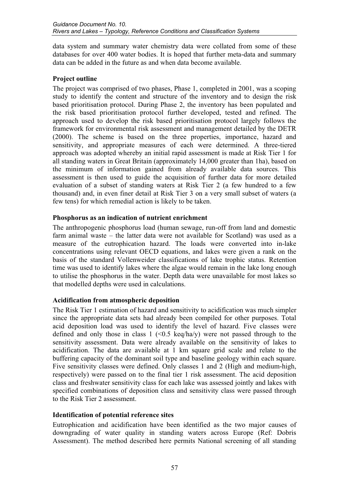data system and summary water chemistry data were collated from some of these databases for over 400 water bodies. It is hoped that further meta-data and summary data can be added in the future as and when data become available.

#### **Project outline**

The project was comprised of two phases, Phase 1, completed in 2001, was a scoping study to identify the content and structure of the inventory and to design the risk based prioritisation protocol. During Phase 2, the inventory has been populated and the risk based prioritisation protocol further developed, tested and refined. The approach used to develop the risk based prioritisation protocol largely follows the framework for environmental risk assessment and management detailed by the DETR (2000). The scheme is based on the three properties, importance, hazard and sensitivity, and appropriate measures of each were determined. A three-tiered approach was adopted whereby an initial rapid assessment is made at Risk Tier 1 for all standing waters in Great Britain (approximately 14,000 greater than 1ha), based on the minimum of information gained from already available data sources. This assessment is then used to guide the acquisition of further data for more detailed evaluation of a subset of standing waters at Risk Tier 2 (a few hundred to a few thousand) and, in even finer detail at Risk Tier 3 on a very small subset of waters (a few tens) for which remedial action is likely to be taken.

#### **Phosphorus as an indication of nutrient enrichment**

The anthropogenic phosphorus load (human sewage, run-off from land and domestic farm animal waste – the latter data were not available for Scotland) was used as a measure of the eutrophication hazard. The loads were converted into in-lake concentrations using relevant OECD equations, and lakes were given a rank on the basis of the standard Vollenweider classifications of lake trophic status. Retention time was used to identify lakes where the algae would remain in the lake long enough to utilise the phosphorus in the water. Depth data were unavailable for most lakes so that modelled depths were used in calculations.

### **Acidification from atmospheric deposition**

The Risk Tier 1 estimation of hazard and sensitivity to acidification was much simpler since the appropriate data sets had already been compiled for other purposes. Total acid deposition load was used to identify the level of hazard. Five classes were defined and only those in class  $1 \leq 0.5 \text{ keq/ha/y}$  were not passed through to the sensitivity assessment. Data were already available on the sensitivity of lakes to acidification. The data are available at 1 km square grid scale and relate to the buffering capacity of the dominant soil type and baseline geology within each square. Five sensitivity classes were defined. Only classes 1 and 2 (High and medium-high, respectively) were passed on to the final tier 1 risk assessment. The acid deposition class and freshwater sensitivity class for each lake was assessed jointly and lakes with specified combinations of deposition class and sensitivity class were passed through to the Risk Tier 2 assessment.

### **Identification of potential reference sites**

Eutrophication and acidification have been identified as the two major causes of downgrading of water quality in standing waters across Europe (Ref: Dobris Assessment). The method described here permits National screening of all standing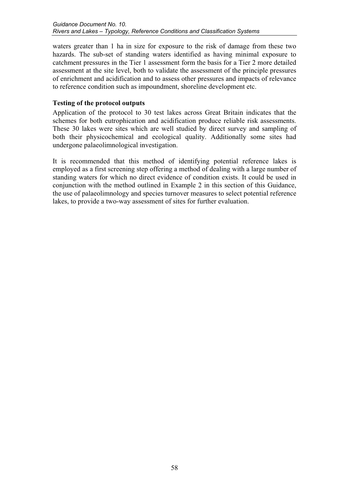waters greater than 1 ha in size for exposure to the risk of damage from these two hazards. The sub-set of standing waters identified as having minimal exposure to catchment pressures in the Tier 1 assessment form the basis for a Tier 2 more detailed assessment at the site level, both to validate the assessment of the principle pressures of enrichment and acidification and to assess other pressures and impacts of relevance to reference condition such as impoundment, shoreline development etc.

#### **Testing of the protocol outputs**

Application of the protocol to 30 test lakes across Great Britain indicates that the schemes for both eutrophication and acidification produce reliable risk assessments. These 30 lakes were sites which are well studied by direct survey and sampling of both their physicochemical and ecological quality. Additionally some sites had undergone palaeolimnological investigation.

It is recommended that this method of identifying potential reference lakes is employed as a first screening step offering a method of dealing with a large number of standing waters for which no direct evidence of condition exists. It could be used in conjunction with the method outlined in Example 2 in this section of this Guidance, the use of palaeolimnology and species turnover measures to select potential reference lakes, to provide a two-way assessment of sites for further evaluation.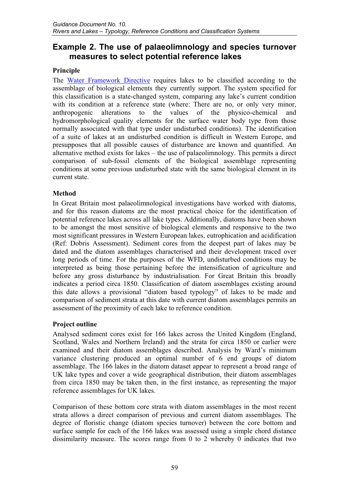## **Example 2. The use of palaeolimnology and species turnover measures to select potential reference lakes**

#### **Principle**

The Water Framework Directive requires lakes to be classified according to the assemblage of biological elements they currently support. The system specified for this classification is a state-changed system, comparing any lake's current condition with its condition at a reference state (where: There are no, or only very minor, anthropogenic alterations to the values of the physico-chemical and hydromorphological quality elements for the surface water body type from those normally associated with that type under undisturbed conditions). The identification of a suite of lakes at an undisturbed condition is difficult in Western Europe, and presupposes that all possible causes of disturbance are known and quantified. An alternative method exists for lakes – the use of palaeolimnology. This permits a direct comparison of sub-fossil elements of the biological assemblage representing conditions at some previous undisturbed state with the same biological element in its current state.

#### **Method**

In Great Britain most palaeolimnological investigations have worked with diatoms, and for this reason diatoms are the most practical choice for the identification of potential reference lakes across all lake types. Additionally, diatoms have been shown to be amongst the most sensitive of biological elements and responsive to the two most significant pressures in Western European lakes, eutrophication and acidification (Ref: Dobris Assessment). Sediment cores from the deepest part of lakes may be dated and the diatom assemblages characterised and their development traced over long periods of time. For the purposes of the WFD, undisturbed conditions may be interpreted as being those pertaining before the intensification of agriculture and before any gross disturbance by industrialisation. For Great Britain this broadly indicates a period circa 1850. Classification of diatom assemblages existing around this date allows a provisional "diatom based typology" of lakes to be made and comparison of sediment strata at this date with current diatom assemblages permits an assessment of the proximity of each lake to reference condition.

#### **Project outline**

Analysed sediment cores exist for 166 lakes across the United Kingdom (England, Scotland, Wales and Northern Ireland) and the strata for circa 1850 or earlier were examined and their diatom assemblages described. Analysis by Ward's minimum variance clustering produced an optimal number of 6 end groups of diatom assemblage. The 166 lakes in the diatom dataset appear to represent a broad range of UK lake types and cover a wide geographical distribution, their diatom assemblages from circa 1850 may be taken then, in the first instance, as representing the major reference assemblages for UK lakes.

Comparison of these bottom core strata with diatom assemblages in the most recent strata allows a direct comparison of previous and current diatom assemblages. The degree of floristic change (diatom species turnover) between the core bottom and surface sample for each of the 166 lakes was assessed using a simple chord distance dissimilarity measure. The scores range from 0 to 2 whereby 0 indicates that two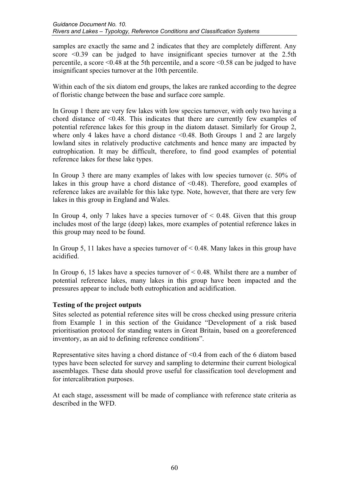samples are exactly the same and 2 indicates that they are completely different. Any score <0.39 can be judged to have insignificant species turnover at the 2.5th percentile, a score <0.48 at the 5th percentile, and a score <0.58 can be judged to have insignificant species turnover at the 10th percentile.

Within each of the six diatom end groups, the lakes are ranked according to the degree of floristic change between the base and surface core sample.

In Group 1 there are very few lakes with low species turnover, with only two having a chord distance of <0.48. This indicates that there are currently few examples of potential reference lakes for this group in the diatom dataset. Similarly for Group 2, where only 4 lakes have a chord distance  $\leq 0.48$ . Both Groups 1 and 2 are largely lowland sites in relatively productive catchments and hence many are impacted by eutrophication. It may be difficult, therefore, to find good examples of potential reference lakes for these lake types.

In Group 3 there are many examples of lakes with low species turnover (c. 50% of lakes in this group have a chord distance of  $\leq 0.48$ ). Therefore, good examples of reference lakes are available for this lake type. Note, however, that there are very few lakes in this group in England and Wales.

In Group 4, only 7 lakes have a species turnover of  $\leq$  0.48. Given that this group includes most of the large (deep) lakes, more examples of potential reference lakes in this group may need to be found.

In Group 5, 11 lakes have a species turnover of  $\leq$  0.48. Many lakes in this group have acidified.

In Group 6, 15 lakes have a species turnover of  $\leq$  0.48. Whilst there are a number of potential reference lakes, many lakes in this group have been impacted and the pressures appear to include both eutrophication and acidification.

### **Testing of the project outputs**

Sites selected as potential reference sites will be cross checked using pressure criteria from Example 1 in this section of the Guidance "Development of a risk based prioritisation protocol for standing waters in Great Britain, based on a georeferenced inventory, as an aid to defining reference conditions".

Representative sites having a chord distance of <0.4 from each of the 6 diatom based types have been selected for survey and sampling to determine their current biological assemblages. These data should prove useful for classification tool development and for intercalibration purposes.

At each stage, assessment will be made of compliance with reference state criteria as described in the WFD.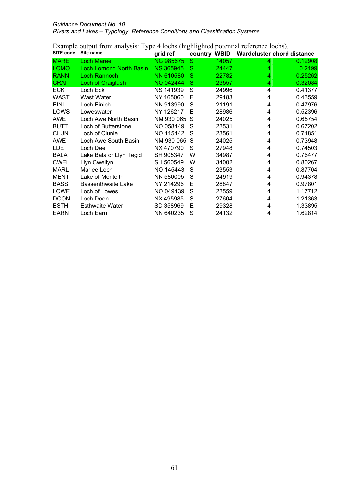# Example output from analysis: Type 4 lochs (highlighted potential reference lochs).

| <b>SITE</b> code | Site name                      | grid ref         | country WBID |       | <b>Wardcluster chord distance</b> |         |
|------------------|--------------------------------|------------------|--------------|-------|-----------------------------------|---------|
| <b>MARE</b>      | <b>Loch Maree</b>              | <b>NG 985675</b> | S            | 14057 | 4                                 | 0.12908 |
| <b>LOMO</b>      | <b>Loch Lomond North Basin</b> | <b>NS 365945</b> | S            | 24447 | 4                                 | 0.2199  |
| <b>RANN</b>      | Loch Rannoch                   | NN 610580        | S            | 22782 | 4                                 | 0.25262 |
| <b>CRAI</b>      | Loch of Craiglush              | <b>NO 042444</b> | S            | 23557 | 4                                 | 0.32084 |
| <b>ECK</b>       | Loch Eck                       | <b>NS 141939</b> | S            | 24996 | 4                                 | 0.41377 |
| <b>WAST</b>      | Wast Water                     | NY 165060        | Е            | 29183 | 4                                 | 0.43559 |
| <b>EINI</b>      | Loch Einich                    | NN 913990        | S            | 21191 | 4                                 | 0.47976 |
| LOWS             | Loweswater                     | NY 126217        | Е            | 28986 | 4                                 | 0.52396 |
| <b>AWE</b>       | Loch Awe North Basin           | NM 930 065       | S            | 24025 | 4                                 | 0.65754 |
| <b>BUTT</b>      | Loch of Butterstone            | NO 058449        | S            | 23531 | 4                                 | 0.67202 |
| <b>CLUN</b>      | Loch of Clunie                 | NO 115442        | S            | 23561 | 4                                 | 0.71851 |
| <b>AWE</b>       | Loch Awe South Basin           | NM 930 065       | S            | 24025 | 4                                 | 0.73948 |
| <b>LDE</b>       | Loch Dee                       | NX 470790        | S            | 27948 | 4                                 | 0.74503 |
| <b>BALA</b>      | Lake Bala or Llyn Tegid        | SH 905347        | w            | 34987 | 4                                 | 0.76477 |
| <b>CWEL</b>      | Llyn Cwellyn                   | SH 560549        | W            | 34002 | 4                                 | 0.80267 |
| <b>MARL</b>      | Marlee Loch                    | NO 145443        | S            | 23553 | 4                                 | 0.87704 |
| <b>MENT</b>      | Lake of Menteith               | NN 580005        | S            | 24919 | 4                                 | 0.94378 |
| <b>BASS</b>      | <b>Bassenthwaite Lake</b>      | NY 214296        | Е            | 28847 | 4                                 | 0.97801 |
| <b>LOWE</b>      | Loch of Lowes                  | NO 049439        | S            | 23559 | 4                                 | 1.17712 |
| <b>DOON</b>      | Loch Doon                      | NX 495985        | S            | 27604 | 4                                 | 1.21363 |
| <b>ESTH</b>      | <b>Esthwaite Water</b>         | SD 358969        | Е            | 29328 | 4                                 | 1.33895 |
| <b>EARN</b>      | Loch Earn                      | NN 640235        | S            | 24132 | 4                                 | 1.62814 |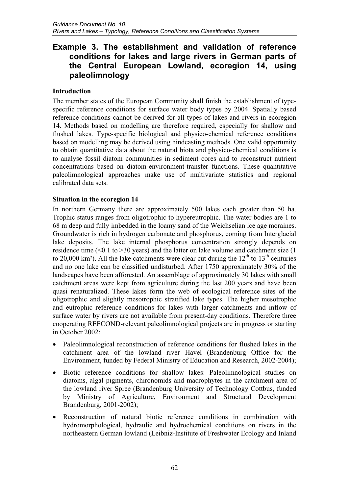## **Example 3. The establishment and validation of reference conditions for lakes and large rivers in German parts of the Central European Lowland, ecoregion 14, using paleolimnology**

#### **Introduction**

The member states of the European Community shall finish the establishment of typespecific reference conditions for surface water body types by 2004. Spatially based reference conditions cannot be derived for all types of lakes and rivers in ecoregion 14. Methods based on modelling are therefore required, especially for shallow and flushed lakes. Type-specific biological and physico-chemical reference conditions based on modelling may be derived using hindcasting methods. One valid opportunity to obtain quantitative data about the natural biota and physico-chemical conditions is to analyse fossil diatom communities in sediment cores and to reconstruct nutrient concentrations based on diatom-environment-transfer functions. These quantitative paleolimnological approaches make use of multivariate statistics and regional calibrated data sets.

#### **Situation in the ecoregion 14**

In northern Germany there are approximately 500 lakes each greater than 50 ha. Trophic status ranges from oligotrophic to hypereutrophic. The water bodies are 1 to 68 m deep and fully imbedded in the loamy sand of the Weichselian ice age moraines. Groundwater is rich in hydrogen carbonate and phosphorus, coming from Interglacial lake deposits. The lake internal phosphorus concentration strongly depends on residence time (<0.1 to >30 years) and the latter on lake volume and catchment size (1 to 20,000 km<sup>2</sup>). All the lake catchments were clear cut during the  $12<sup>th</sup>$  to  $13<sup>th</sup>$  centuries and no one lake can be classified undisturbed. After 1750 approximately 30% of the landscapes have been afforested. An assemblage of approximately 30 lakes with small catchment areas were kept from agriculture during the last 200 years and have been quasi renaturalized. These lakes form the web of ecological reference sites of the oligotrophic and slightly mesotrophic stratified lake types. The higher mesotrophic and eutrophic reference conditions for lakes with larger catchments and inflow of surface water by rivers are not available from present-day conditions. Therefore three cooperating REFCOND-relevant paleolimnological projects are in progress or starting in October 2002:

- Paleolimnological reconstruction of reference conditions for flushed lakes in the catchment area of the lowland river Havel (Brandenburg Office for the Environment, funded by Federal Ministry of Education and Research, 2002-2004);
- $\bullet$  Biotic reference conditions for shallow lakes: Paleolimnological studies on diatoms, algal pigments, chironomids and macrophytes in the catchment area of the lowland river Spree (Brandenburg University of Technology Cottbus, funded by Ministry of Agriculture, Environment and Structural Development Brandenburg, 2001-2002);
- Reconstruction of natural biotic reference conditions in combination with hydromorphological, hydraulic and hydrochemical conditions on rivers in the northeastern German lowland (Leibniz-Institute of Freshwater Ecology and Inland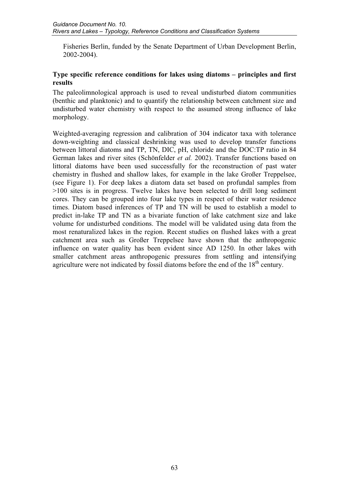Fisheries Berlin, funded by the Senate Department of Urban Development Berlin, 2002-2004).

#### **Type specific reference conditions for lakes using diatoms – principles and first results**

The paleolimnological approach is used to reveal undisturbed diatom communities (benthic and planktonic) and to quantify the relationship between catchment size and undisturbed water chemistry with respect to the assumed strong influence of lake morphology.

Weighted-averaging regression and calibration of 304 indicator taxa with tolerance down-weighting and classical deshrinking was used to develop transfer functions between littoral diatoms and TP, TN, DIC, pH, chloride and the DOC:TP ratio in 84 German lakes and river sites (Schönfelder *et al.* 2002). Transfer functions based on littoral diatoms have been used successfully for the reconstruction of past water chemistry in flushed and shallow lakes, for example in the lake Großer Treppelsee, (see Figure 1). For deep lakes a diatom data set based on profundal samples from >100 sites is in progress. Twelve lakes have been selected to drill long sediment cores. They can be grouped into four lake types in respect of their water residence times. Diatom based inferences of TP and TN will be used to establish a model to predict in-lake TP and TN as a bivariate function of lake catchment size and lake volume for undisturbed conditions. The model will be validated using data from the most renaturalized lakes in the region. Recent studies on flushed lakes with a great catchment area such as Großer Treppelsee have shown that the anthropogenic influence on water quality has been evident since AD 1250. In other lakes with smaller catchment areas anthropogenic pressures from settling and intensifying agriculture were not indicated by fossil diatoms before the end of the  $18<sup>th</sup>$  century.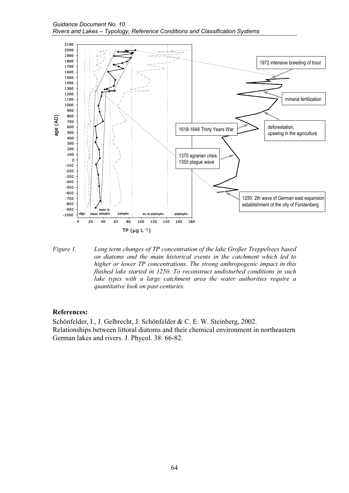

*Figure 1. Long term changes of TP concentration of the lake Großer Treppelsees based on diatoms and the main historical events in the catchment which led to higher or lower TP concentrations. The strong anthropogenic impact in this flushed lake started in 1250. To reconstruct undisturbed conditions in such lake types with a large catchment area the water authorities require a quantitative look on past centuries.* 

#### **References:**

Schönfelder, I., J. Gelbrecht, J. Schönfelder & C. E. W. Steinberg, 2002. Relationships between littoral diatoms and their chemical environment in northeastern German lakes and rivers. J. Phycol. 38: 66-82.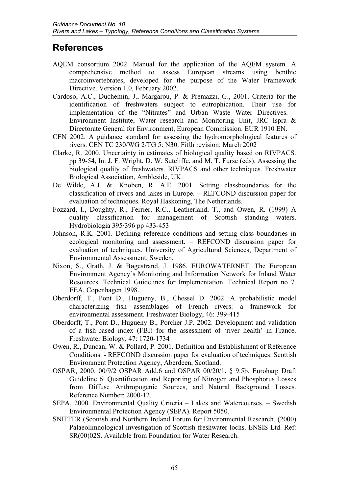# **References**

- AQEM consortium 2002. Manual for the application of the AQEM system. A comprehensive method to assess European streams using benthic macroinvertebrates, developed for the purpose of the Water Framework Directive. Version 1.0, February 2002.
- Cardoso, A.C., Duchemin, J., Margarou, P. & Premazzi, G., 2001. Criteria for the identification of freshwaters subject to eutrophication. Their use for implementation of the "Nitrates" and Urban Waste Water Directives. – Environment Institute, Water research and Monitoring Unit, JRC Ispra & Directorate General for Environment, European Commission. EUR 1910 EN.
- CEN 2002. A guidance standard for assessing the hydromorphological features of rivers. CEN TC 230/WG 2/TG 5: N30. Fifth revision: March 2002
- Clarke, R. 2000. Uncertainty in estimates of biological quality based on RIVPACS. pp 39-54, In: J. F. Wright, D. W. Sutcliffe, and M. T. Furse (eds). Assessing the biological quality of freshwaters. RIVPACS and other techniques. Freshwater Biological Association, Ambleside, UK.
- De Wilde, A.J. &. Knoben, R. A.E. 2001. Setting classboundaries for the classification of rivers and lakes in Europe. – REFCOND discussion paper for evaluation of techniques. Royal Haskoning, The Netherlands.
- Fozzard, I., Doughty, R., Ferrier, R.C., Leatherland, T., and Owen, R. (1999) A quality classification for management of Scottish standing waters. Hydrobiologia 395/396 pp 433-453
- Johnson, R.K. 2001. Defining reference conditions and setting class boundaries in ecological monitoring and assessment. – REFCOND discussion paper for evaluation of techniques. University of Agricultural Sciences, Department of Environmental Assessment, Sweden.
- Nixon, S., Grath, J. & Bøgestrand, J. 1986. EUROWATERNET. The European Environment Agency´s Monitoring and Information Network for Inland Water Resources. Technical Guidelines for Implementation. Technical Report no 7. EEA, Copenhagen 1998.
- Oberdorff, T., Pont D., Hugueny, B., Chessel D. 2002. A probabilistic model characterizing fish assemblages of French rivers: a framework for environmental assessment. Freshwater Biology, 46: 399-415
- Oberdorff, T., Pont D., Hugueny B., Porcher J.P. 2002. Development and validation of a fish-based index (FBI) for the assessment of 'river health' in France. Freshwater Biology, 47: 1720-1734
- Owen, R., Duncan, W. & Pollard, P. 2001. Definition and Establishment of Reference Conditions. - REFCOND discussion paper for evaluation of techniques. Scottish Environment Protection Agency, Aberdeen, Scotland.
- OSPAR, 2000. 00/9/2 OSPAR Add.6 and OSPAR 00/20/1, § 9.5b. Euroharp Draft Guideline 6: Quantification and Reporting of Nitrogen and Phosphorus Losses from Diffuse Anthropogenic Sources, and Natural Background Losses. Reference Number: 2000-12.
- SEPA, 2000. Environmental Quality Criteria Lakes and Watercourses. Swedish Environmental Protection Agency (SEPA). Report 5050.
- SNIFFER (Scottish and Northern Ireland Forum for Environmental Research. (2000) Palaeolimnological investigation of Scottish freshwater lochs. ENSIS Ltd. Ref: SR(00)02S. Available from Foundation for Water Research.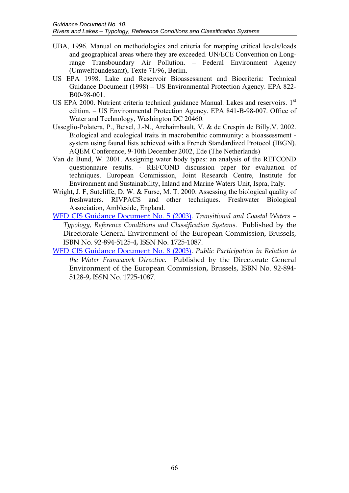- UBA, 1996. Manual on methodologies and criteria for mapping critical levels/loads and geographical areas where they are exceeded. UN/ECE Convention on Longrange Transboundary Air Pollution. – Federal Environment Agency (Umweltbundesamt), Texte 71/96, Berlin.
- US EPA 1998. Lake and Reservoir Bioassessment and Biocriteria: Technical Guidance Document (1998) – US Environmental Protection Agency. EPA 822- B00-98-001.
- US EPA 2000. Nutrient criteria technical guidance Manual. Lakes and reservoirs. 1<sup>st</sup> edition. – US Environmental Protection Agency. EPA 841-B-98-007. Office of Water and Technology, Washington DC 20460.
- Usseglio-Polatera, P., Beisel, J.-N., Archaimbault, V. & de Crespin de Billy,V. 2002. Biological and ecological traits in macrobenthic community: a bioassessment system using faunal lists achieved with a French Standardized Protocol (IBGN). AQEM Conference, 9-10th December 2002, Ede (The Netherlands)
- Van de Bund, W. 2001. Assigning water body types: an analysis of the REFCOND questionnaire results. - REFCOND discussion paper for evaluation of techniques. European Commission, Joint Research Centre, Institute for Environment and Sustainability, Inland and Marine Waters Unit, Ispra, Italy.
- Wright, J. F, Sutcliffe, D. W. & Furse, M. T. 2000. Assessing the biological quality of freshwaters. RIVPACS and other techniques. Freshwater Biological Association, Ambleside, England.
- WFD CIS Guidance Document No. 5 (2003). *Transitional and Coastal Waters Typology, Reference Conditions and Classification Systems*. Published by the Directorate General Environment of the European Commission, Brussels, ISBN No. 92-894-5125-4, ISSN No. 1725-1087.
- WFD CIS Guidance Document No. 8 (2003). *Public Participation in Relation to the Water Framework Directive*. Published by the Directorate General Environment of the European Commission, Brussels, ISBN No. 92-894- 5128-9, ISSN No. 1725-1087.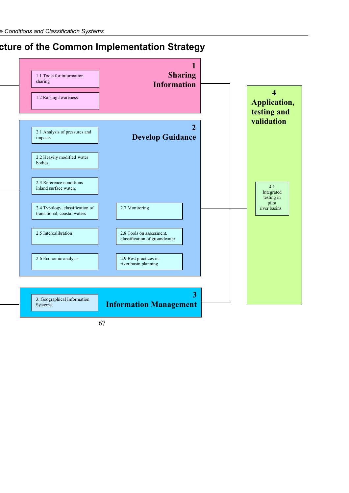### **cture of the Common Implementation Strategy**

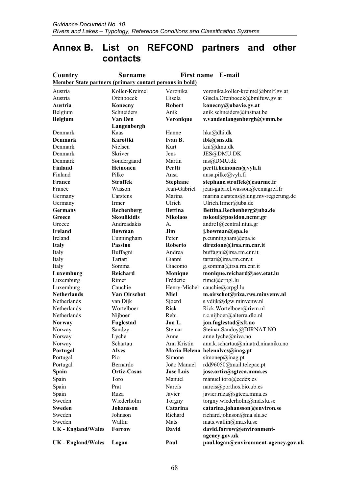## **Annex B. List on REFCOND partners and other contacts**

| Country                                                 | <b>Surname</b>     |                  | First name E-mail                    |
|---------------------------------------------------------|--------------------|------------------|--------------------------------------|
| Member State partners (primary contact persons in bold) |                    |                  |                                      |
| Austria                                                 | Koller-Kreimel     | Veronika         | veronika.koller-kreimel@bmlf.gv.at   |
| Austria                                                 | Ofenboeck          | Gisela           | Gisela.Ofenboeck@bmlfuw.gv.at        |
| Austria                                                 | Konecny            | <b>Robert</b>    | konecny@ubavie.gv.at                 |
| Belgium                                                 | Schneiders         | Anik             | anik.schneiders@instnat.be           |
| <b>Belgium</b>                                          | Van Den            | Veronique        | v.vandenlangenbergh@vmm.be           |
|                                                         | Langenbergh        |                  |                                      |
| Denmark                                                 | Kaas               | Hanne            | hka@dhi.dk                           |
| <b>Denmark</b>                                          | Karottki           | Ivan B.          | ibk@sns.dk                           |
| Denmark                                                 | Nielsen            | Kurt             | kni@dmu.dk                           |
| Denmark                                                 | <b>Skriver</b>     | Jens             | JES@DMU.DK                           |
| Denmark                                                 | Søndergaard        | Martin           | ms@DMU.dk                            |
| Finland                                                 | <b>Heinonen</b>    | Pertti           | pertti.heinonen@vyh.fi               |
| Finland                                                 | Pilke              | Ansa             | ansa.pilke@vyh.fi                    |
| <b>France</b>                                           | <b>Stroffek</b>    | <b>Stephane</b>  | stephane.stroffek@eaurmc.fr          |
| France                                                  | Wasson             | Jean-Gabriel     | jean-gabriel.wasson@cemagref.fr      |
| Germany                                                 | Carstens           | Marina           | marina.carstens@lung.mv-regierung.de |
| Germany                                                 | Irmer              | Ulrich           | Ulrich.Irmer@uba.de                  |
| Germany                                                 | Rechenberg         | <b>Bettina</b>   | Bettina.Rechenberg@uba.de            |
| Greece                                                  | <b>Skoulikidis</b> | <b>Nikolaos</b>  | nskoul@posidon.ncmr.gr               |
| Greece                                                  | Andreadakis        | A.               | andre1@central.ntua.gr               |
| <b>Ireland</b>                                          | <b>Bowman</b>      | Jim              | j.bowman@epa.ie                      |
| Ireland                                                 | Cunningham         | Peter            | p.cunningham@epa.ie                  |
| <b>Italy</b>                                            | Passino            | <b>Roberto</b>   | direzione@irsa.rm.cnr.it             |
| Italy                                                   | Buffagni           | Andrea           | buffagni@irsa.rm.cnr.it              |
| Italy                                                   | Tartari            | Gianni           | tartari@irsa.rm.cnr.it               |
| Italy                                                   | Somma              | Giacomo          | g.somma@irsa.rm.cnr.it               |
| Luxemburg                                               | Reichard           | Monique          | monique.reichard@aev.etat.lu         |
| Luxemburg                                               | Rimet              | Frédéric         | rimet@crpgl.lu                       |
| Luxemburg                                               | Cauchie            | Henry-Michel     | cauchie@crpgl.lu                     |
| <b>Netherlands</b>                                      | Van Oirschot       | <b>Miel</b>      | m.oirschot@riza.rws.minvenw.nl       |
| <b>Netherlands</b>                                      | van Dijk           | Sjoerd           | s.vdijk@dgw.minvenw.nl               |
| <b>Netherlands</b>                                      | Wortelboer         | Rick             | Rick.Wortelboer@rivm.nl              |
| Netherlands                                             | Nijboer            | Rebi             | r.c.nijboer@alterra.dlo.nl           |
| <b>Norway</b>                                           | Fuglestad          | Jon L.           | jon.fuglestad@sft.no                 |
| Norway                                                  | Sandøy             | Steinar          | Steinar.Sandoy@DIRNAT.NO             |
| Norway                                                  | Lyche              | Anne             | anne.lyche@niva.no                   |
| Norway                                                  | Schartau           | Ann Kristin      | ann.k.schartau@ninatrd.ninaniku.no   |
| Portugal                                                | <b>Alves</b>       |                  | Maria Helena helenalves@inag.pt      |
| Portugal                                                | Pio                | Simone           | simonep@inag.pt                      |
| Portugal                                                | Bernardo           | João Manuel      | rdd96050@mail.telepac.pt             |
| Spain                                                   | <b>Ortiz-Casas</b> | <b>Jose Luis</b> | jose.ortiz@sgtcca.mma.es             |
| Spain                                                   | Toro               | Manuel           | manuel.toro@cedex.es                 |
| Spain                                                   | Prat               | Narcís           | narcis@porthos.bio.ub.es             |
| Spain                                                   | Ruza               | Javier           | javier.ruza@sgtcca.mma.es            |
| Sweden                                                  | Wiederholm         | Torgny           | torgny.wiederholm@md.slu.se          |
| Sweden                                                  | <b>Johansson</b>   | Catarina         | catarina.johansson@environ.se        |
| Sweden                                                  | Johnson            | Richard          | richard.johnson@ma.slu.se            |
| Sweden                                                  | Wallin             | Mats             | mats.wallin@ma.slu.se                |
| <b>UK</b> - England/Wales                               | <b>Forrow</b>      | David            | david.forrow@environment-            |
|                                                         |                    |                  | agency.gov.uk                        |
| <b>UK</b> - England/Wales                               | Logan              | Paul             | paul.logan@environment-agency.gov.uk |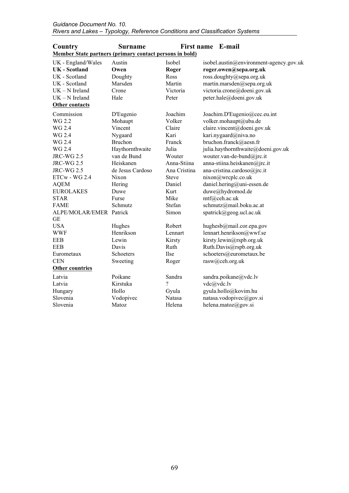| Member State partners (primary contact persons in bold) |                  |               |                                         |
|---------------------------------------------------------|------------------|---------------|-----------------------------------------|
| UK - England/Wales                                      | Austin           | <b>Isobel</b> | isobel.austin@environment-agency.gov.uk |
| <b>UK</b> - Scotland                                    | Owen             | Roger         | roger.owen@sepa.org.uk                  |
| UK - Scotland                                           | Doughty          | Ross          | ross.doughty@sepa.org.uk                |
| UK - Scotland                                           | Marsden          | Martin        | martin.marsden@sepa.org.uk              |
| $UK - N$ Ireland                                        | Crone            | Victoria      | victoria.crone@doeni.gov.uk             |
| $UK - N$ Ireland                                        | Hale             | Peter         | peter.hale@doeni.gov.uk                 |
| <b>Other contacts</b>                                   |                  |               |                                         |
| Commission                                              | D'Eugenio        | Joachim       | Joachim.D'Eugenio@cec.eu.int            |
| <b>WG 2.2</b>                                           | Mohaupt          | Volker        | volker.mohaupt@uba.de                   |
| WG 2.4                                                  | Vincent          | Claire        | claire.vincent@doeni.gov.uk             |
| <b>WG 2.4</b>                                           | Nygaard          | Kari          | kari.nygaard@niva.no                    |
| WG 2.4                                                  | <b>Bruchon</b>   | Franck        | bruchon.franck@aesn.fr                  |
| WG 2.4                                                  | Haythornthwaite  | Julia         | julia.haythornthwaite@doeni.gov.uk      |
| <b>JRC-WG 2.5</b>                                       | van de Bund      | Wouter        | wouter.van-de-bund@jrc.it               |
| <b>JRC-WG 2.5</b>                                       | Heiskanen        | Anna-Stiina   | anna-stiina.heiskanen@jrc.it            |
| <b>JRC-WG 2.5</b>                                       | de Jesus Cardoso | Ana Cristina  | ana-cristina.cardoso@jrc.it             |
| ETCw - WG 2.4                                           | Nixon            | <b>Steve</b>  | nixon@wrcplc.co.uk                      |
| <b>AQEM</b>                                             | Hering           | Daniel        | daniel.hering@uni-essen.de              |
| <b>EUROLAKES</b>                                        | Duwe             | Kurt          | duwe@hydromod.de                        |
| <b>STAR</b>                                             | Furse            | Mike          | mtf@ceh.ac.uk                           |
| <b>FAME</b>                                             | Schmutz          | Stefan        | schmutz@mail.boku.ac.at                 |
| ALPE/MOLAR/EMER Patrick                                 |                  | Simon         | spatrick@geog.ucl.ac.uk                 |
| <b>GE</b>                                               |                  |               |                                         |
| <b>USA</b>                                              | Hughes           | Robert        | hughesb@mail.cor.epa.gov                |
| <b>WWF</b>                                              | Henrikson        | Lennart       | lennart.henrikson@wwf.se                |
| <b>EEB</b>                                              | Lewin            | Kirsty        | kirsty.lewin@rspb.org.uk                |
| <b>EEB</b>                                              | Davis            | Ruth          | Ruth.Davis@rspb.org.uk                  |
| Eurometaux                                              | Schoeters        | <b>Ilse</b>   | schoeters@eurometaux.be                 |
| <b>CEN</b>                                              | Sweeting         | Roger         | rasw@ceh.org.uk                         |
| <b>Other countries</b>                                  |                  |               |                                         |
| Latvia                                                  | Poikane          | Sandra        | sandra.poikane@vdc.lv                   |
| Latvia                                                  | Kirstuka         | ?             | vdc@vdc.lv                              |
| Hungary                                                 | Hollo            | Gyula         | gyula.hollo@kovim.hu                    |
| Slovenia                                                | Vodopivec        | <b>Natasa</b> | natasa.vodopivec@gov.si                 |
| Slovenia                                                | Matoz            | Helena        | helena.matoz@gov.si                     |

### **Country Surname First name E-mail**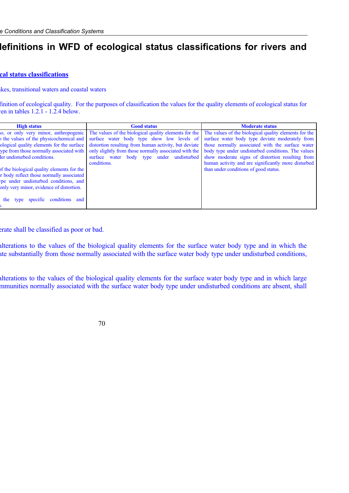# **definitions in WFD of ecological status classifications for rivers and**

#### **cal status classifications**

akes, transitional waters and coastal waters

finition of ecological quality. For the purposes of classification the values for the quality elements of ecological status for ven in tables 1.2.1 - 1.2.4 below.

| <b>High status</b>                         | <b>Good status</b>                                    | <b>Moderate status</b>                                |
|--------------------------------------------|-------------------------------------------------------|-------------------------------------------------------|
| to, or only very minor, anthropogenic      | The values of the biological quality elements for the | The values of the biological quality elements for the |
| the values of the physicochemical and      | surface water body type show low levels of            | surface water body type deviate moderately from       |
| ological quality elements for the surface  | distortion resulting from human activity, but deviate | those normally associated with the surface water      |
| ype from those normally associated with    | only slightly from those normally associated with the | body type under undisturbed conditions. The values    |
| ler undisturbed conditions.                | surface water body type under undisturbed             | show moderate signs of distortion resulting from      |
|                                            | conditions.                                           | human activity and are significantly more disturbed   |
| of the biological quality elements for the |                                                       | than under conditions of good status.                 |
| r body reflect those normally associated   |                                                       |                                                       |
| pe under undisturbed conditions, and       |                                                       |                                                       |
| only very minor, evidence of distortion.   |                                                       |                                                       |
| specific conditions and<br>the<br>type     |                                                       |                                                       |

erate shall be classified as poor or bad.

alterations to the values of the biological quality elements for the surface water body type and in which the ate substantially from those normally associated with the surface water body type under undisturbed conditions,

alterations to the values of the biological quality elements for the surface water body type and in which large mmunities normally associated with the surface water body type under undisturbed conditions are absent, shall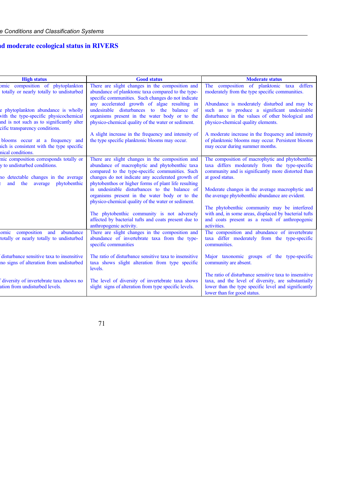### **nd moderate ecological status in RIVERS**

| <b>High status</b>                                                                                                                                           | <b>Good status</b>                                                                                                                                                                                                                                                | <b>Moderate status</b>                                                                                                                                                                               |
|--------------------------------------------------------------------------------------------------------------------------------------------------------------|-------------------------------------------------------------------------------------------------------------------------------------------------------------------------------------------------------------------------------------------------------------------|------------------------------------------------------------------------------------------------------------------------------------------------------------------------------------------------------|
| omic composition of phytoplankton<br>totally or nearly totally to undisturbed                                                                                | There are slight changes in the composition and<br>abundance of planktonic taxa compared to the type-<br>specific communities. Such changes do not indicate<br>any accelerated growth of algae resulting in                                                       | The composition of planktonic taxa differs<br>moderately from the type specific communities.<br>Abundance is moderately disturbed and may be                                                         |
| e phytoplankton abundance is wholly<br>vith the type-specific physicochemical<br>ind is not such as to significantly alter<br>cific transparency conditions. | undesirable disturbances to the balance of<br>organisms present in the water body or to the<br>physico-chemical quality of the water or sediment.                                                                                                                 | such as to produce a significant undesirable<br>disturbance in the values of other biological and<br>physico-chemical quality elements.                                                              |
| blooms occur at a frequency and<br>ich is consistent with the type specific<br>nical conditions.                                                             | A slight increase in the frequency and intensity of<br>the type specific planktonic blooms may occur.                                                                                                                                                             | A moderate increase in the frequency and intensity<br>of planktonic blooms may occur. Persistent blooms<br>may occur during summer months.                                                           |
| nic composition corresponds totally or<br>y to undisturbed conditions.<br>no detectable changes in the average<br>phytobenthic<br>average<br>and<br>the      | There are slight changes in the composition and<br>abundance of macrophytic and phytobenthic taxa<br>compared to the type-specific communities. Such<br>changes do not indicate any accelerated growth of<br>phytobenthos or higher forms of plant life resulting | The composition of macrophytic and phytobenthic<br>taxa differs moderately from the type-specific<br>community and is significantly more distorted than<br>at good status.                           |
|                                                                                                                                                              | in undesirable disturbances to the balance of<br>organisms present in the water body or to the<br>physico-chemical quality of the water or sediment.                                                                                                              | Moderate changes in the average macrophytic and<br>the average phytobenthic abundance are evident.                                                                                                   |
|                                                                                                                                                              | The phytobenthic community is not adversely<br>affected by bacterial tufts and coats present due to<br>anthropogenic activity.                                                                                                                                    | The phytobenthic community may be interfered<br>with and, in some areas, displaced by bacterial tufts<br>and coats present as a result of anthropogenic<br>activities.                               |
| composition and abundance<br>omic<br>totally or nearly totally to undisturbed                                                                                | There are slight changes in the composition and<br>abundance of invertebrate taxa from the type-<br>specific communities                                                                                                                                          | The composition and abundance of invertebrate<br>taxa differ moderately from the type-specific<br>communities.                                                                                       |
| disturbance sensitive taxa to insensitive<br>no signs of alteration from undisturbed                                                                         | The ratio of disturbance sensitive taxa to insensitive<br>taxa shows slight alteration from type specific<br>levels.                                                                                                                                              | Major taxonomic groups of the type-specific<br>community are absent.                                                                                                                                 |
| diversity of invertebrate taxa shows no<br>ation from undisturbed levels.                                                                                    | The level of diversity of invertebrate taxa shows<br>slight signs of alteration from type specific levels.                                                                                                                                                        | The ratio of disturbance sensitive taxa to insensitive<br>taxa, and the level of diversity, are substantially<br>lower than the type specific level and significantly<br>lower than for good status. |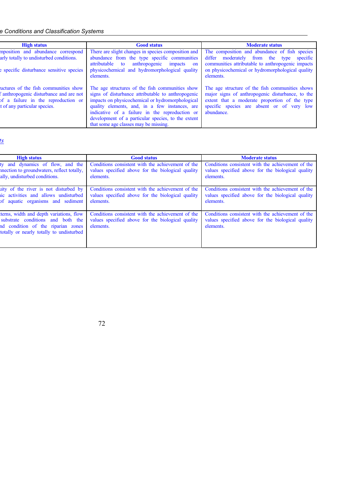| <b>High status</b>                       | <b>Good status</b>                                                        | <b>Moderate status</b>                            |
|------------------------------------------|---------------------------------------------------------------------------|---------------------------------------------------|
| mposition and abundance correspond       | There are slight changes in species composition and                       | The composition and abundance of fish species     |
| arly totally to undisturbed conditions.  | abundance from the type specific communities                              | differ moderately from the type<br>specific       |
|                                          | attributable<br>anthropogenic<br>$\overline{\mathbf{t}}$<br>impacts<br>on | communities attributable to anthropogenic impacts |
| e specific disturbance sensitive species | physicochemical and hydromorphological quality                            | on physicochemical or hydromorphological quality  |
|                                          | elements.                                                                 | elements.                                         |
|                                          |                                                                           |                                                   |
| uctures of the fish communities show     | The age structures of the fish communities show                           | The age structure of the fish communities shows   |
| f anthropogenic disturbance and are not  | signs of disturbance attributable to anthropogenic                        | major signs of anthropogenic disturbance, to the  |
| of a failure in the reproduction or      | impacts on physicochemical or hydromorphological                          | extent that a moderate proportion of the type     |
| t of any particular species.             | quality elements, and, in a few instances, are                            | specific species are absent or of very low        |
|                                          | indicative of a failure in the reproduction or                            | abundance.                                        |
|                                          | development of a particular species, to the extent                        |                                                   |
|                                          | that some age classes may be missing.                                     |                                                   |

*ts*

| <b>High status</b>                                                                                                                                             | <b>Good status</b>                                                                                                  | <b>Moderate status</b>                                                                                              |
|----------------------------------------------------------------------------------------------------------------------------------------------------------------|---------------------------------------------------------------------------------------------------------------------|---------------------------------------------------------------------------------------------------------------------|
| ty and dynamics of flow, and the                                                                                                                               | Conditions consistent with the achievement of the                                                                   | Conditions consistent with the achievement of the                                                                   |
| mection to groundwaters, reflect totally,                                                                                                                      | values specified above for the biological quality                                                                   | values specified above for the biological quality                                                                   |
| ally, undisturbed conditions.                                                                                                                                  | elements.                                                                                                           | elements.                                                                                                           |
| uity of the river is not disturbed by                                                                                                                          | Conditions consistent with the achievement of the                                                                   | Conditions consistent with the achievement of the                                                                   |
| ic activities and allows undisturbed                                                                                                                           | values specified above for the biological quality                                                                   | values specified above for the biological quality                                                                   |
| of aquatic organisms and sediment                                                                                                                              | elements.                                                                                                           | elements.                                                                                                           |
| terns, width and depth variations, flow<br>substrate conditions and both the<br>nd condition of the riparian zones<br>totally or nearly totally to undisturbed | Conditions consistent with the achievement of the<br>values specified above for the biological quality<br>elements. | Conditions consistent with the achievement of the<br>values specified above for the biological quality<br>elements. |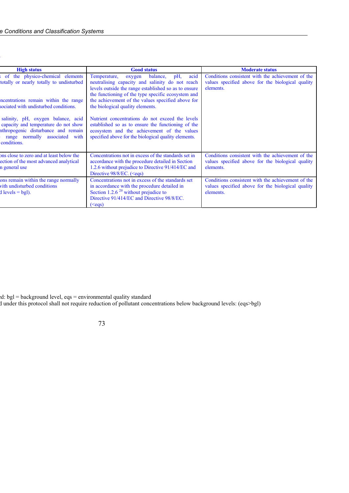| <b>High status</b>                                                                                                                                                 | <b>Good status</b>                                                                                                                                                                                                                                                                                                                          | <b>Moderate status</b>                                                                                              |
|--------------------------------------------------------------------------------------------------------------------------------------------------------------------|---------------------------------------------------------------------------------------------------------------------------------------------------------------------------------------------------------------------------------------------------------------------------------------------------------------------------------------------|---------------------------------------------------------------------------------------------------------------------|
| of the physico-chemical elements<br>totally or nearly totally to undisturbed                                                                                       | Temperature,<br>acid<br>balance,<br>$pH$ ,<br>oxygen<br>neutralising capacity and salinity do not reach<br>levels outside the range established so as to ensure<br>the functioning of the type specific ecosystem and                                                                                                                       | Conditions consistent with the achievement of the<br>values specified above for the biological quality<br>elements. |
| ncentrations remain within the range<br>sociated with undisturbed conditions.                                                                                      | the achievement of the values specified above for<br>the biological quality elements.                                                                                                                                                                                                                                                       |                                                                                                                     |
| salinity, pH, oxygen balance, acid<br>capacity and temperature do not show<br>nthropogenic disturbance and remain<br>range normally associated with<br>conditions. | Nutrient concentrations do not exceed the levels<br>established so as to ensure the functioning of the<br>ecosystem and the achievement of the values<br>specified above for the biological quality elements.                                                                                                                               |                                                                                                                     |
| ons close to zero and at least below the<br>ection of the most advanced analytical<br>n general use                                                                | Concentrations not in excess of the standards set in<br>accordance with the procedure detailed in Section<br>1.2.6 without prejudice to Directive 91/414/EC and<br>Directive 98/8/EC. ( <eqs)< td=""><td>Conditions consistent with the achievement of the<br/>values specified above for the biological quality<br/>elements.</td></eqs)<> | Conditions consistent with the achievement of the<br>values specified above for the biological quality<br>elements. |
| ons remain within the range normally<br>vith undisturbed conditions<br>$d$ levels = bgl).                                                                          | Concentrations not in excess of the standards set<br>in accordance with the procedure detailed in<br>Section 1.2.6 <sup>20</sup> without prejudice to<br>Directive 91/414/EC and Directive 98/8/EC.<br>$(\leq_{\text{eqs}})$                                                                                                                | Conditions consistent with the achievement of the<br>values specified above for the biological quality<br>elements. |

ed: bgl = background level, eqs = environmental quality standard

d under this protocol shall not require reduction of pollutant concentrations below background levels: (eqs>bgl)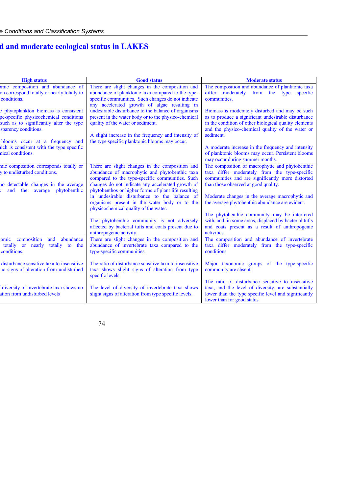# **d and moderate ecological status in LAKES**

| <b>High status</b>                                                                                                                                                                    | <b>Good status</b>                                                                                                                                                                                                                                        | <b>Moderate status</b>                                                                                                                                                                                                           |
|---------------------------------------------------------------------------------------------------------------------------------------------------------------------------------------|-----------------------------------------------------------------------------------------------------------------------------------------------------------------------------------------------------------------------------------------------------------|----------------------------------------------------------------------------------------------------------------------------------------------------------------------------------------------------------------------------------|
| omic composition and abundance of<br>on correspond totally or nearly totally to<br>conditions.                                                                                        | There are slight changes in the composition and<br>abundance of planktonic taxa compared to the type-<br>specific communities. Such changes do not indicate<br>any accelerated growth of algae resulting in                                               | The composition and abundance of planktonic taxa<br>differ moderately<br>from the<br>specific<br>type<br>communities.                                                                                                            |
| e phytoplankton biomass is consistent<br>pe-specific physicochemical conditions<br>such as to significantly alter the type<br>sparency conditions.<br>blooms occur at a frequency and | undesirable disturbance to the balance of organisms<br>present in the water body or to the physico-chemical<br>quality of the water or sediment.<br>A slight increase in the frequency and intensity of<br>the type specific planktonic blooms may occur. | Biomass is moderately disturbed and may be such<br>as to produce a significant undesirable disturbance<br>in the condition of other biological quality elements<br>and the physico-chemical quality of the water or<br>sediment. |
| ich is consistent with the type specific<br>nical conditions.                                                                                                                         |                                                                                                                                                                                                                                                           | A moderate increase in the frequency and intensity<br>of planktonic blooms may occur. Persistent blooms<br>may occur during summer months.                                                                                       |
| mic composition corresponds totally or<br>y to undisturbed conditions.<br>no detectable changes in the average                                                                        | There are slight changes in the composition and<br>abundance of macrophytic and phytobenthic taxa<br>compared to the type-specific communities. Such<br>changes do not indicate any accelerated growth of                                                 | The composition of macrophytic and phytobenthic<br>taxa differ moderately from the type-specific<br>communities and are significantly more distorted<br>than those observed at good quality.                                     |
| phytobenthic<br>average<br>and<br>the                                                                                                                                                 | phytobenthos or higher forms of plant life resulting<br>in undesirable disturbance to the balance of<br>organisms present in the water body or to the<br>physicochemical quality of the water.                                                            | Moderate changes in the average macrophytic and<br>the average phytobenthic abundance are evident.                                                                                                                               |
|                                                                                                                                                                                       | The phytobenthic community is not adversely<br>affected by bacterial tufts and coats present due to<br>anthropogenic activity.                                                                                                                            | The phytobenthic community may be interfered<br>with, and, in some areas, displaced by bacterial tufts<br>and coats present as a result of anthropogenic<br>activities.                                                          |
| composition<br>and<br>abundance<br>omic<br>totally or nearly<br>totally to the<br>conditions.                                                                                         | There are slight changes in the composition and<br>abundance of invertebrate taxa compared to the<br>type-specific communities.                                                                                                                           | The composition and abundance of invertebrate<br>taxa differ moderately from the type-specific<br>conditions                                                                                                                     |
| disturbance sensitive taxa to insensitive<br>no signs of alteration from undisturbed                                                                                                  | The ratio of disturbance sensitive taxa to insensitive<br>taxa shows slight signs of alteration from type<br>specific levels.                                                                                                                             | Major taxonomic groups of the type-specific<br>community are absent.                                                                                                                                                             |
| diversity of invertebrate taxa shows no<br>ation from undisturbed levels                                                                                                              | The level of diversity of invertebrate taxa shows<br>slight signs of alteration from type specific levels.                                                                                                                                                | The ratio of disturbance sensitive to insensitive<br>taxa, and the level of diversity, are substantially<br>lower than the type specific level and significantly<br>lower than for good status                                   |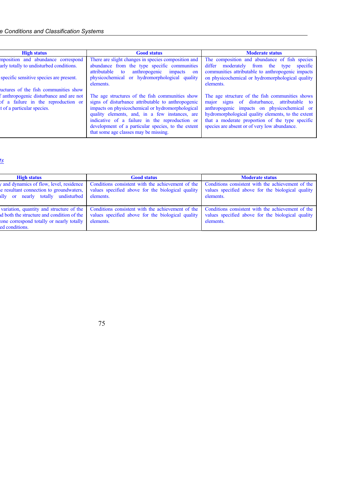| <b>High status</b>                                                                                                                                   | <b>Good status</b>                                                                                                                                                                                                                                                                                                                                           | <b>Moderate status</b>                                                                                                                                                                                                                                                                                 |
|------------------------------------------------------------------------------------------------------------------------------------------------------|--------------------------------------------------------------------------------------------------------------------------------------------------------------------------------------------------------------------------------------------------------------------------------------------------------------------------------------------------------------|--------------------------------------------------------------------------------------------------------------------------------------------------------------------------------------------------------------------------------------------------------------------------------------------------------|
| mposition and abundance correspond<br>arly totally to undisturbed conditions.                                                                        | There are slight changes in species composition and<br>abundance from the type specific communities                                                                                                                                                                                                                                                          | The composition and abundance of fish species<br>moderately from the type<br>differ<br>specific                                                                                                                                                                                                        |
| specific sensitive species are present.                                                                                                              | attributable<br>anthropogenic<br>$\mathbf{to}$<br>impacts<br>on<br>physicochemical or hydromorphological quality<br>elements.                                                                                                                                                                                                                                | communities attributable to anthropogenic impacts<br>on physicochemical or hydromorphological quality<br>elements.                                                                                                                                                                                     |
| uctures of the fish communities show<br>f anthropogenic disturbance and are not<br>of a failure in the reproduction or<br>t of a particular species. | The age structures of the fish communities show<br>signs of disturbance attributable to anthropogenic<br>impacts on physicochemical or hydromorphological<br>quality elements, and, in a few instances, are<br>indicative of a failure in the reproduction or<br>development of a particular species, to the extent<br>that some age classes may be missing. | The age structure of the fish communities shows<br>major signs of disturbance, attributable to<br>anthropogenic impacts on physicochemical or<br>hydromorphological quality elements, to the extent<br>that a moderate proportion of the type specific<br>species are absent or of very low abundance. |

### *ts*

| <b>High status</b>                                                                                                                                  | <b>Good status</b>                                                                                                  | <b>Moderate status</b>                                                                                              |
|-----------------------------------------------------------------------------------------------------------------------------------------------------|---------------------------------------------------------------------------------------------------------------------|---------------------------------------------------------------------------------------------------------------------|
| y and dynamics of flow, level, residence<br>e resultant connection to groundwaters,<br>allv<br>nearly totally undisturbed<br>or                     | Conditions consistent with the achievement of the<br>values specified above for the biological quality<br>elements. | Conditions consistent with the achievement of the<br>values specified above for the biological quality<br>elements. |
| variation, quantity and structure of the<br>d both the structure and condition of the<br>one correspond totally or nearly totally<br>ed conditions. | Conditions consistent with the achievement of the<br>values specified above for the biological quality<br>elements. | Conditions consistent with the achievement of the<br>values specified above for the biological quality<br>elements. |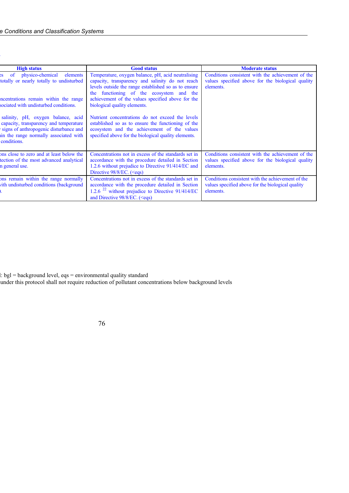| <b>High status</b>                                                                                                                                                             | <b>Good status</b>                                                                                                                                                                                                                                                                                                                                          | <b>Moderate status</b>                                                                                              |
|--------------------------------------------------------------------------------------------------------------------------------------------------------------------------------|-------------------------------------------------------------------------------------------------------------------------------------------------------------------------------------------------------------------------------------------------------------------------------------------------------------------------------------------------------------|---------------------------------------------------------------------------------------------------------------------|
| physico-chemical<br>$\circ$ f<br>elements<br>ès.<br>totally or nearly totally to undisturbed<br>ncentrations remain within the range<br>sociated with undisturbed conditions.  | Temperature, oxygen balance, pH, acid neutralising<br>capacity, transparency and salinity do not reach<br>levels outside the range established so as to ensure<br>functioning of the ecosystem and the<br>the<br>achievement of the values specified above for the<br>biological quality elements.                                                          | Conditions consistent with the achievement of the<br>values specified above for the biological quality<br>elements. |
| salinity, pH, oxygen balance, acid<br>capacity, transparency and temperature<br>signs of anthropogenic disturbance and<br>in the range normally associated with<br>conditions. | Nutrient concentrations do not exceed the levels<br>established so as to ensure the functioning of the<br>ecosystem and the achievement of the values<br>specified above for the biological quality elements.                                                                                                                                               |                                                                                                                     |
| ons close to zero and at least below the<br>tection of the most advanced analytical<br>n general use.                                                                          | Concentrations not in excess of the standards set in<br>accordance with the procedure detailed in Section<br>1.2.6 without prejudice to Directive 91/414/EC and<br>Directive 98/8/EC. ( <eqs)< td=""><td>Conditions consistent with the achievement of the<br/>values specified above for the biological quality<br/>elements.</td></eqs)<>                 | Conditions consistent with the achievement of the<br>values specified above for the biological quality<br>elements. |
| ons remain within the range normally<br>vith undisturbed conditions (background                                                                                                | Concentrations not in excess of the standards set in<br>accordance with the procedure detailed in Section<br>1.2.6 <sup>22</sup> without prejudice to Directive $91/414/EC$<br>and Directive 98/8/EC. ( <eqs)< td=""><td>Conditions consistent with the achievement of the<br/>values specified above for the biological quality<br/>elements.</td></eqs)<> | Conditions consistent with the achievement of the<br>values specified above for the biological quality<br>elements. |

d: bgl = background level, eqs = environmental quality standard under this protocol shall not require reduction of pollutant concentrations below background levels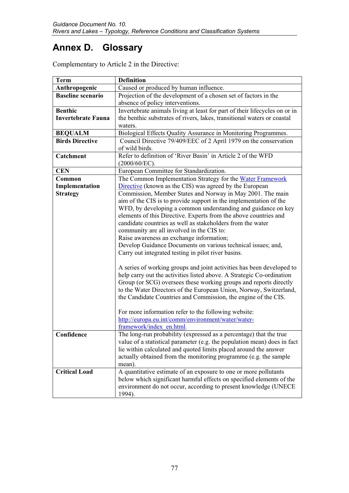## **Annex D. Glossary**

| <b>Term</b>               | <b>Definition</b>                                                          |
|---------------------------|----------------------------------------------------------------------------|
| Anthropogenic             | Caused or produced by human influence.                                     |
| <b>Baseline scenario</b>  | Projection of the development of a chosen set of factors in the            |
|                           | absence of policy interventions.                                           |
| <b>Benthic</b>            | Invertebrate animals living at least for part of their lifecycles on or in |
| <b>Invertebrate Fauna</b> | the benthic substrates of rivers, lakes, transitional waters or coastal    |
|                           | waters.                                                                    |
| <b>BEQUALM</b>            | Biological Effects Quality Assurance in Monitoring Programmes.             |
| <b>Birds Directive</b>    | Council Directive 79/409/EEC of 2 April 1979 on the conservation           |
|                           | of wild birds.                                                             |
| <b>Catchment</b>          | Refer to definition of 'River Basin' in Article 2 of the WFD               |
|                           | (2000/60/EC).                                                              |
| <b>CEN</b>                | European Committee for Standardization.                                    |
| Common                    | The Common Implementation Strategy for the Water Framework                 |
| Implementation            | Directive (known as the CIS) was agreed by the European                    |
| <b>Strategy</b>           | Commission, Member States and Norway in May 2001. The main                 |
|                           | aim of the CIS is to provide support in the implementation of the          |
|                           | WFD, by developing a common understanding and guidance on key              |
|                           | elements of this Directive. Experts from the above countries and           |
|                           | candidate countries as well as stakeholders from the water                 |
|                           | community are all involved in the CIS to:                                  |
|                           | Raise awareness an exchange information;                                   |
|                           | Develop Guidance Documents on various technical issues; and,               |
|                           | Carry out integrated testing in pilot river basins.                        |
|                           |                                                                            |
|                           | A series of working groups and joint activities has been developed to      |
|                           | help carry out the activities listed above. A Strategic Co-ordination      |
|                           | Group (or SCG) oversees these working groups and reports directly          |
|                           | to the Water Directors of the European Union, Norway, Switzerland,         |
|                           | the Candidate Countries and Commission, the engine of the CIS.             |
|                           |                                                                            |
|                           | For more information refer to the following website:                       |
|                           | http://europa.eu.int/comm/environment/water/water-                         |
|                           | framework/index en.html.                                                   |
| Confidence                | The long-run probability (expressed as a percentage) that the true         |
|                           | value of a statistical parameter (e.g. the population mean) does in fact   |
|                           | lie within calculated and quoted limits placed around the answer           |
|                           | actually obtained from the monitoring programme (e.g. the sample           |
|                           | mean).                                                                     |
| <b>Critical Load</b>      | A quantitative estimate of an exposure to one or more pollutants           |
|                           | below which significant harmful effects on specified elements of the       |
|                           | environment do not occur, according to present knowledge (UNECE            |
|                           | 1994).                                                                     |

Complementary to Article 2 in the Directive: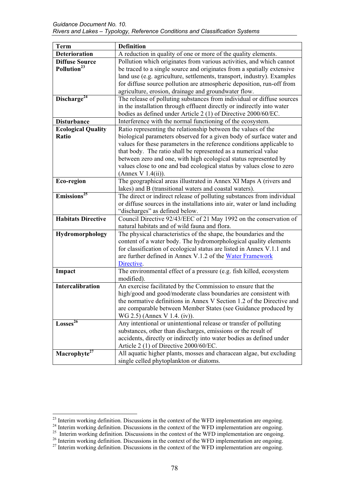| <b>Term</b>               | <b>Definition</b>                                                                                                                       |
|---------------------------|-----------------------------------------------------------------------------------------------------------------------------------------|
| <b>Deterioration</b>      | A reduction in quality of one or more of the quality elements.                                                                          |
| <b>Diffuse Source</b>     | Pollution which originates from various activities, and which cannot                                                                    |
| Pollution <sup>23</sup>   | be traced to a single source and originates from a spatially extensive                                                                  |
|                           | land use (e.g. agriculture, settlements, transport, industry). Examples                                                                 |
|                           | for diffuse source pollution are atmospheric deposition, run-off from                                                                   |
|                           | agriculture, erosion, drainage and groundwater flow.                                                                                    |
| Discharge <sup>24</sup>   | The release of polluting substances from individual or diffuse sources                                                                  |
|                           | in the installation through effluent directly or indirectly into water                                                                  |
|                           | bodies as defined under Article 2 (1) of Directive 2000/60/EC.                                                                          |
| <b>Disturbance</b>        | Interference with the normal functioning of the ecosystem.                                                                              |
| <b>Ecological Quality</b> | Ratio representing the relationship between the values of the                                                                           |
| Ratio                     | biological parameters observed for a given body of surface water and                                                                    |
|                           | values for these parameters in the reference conditions applicable to                                                                   |
|                           | that body. The ratio shall be represented as a numerical value                                                                          |
|                           | between zero and one, with high ecological status represented by                                                                        |
|                           | values close to one and bad ecological status by values close to zero                                                                   |
|                           | (Annex V 1.4(ii)).                                                                                                                      |
| Eco-region                | The geographical areas illustrated in Annex XI Maps A (rivers and                                                                       |
|                           | lakes) and B (transitional waters and coastal waters).                                                                                  |
| Emissions <sup>25</sup>   | The direct or indirect release of polluting substances from individual                                                                  |
|                           | or diffuse sources in the installations into air, water or land including                                                               |
|                           | "discharges" as defined below.                                                                                                          |
| <b>Habitats Directive</b> | Council Directive 92/43/EEC of 21 May 1992 on the conservation of                                                                       |
|                           | natural habitats and of wild fauna and flora.                                                                                           |
| Hydromorphology           | The physical characteristics of the shape, the boundaries and the                                                                       |
|                           | content of a water body. The hydromorphological quality elements                                                                        |
|                           | for classification of ecological status are listed in Annex V.1.1 and                                                                   |
|                           | are further defined in Annex V.1.2 of the Water Framework                                                                               |
|                           | Directive.                                                                                                                              |
| Impact                    | The environmental effect of a pressure (e.g. fish killed, ecosystem                                                                     |
| <b>Intercalibration</b>   | modified).                                                                                                                              |
|                           | An exercise facilitated by the Commission to ensure that the                                                                            |
|                           | high/good and good/moderate class boundaries are consistent with                                                                        |
|                           | the normative definitions in Annex V Section 1.2 of the Directive and<br>are comparable between Member States (see Guidance produced by |
|                           | WG 2.5) (Annex V 1.4. (iv)).                                                                                                            |
| Losses <sup>26</sup>      | Any intentional or unintentional release or transfer of polluting                                                                       |
|                           | substances, other than discharges, emissions or the result of                                                                           |
|                           | accidents, directly or indirectly into water bodies as defined under                                                                    |
|                           | Article 2 (1) of Directive 2000/60/EC.                                                                                                  |
| Macrophyte <sup>27</sup>  | All aquatic higher plants, mosses and characean algae, but excluding                                                                    |
|                           | single celled phytoplankton or diatoms.                                                                                                 |

 $\overline{a}$ 

<sup>&</sup>lt;sup>23</sup> Interim working definition. Discussions in the context of the WFD implementation are ongoing.<br><sup>24</sup> Interim working definition. Discussions in the context of the WFD implementation are ongoing.<br><sup>25</sup> Interim working de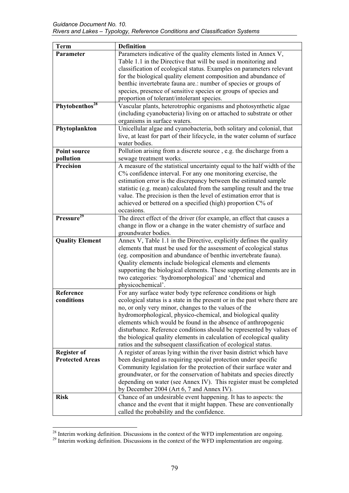| <b>Term</b>                | <b>Definition</b>                                                                                                                  |
|----------------------------|------------------------------------------------------------------------------------------------------------------------------------|
| Parameter                  | Parameters indicative of the quality elements listed in Annex V,                                                                   |
|                            | Table 1.1 in the Directive that will be used in monitoring and                                                                     |
|                            | classification of ecological status. Examples on parameters relevant                                                               |
|                            | for the biological quality element composition and abundance of                                                                    |
|                            | benthic invertebrate fauna are.: number of species or groups of                                                                    |
|                            | species, presence of sensitive species or groups of species and                                                                    |
|                            | proportion of tolerant/intolerant species.                                                                                         |
| Phytobenthos <sup>28</sup> | Vascular plants, heterotrophic organisms and photosynthetic algae                                                                  |
|                            | (including cyanobacteria) living on or attached to substrate or other                                                              |
|                            | organisms in surface waters.                                                                                                       |
| Phytoplankton              | Unicellular algae and cyanobacteria, both solitary and colonial, that                                                              |
|                            | live, at least for part of their lifecycle, in the water column of surface                                                         |
|                            | water bodies.                                                                                                                      |
| <b>Point source</b>        | Pollution arising from a discrete source, e.g. the discharge from a                                                                |
| pollution                  | sewage treatment works.                                                                                                            |
| <b>Precision</b>           | A measure of the statistical uncertainty equal to the half width of the                                                            |
|                            | C% confidence interval. For any one monitoring exercise, the                                                                       |
|                            | estimation error is the discrepancy between the estimated sample                                                                   |
|                            | statistic (e.g. mean) calculated from the sampling result and the true                                                             |
|                            | value. The precision is then the level of estimation error that is                                                                 |
|                            | achieved or bettered on a specified (high) proportion C% of                                                                        |
|                            | occasions.                                                                                                                         |
| Pressure <sup>29</sup>     | The direct effect of the driver (for example, an effect that causes a                                                              |
|                            | change in flow or a change in the water chemistry of surface and                                                                   |
|                            | groundwater bodies.                                                                                                                |
| <b>Quality Element</b>     | Annex V, Table 1.1 in the Directive, explicitly defines the quality                                                                |
|                            | elements that must be used for the assessment of ecological status                                                                 |
|                            | (eg. composition and abundance of benthic invertebrate fauna).                                                                     |
|                            | Quality elements include biological elements and elements                                                                          |
|                            | supporting the biological elements. These supporting elements are in                                                               |
|                            | two categories: 'hydromorphological' and 'chemical and                                                                             |
| <b>Reference</b>           | physicochemical'.                                                                                                                  |
|                            | For any surface water body type reference conditions or high                                                                       |
| conditions                 | ecological status is a state in the present or in the past where there are<br>no, or only very minor, changes to the values of the |
|                            | hydromorphological, physico-chemical, and biological quality                                                                       |
|                            | elements which would be found in the absence of anthropogenic                                                                      |
|                            | disturbance. Reference conditions should be represented by values of                                                               |
|                            | the biological quality elements in calculation of ecological quality                                                               |
|                            | ratios and the subsequent classification of ecological status.                                                                     |
| <b>Register of</b>         | A register of areas lying within the river basin district which have                                                               |
| <b>Protected Areas</b>     | been designated as requiring special protection under specific                                                                     |
|                            | Community legislation for the protection of their surface water and                                                                |
|                            | groundwater, or for the conservation of habitats and species directly                                                              |
|                            | depending on water (see Annex IV). This register must be completed                                                                 |
|                            | by December 2004 (Art 6, 7 and Annex IV).                                                                                          |
| <b>Risk</b>                | Chance of an undesirable event happening. It has to aspects: the                                                                   |
|                            | chance and the event that it might happen. These are conventionally                                                                |
|                            | called the probability and the confidence.                                                                                         |

 $\overline{a}$ <sup>28</sup> Interim working definition. Discussions in the context of the WFD implementation are ongoing.<br><sup>29</sup> Interim working definition. Discussions in the context of the WFD implementation are ongoing.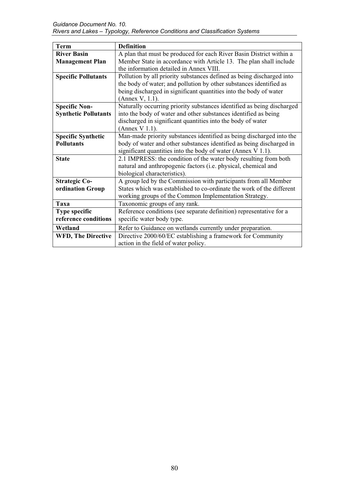| <b>Term</b>                 | <b>Definition</b>                                                      |
|-----------------------------|------------------------------------------------------------------------|
| <b>River Basin</b>          | A plan that must be produced for each River Basin District within a    |
| <b>Management Plan</b>      | Member State in accordance with Article 13. The plan shall include     |
|                             | the information detailed in Annex VIII.                                |
| <b>Specific Pollutants</b>  | Pollution by all priority substances defined as being discharged into  |
|                             | the body of water; and pollution by other substances identified as     |
|                             | being discharged in significant quantities into the body of water      |
|                             | (Annex V, 1.1).                                                        |
|                             |                                                                        |
| <b>Specific Non-</b>        | Naturally occurring priority substances identified as being discharged |
| <b>Synthetic Pollutants</b> | into the body of water and other substances identified as being        |
|                             | discharged in significant quantities into the body of water            |
|                             | (Annex V 1.1).                                                         |
| <b>Specific Synthetic</b>   | Man-made priority substances identified as being discharged into the   |
| <b>Pollutants</b>           | body of water and other substances identified as being discharged in   |
|                             | significant quantities into the body of water (Annex V 1.1).           |
| <b>State</b>                | 2.1 IMPRESS: the condition of the water body resulting from both       |
|                             | natural and anthropogenic factors (i.e. physical, chemical and         |
|                             | biological characteristics).                                           |
| <b>Strategic Co-</b>        | A group led by the Commission with participants from all Member        |
| ordination Group            | States which was established to co-ordinate the work of the different  |
|                             | working groups of the Common Implementation Strategy.                  |
| Taxa                        | Taxonomic groups of any rank.                                          |
| <b>Type specific</b>        | Reference conditions (see separate definition) representative for a    |
| reference conditions        | specific water body type.                                              |
| Wetland                     |                                                                        |
|                             | Refer to Guidance on wetlands currently under preparation.             |
| <b>WFD, The Directive</b>   | Directive 2000/60/EC establishing a framework for Community            |
|                             | action in the field of water policy.                                   |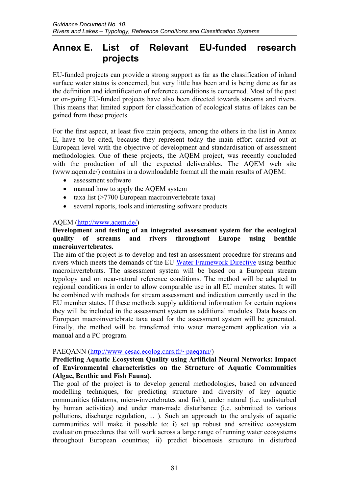## **Annex E. List of Relevant EU-funded research projects**

EU-funded projects can provide a strong support as far as the classification of inland surface water status is concerned, but very little has been and is being done as far as the definition and identification of reference conditions is concerned. Most of the past or on-going EU-funded projects have also been directed towards streams and rivers. This means that limited support for classification of ecological status of lakes can be gained from these projects.

For the first aspect, at least five main projects, among the others in the list in Annex E, have to be cited, because they represent today the main effort carried out at European level with the objective of development and standardisation of assessment methodologies. One of these projects, the AQEM project, was recently concluded with the production of all the expected deliverables. The AQEM web site (www.aqem.de/) contains in a downloadable format all the main results of AQEM:

- assessment software
- manual how to apply the AQEM system
- taxa list (>7700 European macroinvertebrate taxa)
- $\bullet$ several reports, tools and interesting software products

#### AQEM (http://www.aqem.de/)

#### **Development and testing of an integrated assessment system for the ecological quality of streams and rivers throughout Europe using benthic macroinvertebrates.**

The aim of the project is to develop and test an assessment procedure for streams and rivers which meets the demands of the EU Water Framework Directive using benthic macroinvertebrats. The assessment system will be based on a European stream typology and on near-natural reference conditions. The method will be adapted to regional conditions in order to allow comparable use in all EU member states. It will be combined with methods for stream assessment and indication currently used in the EU member states. If these methods supply additional information for certain regions they will be included in the assessment system as additional modules. Data bases on European macroinvertebrate taxa used for the assessment system will be generated. Finally, the method will be transferred into water management application via a manual and a PC program.

#### PAEQANN (http://www-cesac.ecolog.cnrs.fr/~paeqann/)

#### **Predicting Aquatic Ecosystem Quality using Artificial Neural Networks: Impact of Environmental characteristics on the Structure of Aquatic Communities (Algae, Benthic and Fish Fauna).**

The goal of the project is to develop general methodologies, based on advanced modelling techniques, for predicting structure and diversity of key aquatic communities (diatoms, micro-invertebrates and fish), under natural (i.e. undisturbed by human activities) and under man-made disturbance (i.e. submitted to various pollutions, discharge regulation, ... ). Such an approach to the analysis of aquatic communities will make it possible to: i) set up robust and sensitive ecosystem evaluation procedures that will work across a large range of running water ecosystems throughout European countries; ii) predict biocenosis structure in disturbed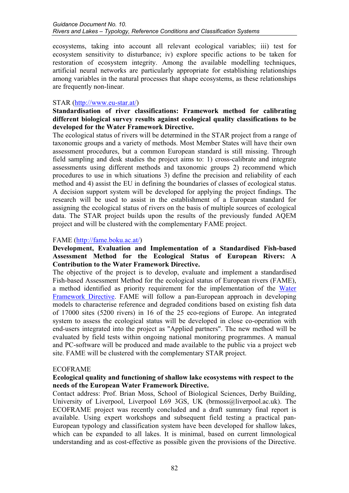ecosystems, taking into account all relevant ecological variables; iii) test for ecosystem sensitivity to disturbance; iv) explore specific actions to be taken for restoration of ecosystem integrity. Among the available modelling techniques, artificial neural networks are particularly appropriate for establishing relationships among variables in the natural processes that shape ecosystems, as these relationships are frequently non-linear.

#### STAR (http://www.eu-star.at/)

#### **Standardisation of river classifications: Framework method for calibrating different biological survey results against ecological quality classifications to be developed for the Water Framework Directive.**

The ecological status of rivers will be determined in the STAR project from a range of taxonomic groups and a variety of methods. Most Member States will have their own assessment procedures, but a common European standard is still missing. Through field sampling and desk studies the project aims to: 1) cross-calibrate and integrate assessments using different methods and taxonomic groups 2) recommend which procedures to use in which situations 3) define the precision and reliability of each method and 4) assist the EU in defining the boundaries of classes of ecological status. A decision support system will be developed for applying the project findings. The research will be used to assist in the establishment of a European standard for assigning the ecological status of rivers on the basis of multiple sources of ecological data. The STAR project builds upon the results of the previously funded AQEM project and will be clustered with the complementary FAME project.

#### FAME (http://fame.boku.ac.at/)

#### **Development, Evaluation and Implementation of a Standardised Fish-based Assessment Method for the Ecological Status of European Rivers: A Contribution to the Water Framework Directive.**

The objective of the project is to develop, evaluate and implement a standardised Fish-based Assessment Method for the ecological status of European rivers (FAME), a method identified as priority requirement for the implementation of the Water Framework Directive. FAME will follow a pan-European approach in developing models to characterise reference and degraded conditions based on existing fish data of 17000 sites (5200 rivers) in 16 of the 25 eco-regions of Europe. An integrated system to assess the ecological status will be developed in close co-operation with end-users integrated into the project as "Applied partners". The new method will be evaluated by field tests within ongoing national monitoring programmes. A manual and PC-software will be produced and made available to the public via a project web site. FAME will be clustered with the complementary STAR project.

#### ECOFRAME

#### **Ecological quality and functioning of shallow lake ecosystems with respect to the needs of the European Water Framework Directive.**

Contact address: Prof. Brian Moss, School of Biological Sciences, Derby Building, University of Liverpool, Liverpool L69 3GS, UK (brmoss@liverpool.ac.uk). The ECOFRAME project was recently concluded and a draft summary final report is available. Using expert workshops and subsequent field testing a practical pan-European typology and classification system have been developed for shallow lakes, which can be expanded to all lakes. It is minimal, based on current limnological understanding and as cost-effective as possible given the provisions of the Directive.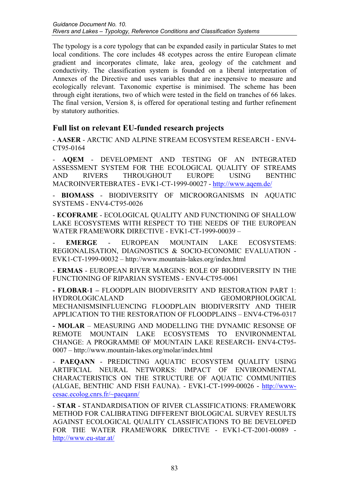The typology is a core typology that can be expanded easily in particular States to met local conditions. The core includes 48 ecotypes across the entire European climate gradient and incorporates climate, lake area, geology of the catchment and conductivity. The classification system is founded on a liberal interpretation of Annexes of the Directive and uses variables that are inexpensive to measure and ecologically relevant. Taxonomic expertise is minimised. The scheme has been through eight iterations, two of which were tested in the field on tranches of 66 lakes. The final version, Version 8, is offered for operational testing and further refinement by statutory authorities.

### **Full list on relevant EU-funded research projects**

- **AASER** - ARCTIC AND ALPINE STREAM ECOSYSTEM RESEARCH - ENV4- CT95-0164

- **AQEM** - DEVELOPMENT AND TESTING OF AN INTEGRATED ASSESSMENT SYSTEM FOR THE ECOLOGICAL QUALITY OF STREAMS AND RIVERS THROUGHOUT EUROPE USING BENTHIC MACROINVERTEBRATES - EVK1-CT-1999-00027 - http://www.aqem.de/

- **BIOMASS** - BIODIVERSITY OF MICROORGANISMS IN AQUATIC SYSTEMS - ENV4-CT95-0026

- **ECOFRAME** - ECOLOGICAL QUALITY AND FUNCTIONING OF SHALLOW LAKE ECOSYSTEMS WITH RESPECT TO THE NEEDS OF THE EUROPEAN WATER FRAMEWORK DIRECTIVE - EVK1-CT-1999-00039 –

- **EMERGE** - EUROPEAN MOUNTAIN LAKE ECOSYSTEMS: REGIONALISATION, DIAGNOSTICS & SOCIO-ECONOMIC EVALUATION - EVK1-CT-1999-00032 – http://www.mountain-lakes.org/index.html

- **ERMAS** - EUROPEAN RIVER MARGINS: ROLE OF BIODIVERSITY IN THE FUNCTIONING OF RIPARIAN SYSTEMS - ENV4-CT95-0061

**- FLOBAR**-**1 –** FLOODPLAIN BIODIVERSITY AND RESTORATION PART 1: HYDROLOGICALAND GEOMORPHOLOGICAL MECHANISMSINFLUENCING FLOODPLAIN BIODIVERSITY AND THEIR APPLICATION TO THE RESTORATION OF FLOODPLAINS – ENV4-CT96-0317

**- MOLAR** – MEASURING AND MODELLING THE DYNAMIC RESONSE OF REMOTE MOUNTAIN LAKE ECOSYSTEMS TO ENVIRONMENTAL CHANGE: A PROGRAMME OF MOUNTAIN LAKE RESEARCH- ENV4-CT95- 0007 – http://www.mountain-lakes.org/molar/index.html

- **PAEQANN** - PREDICTING AQUATIC ECOSYSTEM QUALITY USING ARTIFICIAL NEURAL NETWORKS: IMPACT OF ENVIRONMENTAL CHARACTERISTICS ON THE STRUCTURE OF AQUATIC COMMUNITIES (ALGAE, BENTHIC AND FISH FAUNA). - EVK1-CT-1999-00026 - http://wwwcesac.ecolog.cnrs.fr/~paeqann/

- **STAR** - STANDARDISATION OF RIVER CLASSIFICATIONS: FRAMEWORK METHOD FOR CALIBRATING DIFFERENT BIOLOGICAL SURVEY RESULTS AGAINST ECOLOGICAL QUALITY CLASSIFICATIONS TO BE DEVELOPED FOR THE WATER FRAMEWORK DIRECTIVE - EVK1-CT-2001-00089 http://www.eu-star.at/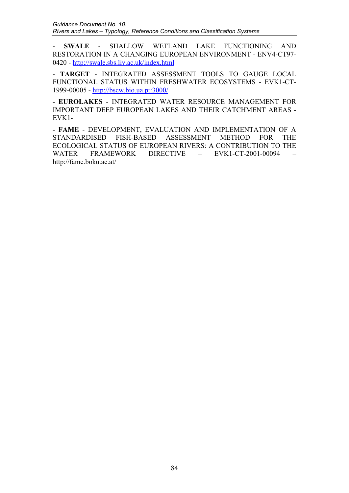*Guidance Document No. 10. Rivers and Lakes – Typology, Reference Conditions and Classification Systems* 

- **SWALE** - SHALLOW WETLAND LAKE FUNCTIONING AND RESTORATION IN A CHANGING EUROPEAN ENVIRONMENT - ENV4-CT97- 0420 - http://swale.sbs.liv.ac.uk/index.html

- **TARGET** - INTEGRATED ASSESSMENT TOOLS TO GAUGE LOCAL FUNCTIONAL STATUS WITHIN FRESHWATER ECOSYSTEMS - EVK1-CT-1999-00005 - http://bscw.bio.ua.pt:3000/

**- EUROLAKES** - INTEGRATED WATER RESOURCE MANAGEMENT FOR IMPORTANT DEEP EUROPEAN LAKES AND THEIR CATCHMENT AREAS - EVK1-

**- FAME** - DEVELOPMENT, EVALUATION AND IMPLEMENTATION OF A STANDARDISED FISH-BASED ASSESSMENT METHOD FOR THE ECOLOGICAL STATUS OF EUROPEAN RIVERS: A CONTRIBUTION TO THE WATER FRAMEWORK DIRECTIVE - EVK1-CT-2001-00094 http://fame.boku.ac.at/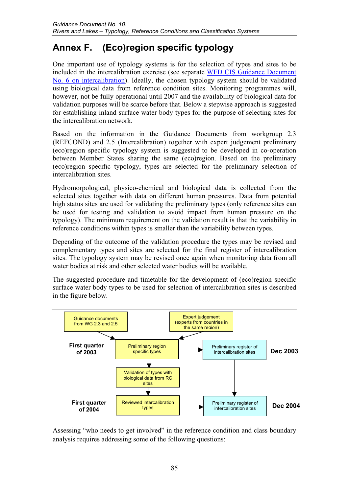# **Annex F. (Eco)region specific typology**

One important use of typology systems is for the selection of types and sites to be included in the intercalibration exercise (see separate WFD CIS Guidance Document No. 6 on intercalibration). Ideally, the chosen typology system should be validated using biological data from reference condition sites. Monitoring programmes will, however, not be fully operational until 2007 and the availability of biological data for validation purposes will be scarce before that. Below a stepwise approach is suggested for establishing inland surface water body types for the purpose of selecting sites for the intercalibration network.

Based on the information in the Guidance Documents from workgroup 2.3 (REFCOND) and 2.5 (Intercalibration) together with expert judgement preliminary (eco)region specific typology system is suggested to be developed in co-operation between Member States sharing the same (eco)region. Based on the preliminary (eco)region specific typology, types are selected for the preliminary selection of intercalibration sites.

Hydromorpological, physico-chemical and biological data is collected from the selected sites together with data on different human pressures. Data from potential high status sites are used for validating the preliminary types (only reference sites can be used for testing and validation to avoid impact from human pressure on the typology). The minimum requirement on the validation result is that the variability in reference conditions within types is smaller than the variability between types.

Depending of the outcome of the validation procedure the types may be revised and complementary types and sites are selected for the final register of intercalibration sites. The typology system may be revised once again when monitoring data from all water bodies at risk and other selected water bodies will be available.

The suggested procedure and timetable for the development of (eco)region specific surface water body types to be used for selection of intercalibration sites is described in the figure below.



Assessing "who needs to get involved" in the reference condition and class boundary analysis requires addressing some of the following questions: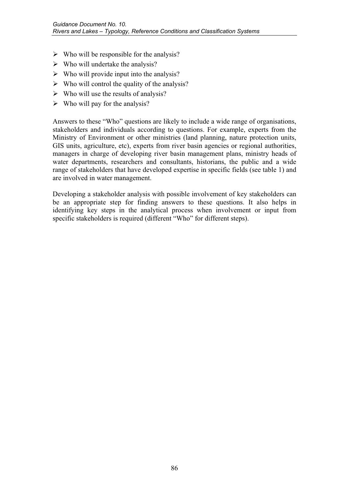- $\triangleright$  Who will be responsible for the analysis?
- ► Who will undertake the analysis?
- $\triangleright$  Who will provide input into the analysis?
- -Who will control the quality of the analysis?
- > Who will use the results of analysis?
- > Who will pay for the analysis?

Answers to these "Who" questions are likely to include a wide range of organisations, stakeholders and individuals according to questions. For example, experts from the Ministry of Environment or other ministries (land planning, nature protection units, GIS units, agriculture, etc), experts from river basin agencies or regional authorities, managers in charge of developing river basin management plans, ministry heads of water departments, researchers and consultants, historians, the public and a wide range of stakeholders that have developed expertise in specific fields (see table 1) and are involved in water management.

Developing a stakeholder analysis with possible involvement of key stakeholders can be an appropriate step for finding answers to these questions. It also helps in identifying key steps in the analytical process when involvement or input from specific stakeholders is required (different "Who" for different steps).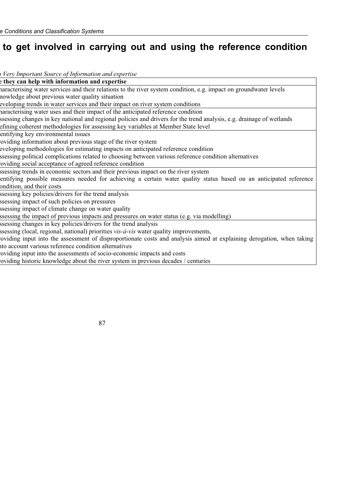# **to get involved in carrying out and using the reference condition**

*a Very Important Source of Information and expertise* **e they can help with information and expertise**  haracterising water services and their relations to the river system condition, e.g. impact on groundwater levels nowledge about previous water quality situation eveloping trends in water services and their impact on river system conditions haracterising water uses and their impact of the anticipated reference condition ssessing changes in key national and regional policies and drivers for the trend analysis, e.g. drainage of wetlands efining coherent methodologies for assessing key variables at Member State level entifying key environmental issues roviding information about previous stage of the river system eveloping methodologies for estimating impacts on anticipated reference condition ssessing political complications related to choosing between various reference condition alternatives roviding social acceptance of agreed reference condition ssessing trends in economic sectors and their previous impact on the river system dentifying possible measures needed for achieving a certain water quality status based on an anticipated reference ondition, and their costs ssessing key policies/drivers for the trend analysis ssessing impact of such policies on pressures ssessing impact of climate change on water quality ssessing the impact of previous impacts and pressures on water status (e.g. via modelling) ssessing changes in key policies/drivers for the trend analysis ssessing (local, regional, national) priorities *vis-à-vis* water quality improvements, roviding input into the assessment of disproportionate costs and analysis aimed at explaining derogation, when taking nto account various reference condition alternatives roviding input into the assessments of socio-economic impacts and costs roviding historic knowledge about the river system in previous decades / centuries